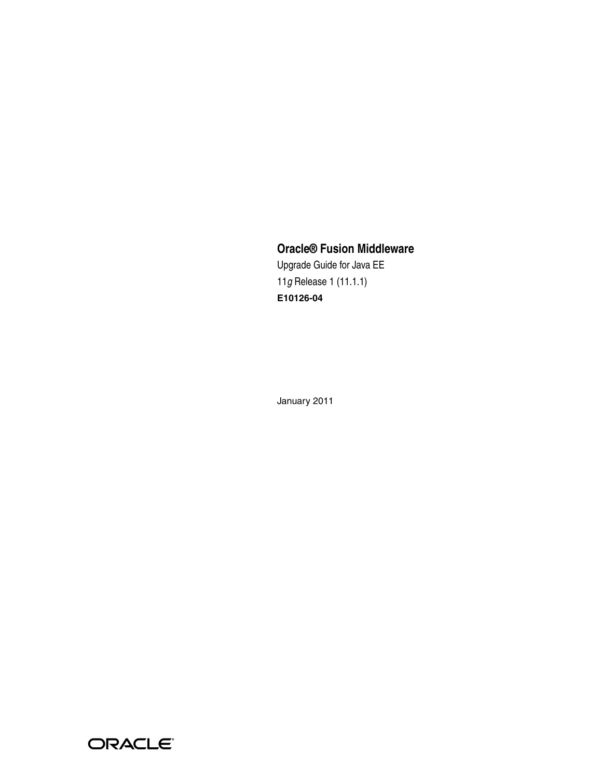## **Oracle® Fusion Middleware**

Upgrade Guide for Java EE 11*g* Release 1 (11.1.1) **E10126-04**

January 2011

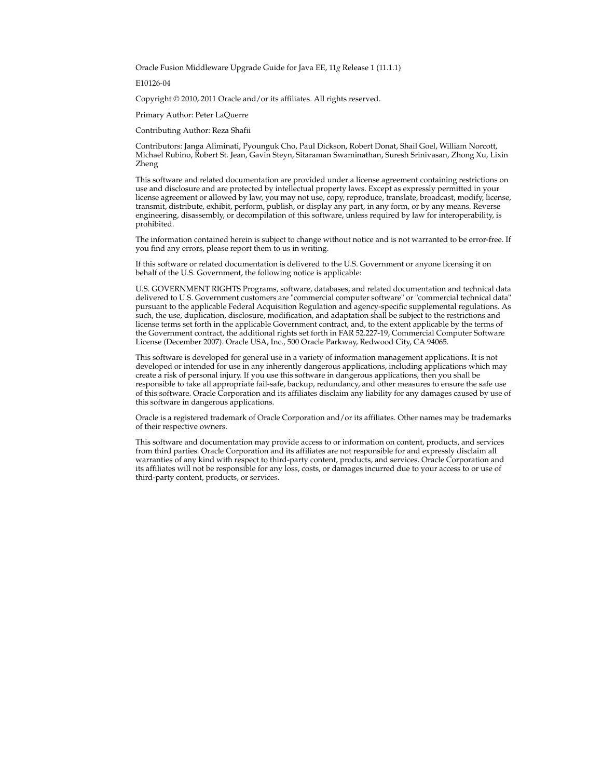Oracle Fusion Middleware Upgrade Guide for Java EE, 11*g* Release 1 (11.1.1)

E10126-04

Copyright © 2010, 2011 Oracle and/or its affiliates. All rights reserved.

Primary Author: Peter LaQuerre

Contributing Author: Reza Shafii

Contributors: Janga Aliminati, Pyounguk Cho, Paul Dickson, Robert Donat, Shail Goel, William Norcott, Michael Rubino, Robert St. Jean, Gavin Steyn, Sitaraman Swaminathan, Suresh Srinivasan, Zhong Xu, Lixin Zheng

This software and related documentation are provided under a license agreement containing restrictions on use and disclosure and are protected by intellectual property laws. Except as expressly permitted in your license agreement or allowed by law, you may not use, copy, reproduce, translate, broadcast, modify, license, transmit, distribute, exhibit, perform, publish, or display any part, in any form, or by any means. Reverse engineering, disassembly, or decompilation of this software, unless required by law for interoperability, is prohibited.

The information contained herein is subject to change without notice and is not warranted to be error-free. If you find any errors, please report them to us in writing.

If this software or related documentation is delivered to the U.S. Government or anyone licensing it on behalf of the U.S. Government, the following notice is applicable:

U.S. GOVERNMENT RIGHTS Programs, software, databases, and related documentation and technical data delivered to U.S. Government customers are "commercial computer software" or "commercial technical data" pursuant to the applicable Federal Acquisition Regulation and agency-specific supplemental regulations. As such, the use, duplication, disclosure, modification, and adaptation shall be subject to the restrictions and license terms set forth in the applicable Government contract, and, to the extent applicable by the terms of the Government contract, the additional rights set forth in FAR 52.227-19, Commercial Computer Software License (December 2007). Oracle USA, Inc., 500 Oracle Parkway, Redwood City, CA 94065.

This software is developed for general use in a variety of information management applications. It is not developed or intended for use in any inherently dangerous applications, including applications which may create a risk of personal injury. If you use this software in dangerous applications, then you shall be responsible to take all appropriate fail-safe, backup, redundancy, and other measures to ensure the safe use of this software. Oracle Corporation and its affiliates disclaim any liability for any damages caused by use of this software in dangerous applications.

Oracle is a registered trademark of Oracle Corporation and/or its affiliates. Other names may be trademarks of their respective owners.

This software and documentation may provide access to or information on content, products, and services from third parties. Oracle Corporation and its affiliates are not responsible for and expressly disclaim all warranties of any kind with respect to third-party content, products, and services. Oracle Corporation and its affiliates will not be responsible for any loss, costs, or damages incurred due to your access to or use of third-party content, products, or services.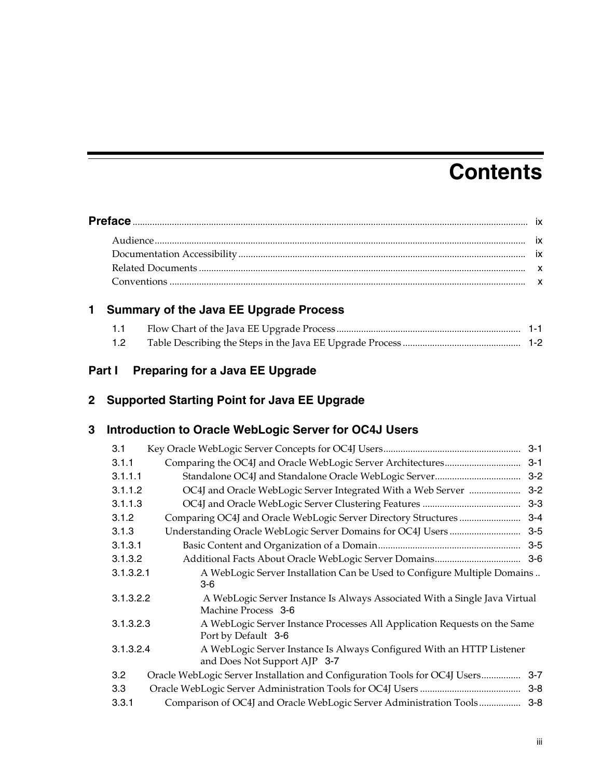# **Contents**

#### 1 Summary of the Java EE Upgrade Process

| 1.1              |  |
|------------------|--|
| 1.2 <sub>1</sub> |  |

# Part I Preparing for a Java EE Upgrade

## 2 Supported Starting Point for Java EE Upgrade

## 3 Introduction to Oracle WebLogic Server for OC4J Users

| 3.1              |                                                                                                       | $3 - 1$ |
|------------------|-------------------------------------------------------------------------------------------------------|---------|
| 3.1.1            |                                                                                                       | $3 - 1$ |
| 3.1.1.1          |                                                                                                       | $3 - 2$ |
| 3.1.1.2          | OC4J and Oracle WebLogic Server Integrated With a Web Server                                          | $3-2$   |
| 3.1.1.3          |                                                                                                       | $3-3$   |
| 3.1.2            | Comparing OC4J and Oracle WebLogic Server Directory Structures                                        | $3 - 4$ |
| 3.1.3            |                                                                                                       | $3-5$   |
| 3.1.3.1          |                                                                                                       | $3-5$   |
| 3.1.3.2          |                                                                                                       | $3-6$   |
| 3.1.3.2.1        | A WebLogic Server Installation Can be Used to Configure Multiple Domains<br>$3-6$                     |         |
| 3.1.3.2.2        | A WebLogic Server Instance Is Always Associated With a Single Java Virtual<br>Machine Process 3-6     |         |
| 3.1.3.2.3        | A WebLogic Server Instance Processes All Application Requests on the Same<br>Port by Default 3-6      |         |
| 3.1.3.2.4        | A WebLogic Server Instance Is Always Configured With an HTTP Listener<br>and Does Not Support AJP 3-7 |         |
| 3.2 <sub>2</sub> | Oracle WebLogic Server Installation and Configuration Tools for OC4J Users                            | $3 - 7$ |
| 3.3 <sub>2</sub> |                                                                                                       | $3-8$   |
| 3.3.1            | Comparison of OC4J and Oracle WebLogic Server Administration Tools                                    | $3-8$   |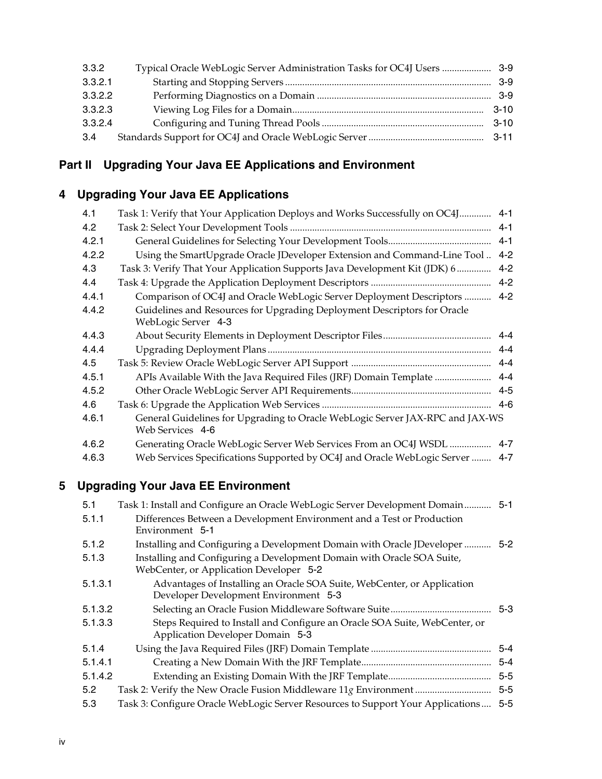| 3.3.2   | Typical Oracle WebLogic Server Administration Tasks for OC4J Users  3-9 |  |
|---------|-------------------------------------------------------------------------|--|
| 3.3.2.1 |                                                                         |  |
| 3.3.2.2 |                                                                         |  |
| 3.3.2.3 |                                                                         |  |
| 3.3.2.4 |                                                                         |  |
| 3.4     |                                                                         |  |

# **[Part II Upgrading Your Java EE Applications and Environment](#page-30-0)**

# **[4 Upgrading Your Java EE Applications](#page-32-0)**

| 4.1   | Task 1: Verify that Your Application Deploys and Works Successfully on OC4J                       | $4 - 1$ |
|-------|---------------------------------------------------------------------------------------------------|---------|
| 4.2   |                                                                                                   | 4-1     |
| 4.2.1 |                                                                                                   | 4-1     |
| 4.2.2 | Using the SmartUpgrade Oracle JDeveloper Extension and Command-Line Tool                          | $4 - 2$ |
| 4.3   | Task 3: Verify That Your Application Supports Java Development Kit (JDK) 6                        | $4 - 2$ |
| 4.4   |                                                                                                   | $4 - 2$ |
| 4.4.1 | Comparison of OC4J and Oracle WebLogic Server Deployment Descriptors                              | $4 - 2$ |
| 4.4.2 | Guidelines and Resources for Upgrading Deployment Descriptors for Oracle<br>WebLogic Server 4-3   |         |
| 4.4.3 |                                                                                                   | $4 - 4$ |
| 4.4.4 |                                                                                                   | $4 - 4$ |
| 4.5   |                                                                                                   | $4 - 4$ |
| 4.5.1 | APIs Available With the Java Required Files (JRF) Domain Template                                 | $4 - 4$ |
| 4.5.2 |                                                                                                   | $4 - 5$ |
| 4.6   |                                                                                                   | $4-6$   |
| 4.6.1 | General Guidelines for Upgrading to Oracle WebLogic Server JAX-RPC and JAX-WS<br>Web Services 4-6 |         |
| 4.6.2 | Generating Oracle WebLogic Server Web Services From an OC4J WSDL                                  | 4-7     |
| 4.6.3 | Web Services Specifications Supported by OC4J and Oracle WebLogic Server  4-7                     |         |

# **[5 Upgrading Your Java EE Environment](#page-40-0)**

| 5.1     | Task 1: Install and Configure an Oracle WebLogic Server Development Domain 5-1  |         |
|---------|---------------------------------------------------------------------------------|---------|
| 5.1.1   | Differences Between a Development Environment and a Test or Production          |         |
|         | Environment 5-1                                                                 |         |
| 5.1.2   | Installing and Configuring a Development Domain with Oracle JDeveloper  5-2     |         |
| 5.1.3   | Installing and Configuring a Development Domain with Oracle SOA Suite,          |         |
|         | WebCenter, or Application Developer 5-2                                         |         |
| 5.1.3.1 | Advantages of Installing an Oracle SOA Suite, WebCenter, or Application         |         |
|         | Developer Development Environment 5-3                                           |         |
| 5.1.3.2 |                                                                                 | $5-3$   |
| 5.1.3.3 | Steps Required to Install and Configure an Oracle SOA Suite, WebCenter, or      |         |
|         | Application Developer Domain 5-3                                                |         |
| 5.1.4   |                                                                                 | $5-4$   |
| 5.1.4.1 |                                                                                 | $5-4$   |
| 5.1.4.2 |                                                                                 | $5-5$   |
| 5.2     |                                                                                 | $5 - 5$ |
| 5.3     | Task 3: Configure Oracle WebLogic Server Resources to Support Your Applications | $5-5$   |
|         |                                                                                 |         |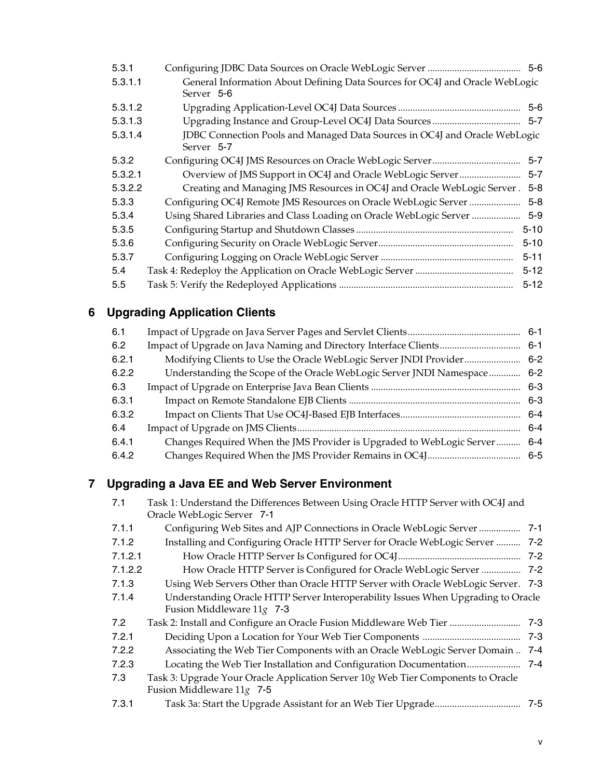| 5.3.1         |                                                                                            |          |
|---------------|--------------------------------------------------------------------------------------------|----------|
| 5.3.1.1       | General Information About Defining Data Sources for OC4J and Oracle WebLogic<br>Server 5-6 |          |
| 5.3.1.2       |                                                                                            | $5-6$    |
| 5.3.1.3       |                                                                                            |          |
| 5.3.1.4       | JDBC Connection Pools and Managed Data Sources in OC4J and Oracle WebLogic<br>Server 5-7   |          |
| 5.3.2         |                                                                                            | $5 - 7$  |
| 5.3.2.1       |                                                                                            | $5 - 7$  |
| 5.3.2.2       | Creating and Managing JMS Resources in OC4J and Oracle WebLogic Server.                    | $5-8$    |
| 5.3.3         | Configuring OC4J Remote JMS Resources on Oracle WebLogic Server                            | $5-8$    |
| 5.3.4         | Using Shared Libraries and Class Loading on Oracle WebLogic Server                         | $5-9$    |
| 5.3.5         |                                                                                            | $5 - 10$ |
| 5.3.6         |                                                                                            | $5 - 10$ |
| 5.3.7         |                                                                                            | $5 - 11$ |
| 5.4           |                                                                                            | $5 - 12$ |
| $5.5^{\circ}$ |                                                                                            | $5 - 12$ |

# **[6 Upgrading Application Clients](#page-52-0)**

| 6.1   |                                                                       |         |
|-------|-----------------------------------------------------------------------|---------|
| 6.2   |                                                                       |         |
| 6.2.1 | Modifying Clients to Use the Oracle WebLogic Server JNDI Provider 6-2 |         |
| 6.2.2 | Understanding the Scope of the Oracle WebLogic Server JNDI Namespace  | $6 - 2$ |
| 6.3   |                                                                       | $6 - 3$ |
| 6.3.1 |                                                                       |         |
| 6.3.2 |                                                                       |         |
| 6.4   |                                                                       | $6 - 4$ |
| 6.4.1 | Changes Required When the JMS Provider is Upgraded to WebLogic Server | $6 - 4$ |
| 6.4.2 |                                                                       |         |

# **[7 Upgrading a Java EE and Web Server Environment](#page-58-0)**

| 7.1     | Task 1: Understand the Differences Between Using Oracle HTTP Server with OC4J and                             |         |
|---------|---------------------------------------------------------------------------------------------------------------|---------|
|         | Oracle WebLogic Server 7-1                                                                                    |         |
| 7.1.1   | Configuring Web Sites and AJP Connections in Oracle WebLogic Server                                           | 7-1     |
| 7.1.2   | Installing and Configuring Oracle HTTP Server for Oracle WebLogic Server                                      | $7 - 2$ |
| 7.1.2.1 |                                                                                                               |         |
| 7.1.2.2 | How Oracle HTTP Server is Configured for Oracle WebLogic Server  7-2                                          |         |
| 7.1.3   | Using Web Servers Other than Oracle HTTP Server with Oracle WebLogic Server. 7-3                              |         |
| 7.1.4   | Understanding Oracle HTTP Server Interoperability Issues When Upgrading to Oracle                             |         |
|         | Fusion Middleware 11g 7-3                                                                                     |         |
| 7.2     | Task 2: Install and Configure an Oracle Fusion Middleware Web Tier                                            | $7 - 3$ |
| 7.2.1   |                                                                                                               | $7 - 3$ |
| 7.2.2   | Associating the Web Tier Components with an Oracle WebLogic Server Domain                                     | $7 - 4$ |
| 7.2.3   |                                                                                                               |         |
| 7.3     | Task 3: Upgrade Your Oracle Application Server 10g Web Tier Components to Oracle<br>Fusion Middleware 11g 7-5 |         |
| 7.3.1   |                                                                                                               |         |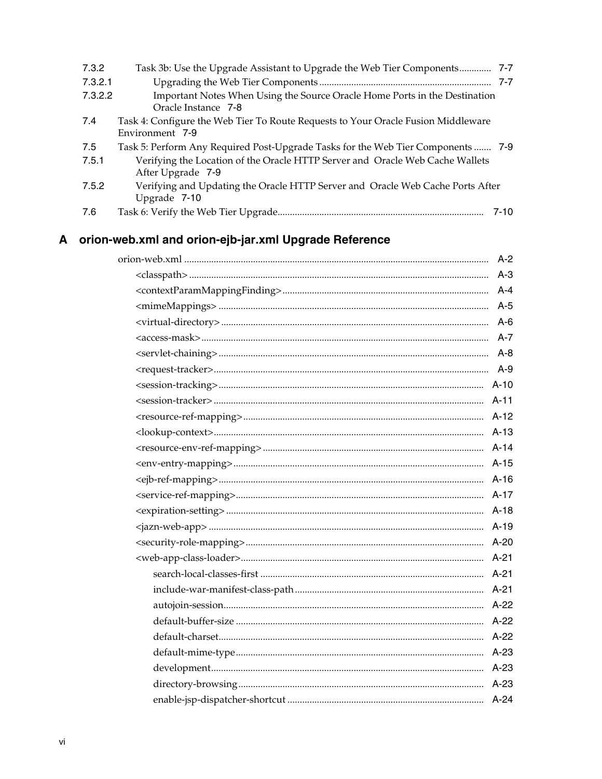| 7.3.2   | Task 3b: Use the Upgrade Assistant to Upgrade the Web Tier Components 7-7                            |  |
|---------|------------------------------------------------------------------------------------------------------|--|
| 7.3.2.1 |                                                                                                      |  |
| 7.3.2.2 | Important Notes When Using the Source Oracle Home Ports in the Destination<br>Oracle Instance 7-8    |  |
| 7.4     | Task 4: Configure the Web Tier To Route Requests to Your Oracle Fusion Middleware<br>Environment 7-9 |  |
| 7.5     | Task 5: Perform Any Required Post-Upgrade Tasks for the Web Tier Components  7-9                     |  |
| 7.5.1   | Verifying the Location of the Oracle HTTP Server and Oracle Web Cache Wallets<br>After Upgrade 7-9   |  |
| 7.5.2   | Verifying and Updating the Oracle HTTP Server and Oracle Web Cache Ports After<br>Upgrade 7-10       |  |

 $7.6$ 

# A orion-web.xml and orion-ejb-jar.xml Upgrade Reference

| $A-2$  |
|--------|
| $A-3$  |
| $A-4$  |
| $A-5$  |
| $A-6$  |
| $A-7$  |
| $A-8$  |
| $A-9$  |
|        |
| $A-11$ |
| $A-12$ |
|        |
|        |
| $A-15$ |
|        |
| $A-17$ |
| $A-18$ |
| $A-19$ |
|        |
|        |
|        |
|        |
|        |
|        |
|        |
|        |
| $A-23$ |
| $A-23$ |
|        |
|        |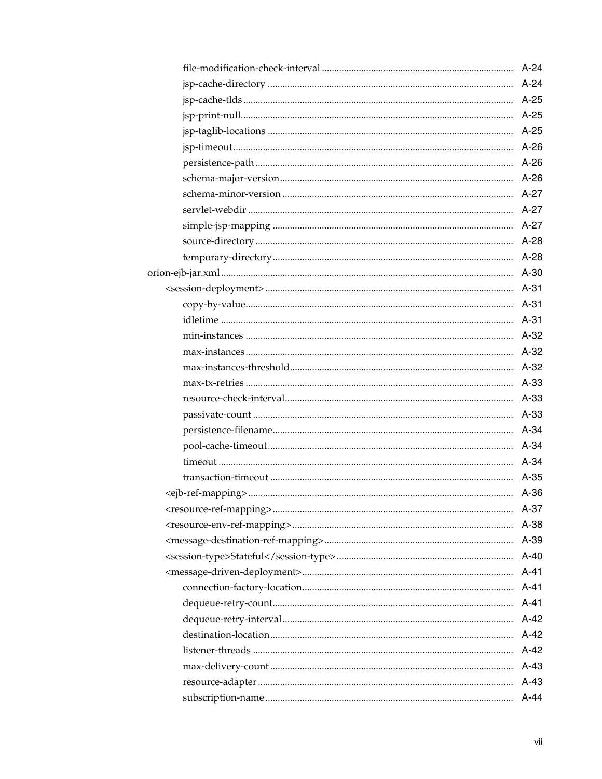| $A-24$ |
|--------|
|        |
|        |
|        |
|        |
|        |
|        |
|        |
|        |
|        |
|        |
|        |
|        |
|        |
|        |
|        |
|        |
|        |
|        |
|        |
|        |
|        |
|        |
|        |
|        |
|        |
|        |
|        |
|        |
| $A-38$ |
| $A-39$ |
|        |
|        |
|        |
|        |
| $A-42$ |
| A-42   |
| A-42   |
| $A-43$ |
| $A-43$ |
| $A-44$ |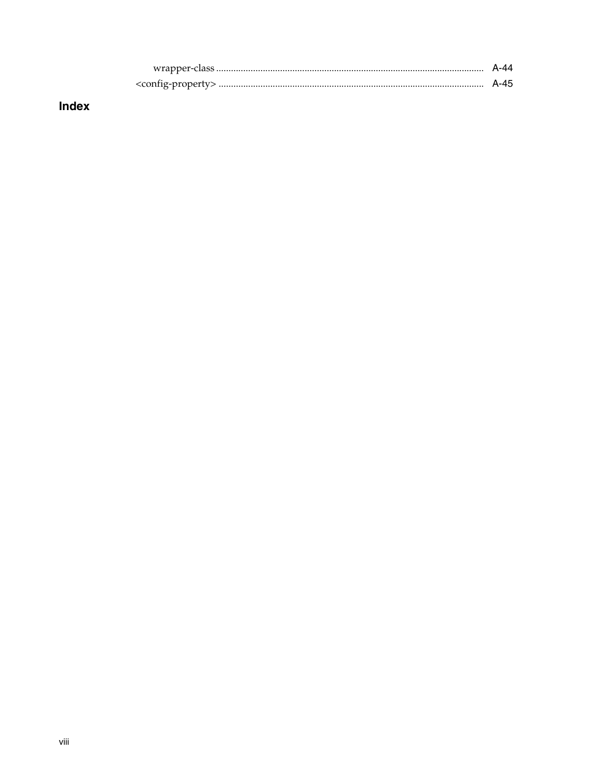**Index**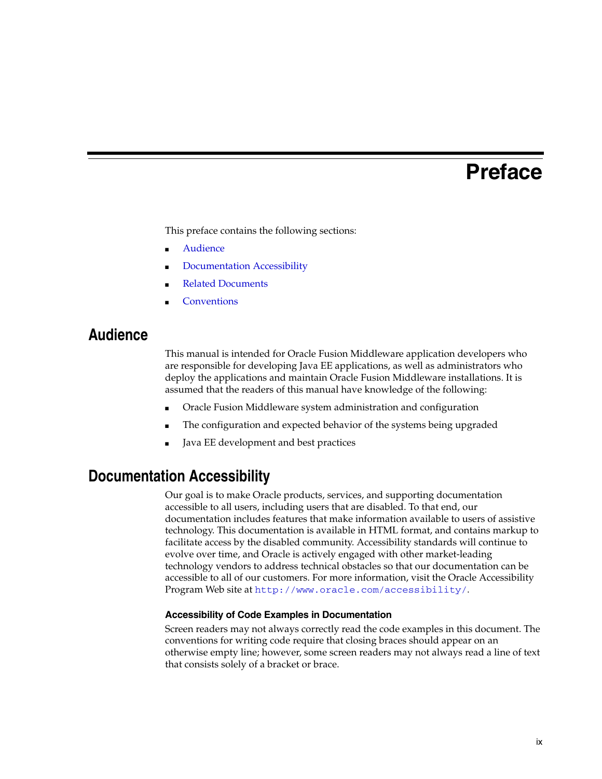# **Preface**

<span id="page-8-0"></span>This preface contains the following sections:

- **[Audience](#page-8-1)**
- [Documentation Accessibility](#page-8-2)
- **[Related Documents](#page-9-0)**
- **[Conventions](#page-9-1)**

## <span id="page-8-1"></span>**Audience**

This manual is intended for Oracle Fusion Middleware application developers who are responsible for developing Java EE applications, as well as administrators who deploy the applications and maintain Oracle Fusion Middleware installations. It is assumed that the readers of this manual have knowledge of the following:

- Oracle Fusion Middleware system administration and configuration
- The configuration and expected behavior of the systems being upgraded
- Java EE development and best practices

## <span id="page-8-2"></span>**Documentation Accessibility**

Our goal is to make Oracle products, services, and supporting documentation accessible to all users, including users that are disabled. To that end, our documentation includes features that make information available to users of assistive technology. This documentation is available in HTML format, and contains markup to facilitate access by the disabled community. Accessibility standards will continue to evolve over time, and Oracle is actively engaged with other market-leading technology vendors to address technical obstacles so that our documentation can be accessible to all of our customers. For more information, visit the Oracle Accessibility Program Web site at http://www.oracle.com/accessibility/.

#### **Accessibility of Code Examples in Documentation**

Screen readers may not always correctly read the code examples in this document. The conventions for writing code require that closing braces should appear on an otherwise empty line; however, some screen readers may not always read a line of text that consists solely of a bracket or brace.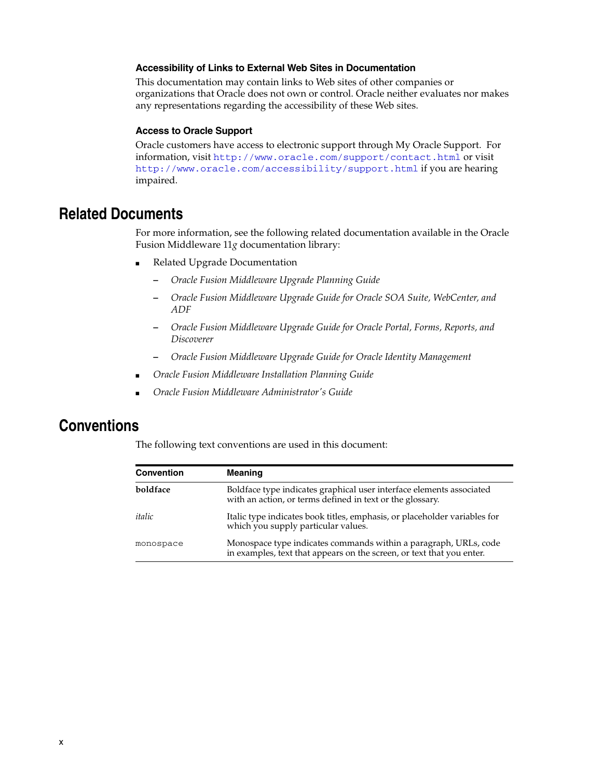#### **Accessibility of Links to External Web Sites in Documentation**

This documentation may contain links to Web sites of other companies or organizations that Oracle does not own or control. Oracle neither evaluates nor makes any representations regarding the accessibility of these Web sites.

#### **Access to Oracle Support**

Oracle customers have access to electronic support through My Oracle Support. For information, visit http://www.oracle.com/support/contact.html or visit http://www.oracle.com/accessibility/support.html if you are hearing impaired.

# <span id="page-9-0"></span>**Related Documents**

For more information, see the following related documentation available in the Oracle Fusion Middleware 11*g* documentation library:

- Related Upgrade Documentation
	- **–** *Oracle Fusion Middleware Upgrade Planning Guide*
	- **–** *Oracle Fusion Middleware Upgrade Guide for Oracle SOA Suite, WebCenter, and ADF*
	- **–** *Oracle Fusion Middleware Upgrade Guide for Oracle Portal, Forms, Reports, and Discoverer*
	- **–** *Oracle Fusion Middleware Upgrade Guide for Oracle Identity Management*
- *Oracle Fusion Middleware Installation Planning Guide*
- *Oracle Fusion Middleware Administrator's Guide*

# <span id="page-9-1"></span>**Conventions**

The following text conventions are used in this document:

| <b>Convention</b> | <b>Meaning</b>                                                                                                                            |
|-------------------|-------------------------------------------------------------------------------------------------------------------------------------------|
| boldface          | Boldface type indicates graphical user interface elements associated<br>with an action, or terms defined in text or the glossary.         |
| italic            | Italic type indicates book titles, emphasis, or placeholder variables for<br>which you supply particular values.                          |
| monospace         | Monospace type indicates commands within a paragraph, URLs, code<br>in examples, text that appears on the screen, or text that you enter. |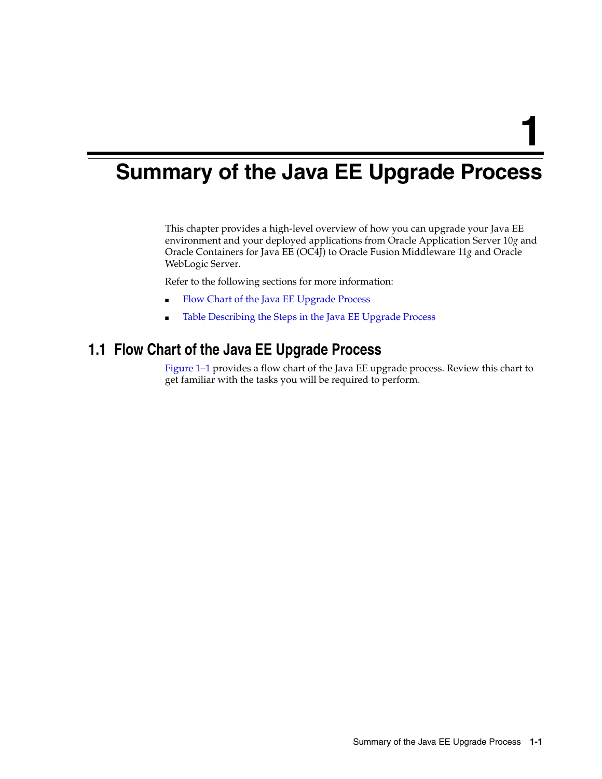**1**

# <span id="page-10-0"></span><sup>1</sup>**Summary of the Java EE Upgrade Process**

This chapter provides a high-level overview of how you can upgrade your Java EE environment and your deployed applications from Oracle Application Server 10*g* and Oracle Containers for Java EE (OC4J) to Oracle Fusion Middleware 11*g* and Oracle WebLogic Server.

Refer to the following sections for more information:

- [Flow Chart of the Java EE Upgrade Process](#page-10-1)
- [Table Describing the Steps in the Java EE Upgrade Process](#page-11-0)

# <span id="page-10-1"></span>**1.1 Flow Chart of the Java EE Upgrade Process**

Figure 1–1 provides a flow chart of the Java EE upgrade process. Review this chart to get familiar with the tasks you will be required to perform.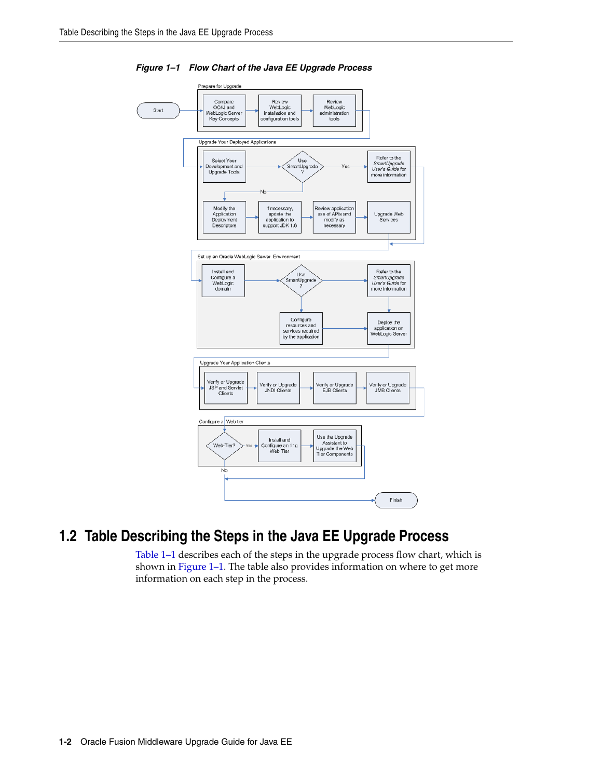

*Figure 1–1 Flow Chart of the Java EE Upgrade Process*

# <span id="page-11-0"></span>**1.2 Table Describing the Steps in the Java EE Upgrade Process**

Table 1–1 describes each of the steps in the upgrade process flow chart, which is shown in Figure 1–1. The table also provides information on where to get more information on each step in the process.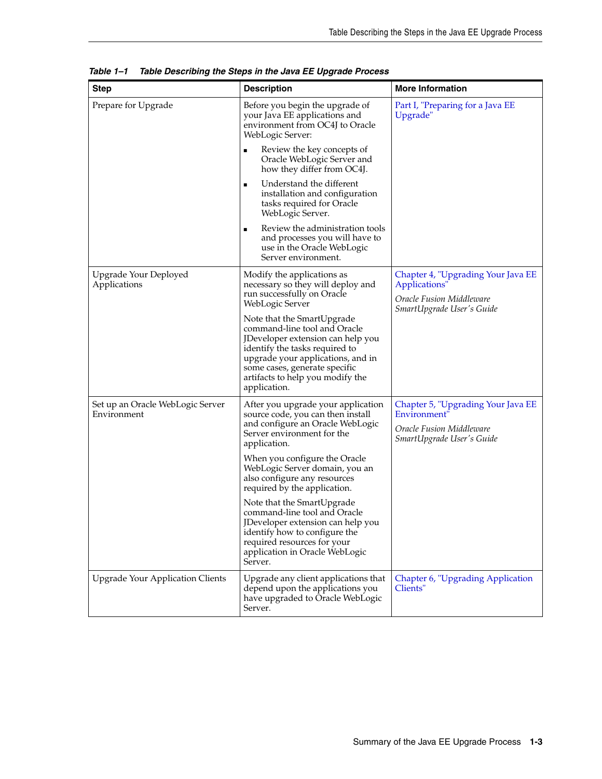| <b>Step</b>                                     | <b>Description</b>                                                                                                                                                                                                                                          |                                                                                                              |
|-------------------------------------------------|-------------------------------------------------------------------------------------------------------------------------------------------------------------------------------------------------------------------------------------------------------------|--------------------------------------------------------------------------------------------------------------|
| Prepare for Upgrade                             | Before you begin the upgrade of<br>your Java EE applications and<br>environment from OC4J to Oracle<br>WebLogic Server:                                                                                                                                     | Part I, "Preparing for a Java EE<br>Upgrade"                                                                 |
|                                                 | Review the key concepts of<br>٠<br>Oracle WebLogic Server and<br>how they differ from OC4J.                                                                                                                                                                 |                                                                                                              |
|                                                 | Understand the different<br>$\blacksquare$<br>installation and configuration<br>tasks required for Oracle<br>WebLogic Server.                                                                                                                               |                                                                                                              |
|                                                 | Review the administration tools<br>$\blacksquare$<br>and processes you will have to<br>use in the Oracle WebLogic<br>Server environment.                                                                                                                    |                                                                                                              |
| Upgrade Your Deployed<br>Applications           | Modify the applications as<br>necessary so they will deploy and<br>run successfully on Oracle<br>WebLogic Server                                                                                                                                            | Chapter 4, "Upgrading Your Java EE<br>Applications"<br>Oracle Fusion Middleware<br>SmartUpgrade User's Guide |
|                                                 | Note that the SmartUpgrade<br>command-line tool and Oracle<br>JDeveloper extension can help you<br>identify the tasks required to<br>upgrade your applications, and in<br>some cases, generate specific<br>artifacts to help you modify the<br>application. |                                                                                                              |
| Set up an Oracle WebLogic Server<br>Environment | After you upgrade your application<br>source code, you can then install<br>and configure an Oracle WebLogic<br>Server environment for the<br>application.                                                                                                   | Chapter 5, "Upgrading Your Java EE<br>Environment"<br>Oracle Fusion Middleware<br>SmartUpgrade User's Guide  |
|                                                 | When you configure the Oracle<br>WebLogic Server domain, you an<br>also configure any resources<br>required by the application.                                                                                                                             |                                                                                                              |
|                                                 | Note that the SmartUpgrade<br>command-line tool and Oracle<br>JDeveloper extension can help you<br>identify how to configure the<br>required resources for your<br>application in Oracle WebLogic<br>Server.                                                |                                                                                                              |
| <b>Upgrade Your Application Clients</b>         | Upgrade any client applications that<br>depend upon the applications you<br>have upgraded to Oracle WebLogic<br>Server.                                                                                                                                     | Chapter 6, "Upgrading Application<br>Clients"                                                                |

*Table 1–1 Table Describing the Steps in the Java EE Upgrade Process*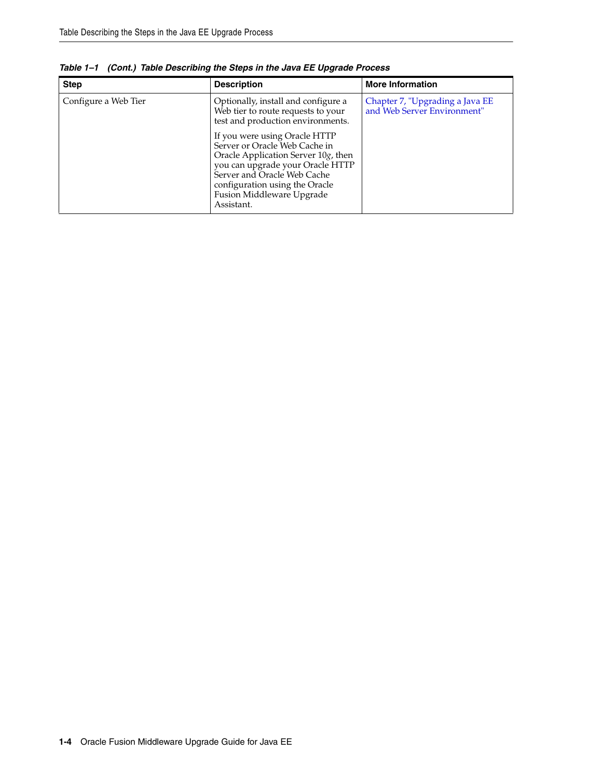| <b>Step</b>          | <b>Description</b>                                                                                                                                                                                                                                    | <b>More Information</b>                                        |
|----------------------|-------------------------------------------------------------------------------------------------------------------------------------------------------------------------------------------------------------------------------------------------------|----------------------------------------------------------------|
| Configure a Web Tier | Optionally, install and configure a<br>Web tier to route requests to your<br>test and production environments.                                                                                                                                        | Chapter 7, "Upgrading a Java EE<br>and Web Server Environment" |
|                      | If you were using Oracle HTTP<br>Server or Oracle Web Cache in<br>Oracle Application Server 10g, then<br>you can upgrade your Oracle HTTP<br>Server and Oracle Web Cache<br>configuration using the Oracle<br>Fusion Middleware Upgrade<br>Assistant. |                                                                |

*Table 1–1 (Cont.) Table Describing the Steps in the Java EE Upgrade Process*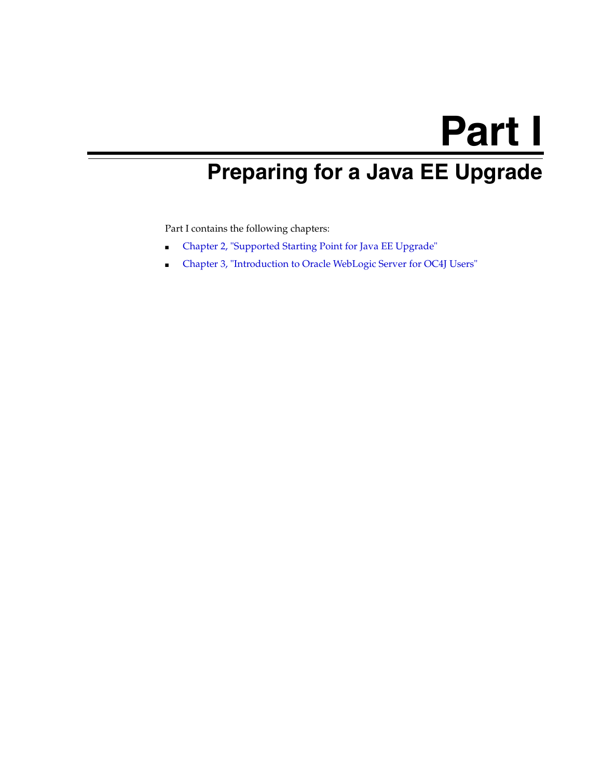# **Part I**

# <span id="page-14-1"></span>**Preparing for a Java EE Upgrade**

<span id="page-14-0"></span>Part I contains the following chapters:

- [Chapter 2, "Supported Starting Point for Java EE Upgrade"](#page-16-1)
- [Chapter 3, "Introduction to Oracle WebLogic Server for OC4J Users"](#page-18-3)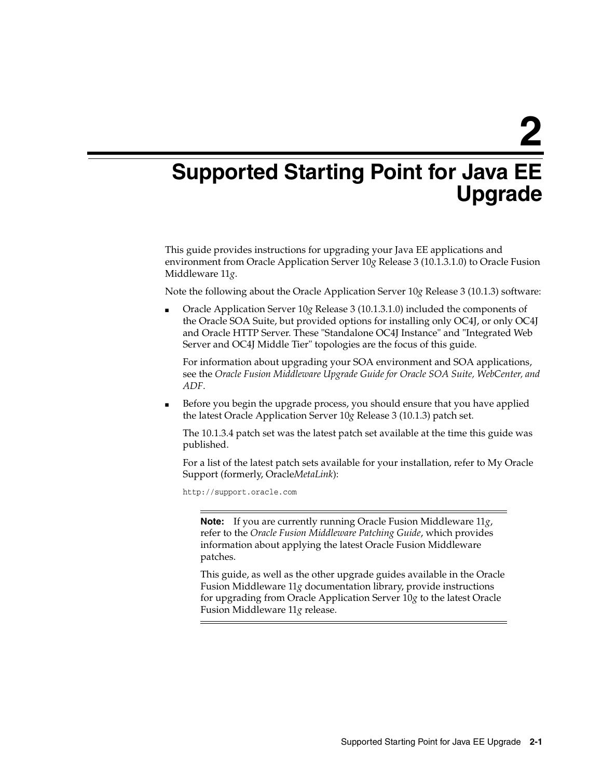**2**

# <span id="page-16-1"></span><span id="page-16-0"></span><sup>2</sup>**Supported Starting Point for Java EE Upgrade**

This guide provides instructions for upgrading your Java EE applications and environment from Oracle Application Server 10*g* Release 3 (10.1.3.1.0) to Oracle Fusion Middleware 11*g*.

Note the following about the Oracle Application Server 10*g* Release 3 (10.1.3) software:

Oracle Application Server 10*g* Release 3 (10.1.3.1.0) included the components of the Oracle SOA Suite, but provided options for installing only OC4J, or only OC4J and Oracle HTTP Server. These "Standalone OC4J Instance" and "Integrated Web Server and OC4J Middle Tier" topologies are the focus of this guide.

For information about upgrading your SOA environment and SOA applications, see the *Oracle Fusion Middleware Upgrade Guide for Oracle SOA Suite, WebCenter, and ADF*.

Before you begin the upgrade process, you should ensure that you have applied the latest Oracle Application Server 10*g* Release 3 (10.1.3) patch set.

The 10.1.3.4 patch set was the latest patch set available at the time this guide was published.

For a list of the latest patch sets available for your installation, refer to My Oracle Support (formerly, Oracle*MetaLink*):

http://support.oracle.com

**Note:** If you are currently running Oracle Fusion Middleware 11*g*, refer to the *Oracle Fusion Middleware Patching Guide*, which provides information about applying the latest Oracle Fusion Middleware patches.

This guide, as well as the other upgrade guides available in the Oracle Fusion Middleware 11*g* documentation library, provide instructions for upgrading from Oracle Application Server 10*g* to the latest Oracle Fusion Middleware 11*g* release.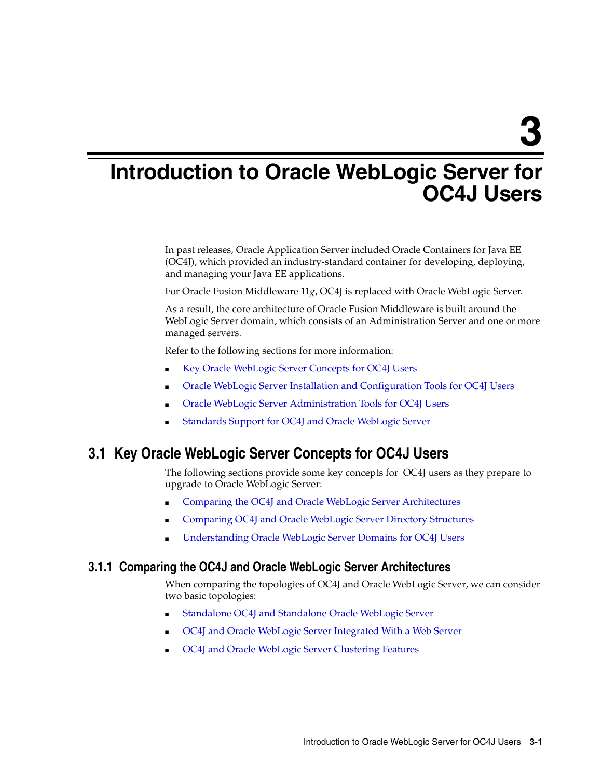# <span id="page-18-3"></span><span id="page-18-0"></span><sup>3</sup>**Introduction to Oracle WebLogic Server for OC4J Users**

In past releases, Oracle Application Server included Oracle Containers for Java EE (OC4J), which provided an industry-standard container for developing, deploying, and managing your Java EE applications.

For Oracle Fusion Middleware 11*g*, OC4J is replaced with Oracle WebLogic Server.

As a result, the core architecture of Oracle Fusion Middleware is built around the WebLogic Server domain, which consists of an Administration Server and one or more managed servers.

Refer to the following sections for more information:

- [Key Oracle WebLogic Server Concepts for OC4J Users](#page-18-1)
- [Oracle WebLogic Server Installation and Configuration Tools for OC4J Users](#page-24-1)
- [Oracle WebLogic Server Administration Tools for OC4J Users](#page-25-0)
- [Standards Support for OC4J and Oracle WebLogic Server](#page-28-0)

## <span id="page-18-1"></span>**3.1 Key Oracle WebLogic Server Concepts for OC4J Users**

The following sections provide some key concepts for OC4J users as they prepare to upgrade to Oracle WebLogic Server:

- [Comparing the OC4J and Oracle WebLogic Server Architectures](#page-18-2)
- [Comparing OC4J and Oracle WebLogic Server Directory Structures](#page-21-0)
- [Understanding Oracle WebLogic Server Domains for OC4J Users](#page-22-0)

#### <span id="page-18-2"></span>**3.1.1 Comparing the OC4J and Oracle WebLogic Server Architectures**

When comparing the topologies of OC4J and Oracle WebLogic Server, we can consider two basic topologies:

- [Standalone OC4J and Standalone Oracle WebLogic Server](#page-19-0)
- [OC4J and Oracle WebLogic Server Integrated With a Web Server](#page-19-1)
- [OC4J and Oracle WebLogic Server Clustering Features](#page-20-0)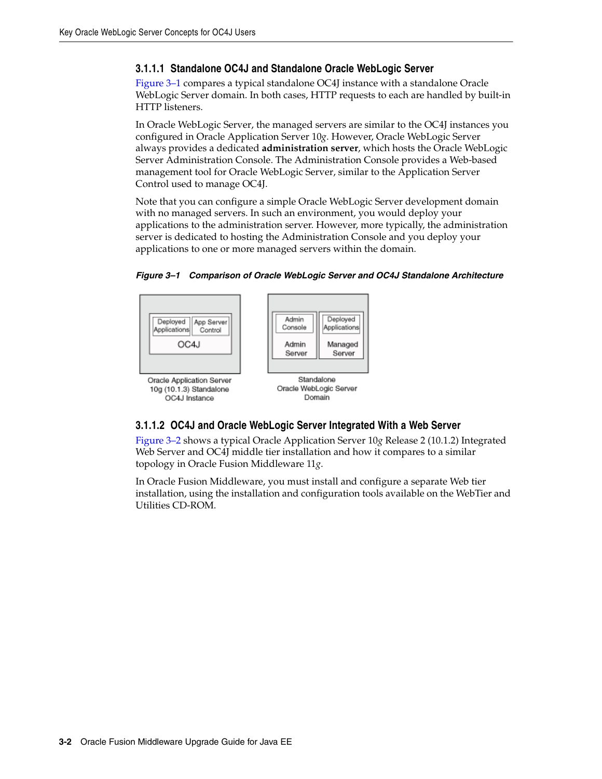#### <span id="page-19-0"></span>**3.1.1.1 Standalone OC4J and Standalone Oracle WebLogic Server**

[Figure 3–1](#page-19-2) compares a typical standalone OC4J instance with a standalone Oracle WebLogic Server domain. In both cases, HTTP requests to each are handled by built-in HTTP listeners.

In Oracle WebLogic Server, the managed servers are similar to the OC4J instances you configured in Oracle Application Server 10*g*. However, Oracle WebLogic Server always provides a dedicated **administration server**, which hosts the Oracle WebLogic Server Administration Console. The Administration Console provides a Web-based management tool for Oracle WebLogic Server, similar to the Application Server Control used to manage OC4J.

Note that you can configure a simple Oracle WebLogic Server development domain with no managed servers. In such an environment, you would deploy your applications to the administration server. However, more typically, the administration server is dedicated to hosting the Administration Console and you deploy your applications to one or more managed servers within the domain.

<span id="page-19-2"></span>

#### *Figure 3–1 Comparison of Oracle WebLogic Server and OC4J Standalone Architecture*

#### <span id="page-19-1"></span>**3.1.1.2 OC4J and Oracle WebLogic Server Integrated With a Web Server**

Figure 3–2 shows a typical Oracle Application Server 10*g* Release 2 (10.1.2) Integrated Web Server and OC4J middle tier installation and how it compares to a similar topology in Oracle Fusion Middleware 11*g*.

In Oracle Fusion Middleware, you must install and configure a separate Web tier installation, using the installation and configuration tools available on the WebTier and Utilities CD-ROM.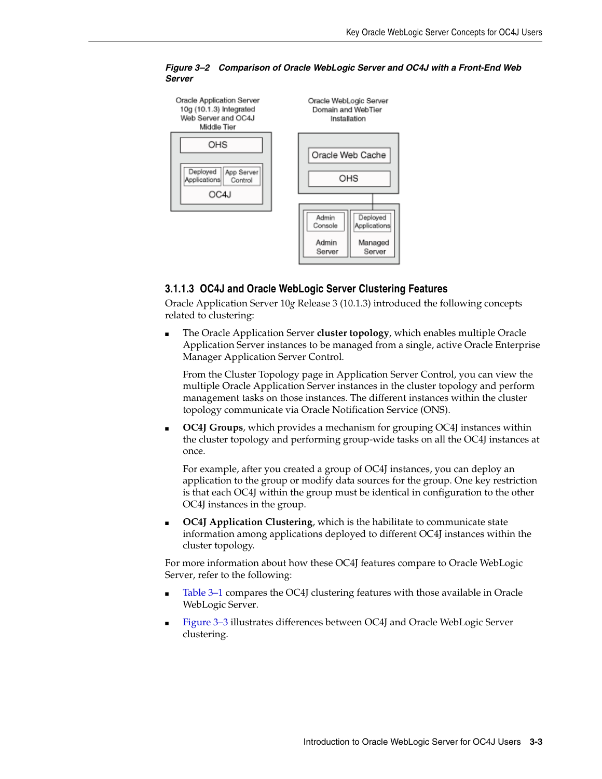

#### *Figure 3–2 Comparison of Oracle WebLogic Server and OC4J with a Front-End Web Server*

#### <span id="page-20-0"></span>**3.1.1.3 OC4J and Oracle WebLogic Server Clustering Features**

Oracle Application Server 10*g* Release 3 (10.1.3) introduced the following concepts related to clustering:

■ The Oracle Application Server **cluster topology**, which enables multiple Oracle Application Server instances to be managed from a single, active Oracle Enterprise Manager Application Server Control.

From the Cluster Topology page in Application Server Control, you can view the multiple Oracle Application Server instances in the cluster topology and perform management tasks on those instances. The different instances within the cluster topology communicate via Oracle Notification Service (ONS).

**OC4J Groups**, which provides a mechanism for grouping OC4J instances within the cluster topology and performing group-wide tasks on all the OC4J instances at once.

For example, after you created a group of OC4J instances, you can deploy an application to the group or modify data sources for the group. One key restriction is that each OC4J within the group must be identical in configuration to the other OC4J instances in the group.

**■ OC4J Application Clustering**, which is the habilitate to communicate state information among applications deployed to different OC4J instances within the cluster topology.

For more information about how these OC4J features compare to Oracle WebLogic Server, refer to the following:

- Table 3–1 compares the OC4J clustering features with those available in Oracle WebLogic Server.
- Figure 3–3 illustrates differences between OC4J and Oracle WebLogic Server clustering.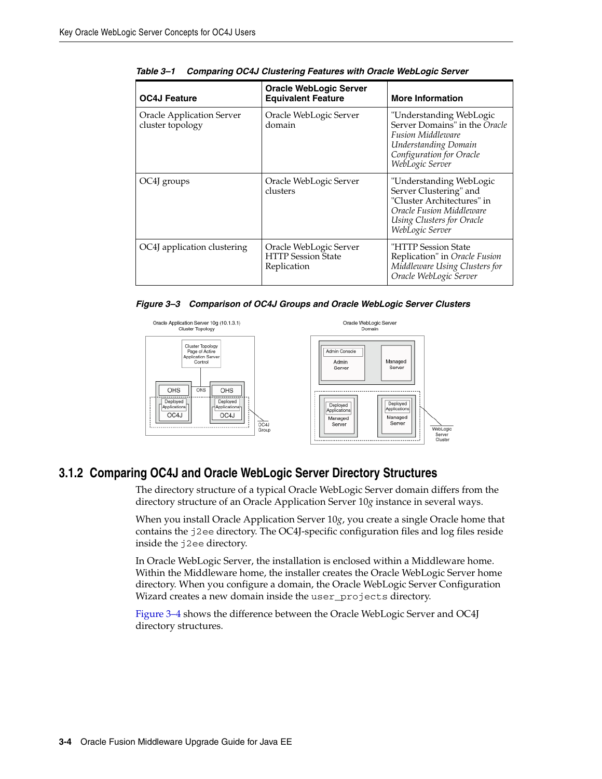| <b>OC4J Feature</b>                                  | <b>Oracle WebLogic Server</b><br><b>Equivalent Feature</b>         | <b>More Information</b>                                                                                                                                     |
|------------------------------------------------------|--------------------------------------------------------------------|-------------------------------------------------------------------------------------------------------------------------------------------------------------|
| <b>Oracle Application Server</b><br>cluster topology | Oracle WebLogic Server<br>domain                                   | "Understanding WebLogic<br>Server Domains" in the Oracle<br><b>Fusion Middleware</b><br>Understanding Domain<br>Configuration for Oracle<br>WebLogic Server |
| OC4J groups                                          | Oracle WebLogic Server<br>clusters                                 | "Understanding WebLogic<br>Server Clustering" and<br>"Cluster Architectures" in<br>Oracle Fusion Middleware<br>Using Clusters for Oracle<br>WebLogic Server |
| OC4J application clustering                          | Oracle WebLogic Server<br><b>HTTP Session State</b><br>Replication | "HTTP Session State<br>Replication" in Oracle Fusion<br>Middleware Using Clusters for<br>Oracle WebLogic Server                                             |

*Table 3–1 Comparing OC4J Clustering Features with Oracle WebLogic Server*

*Figure 3–3 Comparison of OC4J Groups and Oracle WebLogic Server Clusters*



#### <span id="page-21-0"></span>**3.1.2 Comparing OC4J and Oracle WebLogic Server Directory Structures**

The directory structure of a typical Oracle WebLogic Server domain differs from the directory structure of an Oracle Application Server 10*g* instance in several ways.

When you install Oracle Application Server 10*g*, you create a single Oracle home that contains the j2ee directory. The OC4J-specific configuration files and log files reside inside the j2ee directory.

In Oracle WebLogic Server, the installation is enclosed within a Middleware home. Within the Middleware home, the installer creates the Oracle WebLogic Server home directory. When you configure a domain, the Oracle WebLogic Server Configuration Wizard creates a new domain inside the user\_projects directory.

Figure 3–4 shows the difference between the Oracle WebLogic Server and OC4J directory structures.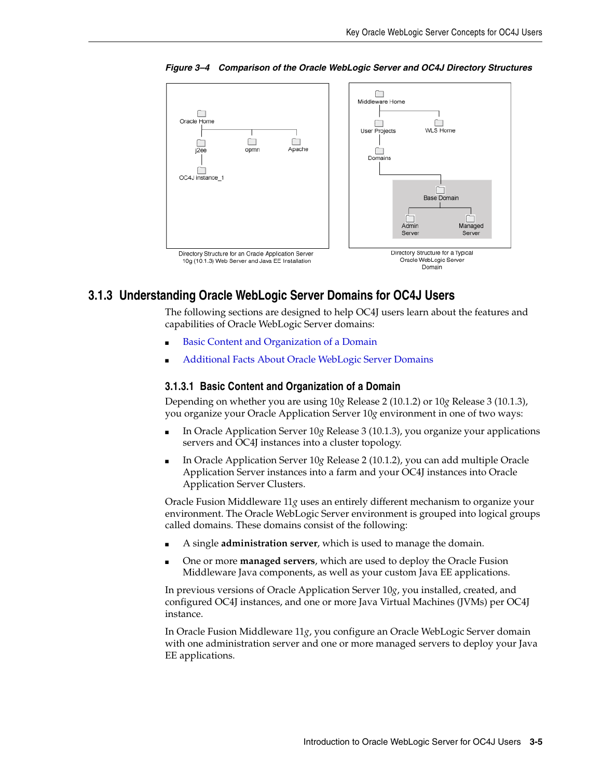

#### *Figure 3–4 Comparison of the Oracle WebLogic Server and OC4J Directory Structures*

#### <span id="page-22-0"></span>**3.1.3 Understanding Oracle WebLogic Server Domains for OC4J Users**

The following sections are designed to help OC4J users learn about the features and capabilities of Oracle WebLogic Server domains:

- [Basic Content and Organization of a Domain](#page-22-1)
- [Additional Facts About Oracle WebLogic Server Domains](#page-23-0)

#### <span id="page-22-1"></span>**3.1.3.1 Basic Content and Organization of a Domain**

Depending on whether you are using 10*g* Release 2 (10.1.2) or 10*g* Release 3 (10.1.3), you organize your Oracle Application Server 10*g* environment in one of two ways:

- In Oracle Application Server 10*g* Release 3 (10.1.3), you organize your applications servers and OC4J instances into a cluster topology.
- In Oracle Application Server 10*g* Release 2 (10.1.2), you can add multiple Oracle Application Server instances into a farm and your OC4J instances into Oracle Application Server Clusters.

Oracle Fusion Middleware 11*g* uses an entirely different mechanism to organize your environment. The Oracle WebLogic Server environment is grouped into logical groups called domains. These domains consist of the following:

- A single **administration server**, which is used to manage the domain.
- One or more **managed servers**, which are used to deploy the Oracle Fusion Middleware Java components, as well as your custom Java EE applications.

In previous versions of Oracle Application Server 10*g*, you installed, created, and configured OC4J instances, and one or more Java Virtual Machines (JVMs) per OC4J instance.

In Oracle Fusion Middleware 11*g*, you configure an Oracle WebLogic Server domain with one administration server and one or more managed servers to deploy your Java EE applications.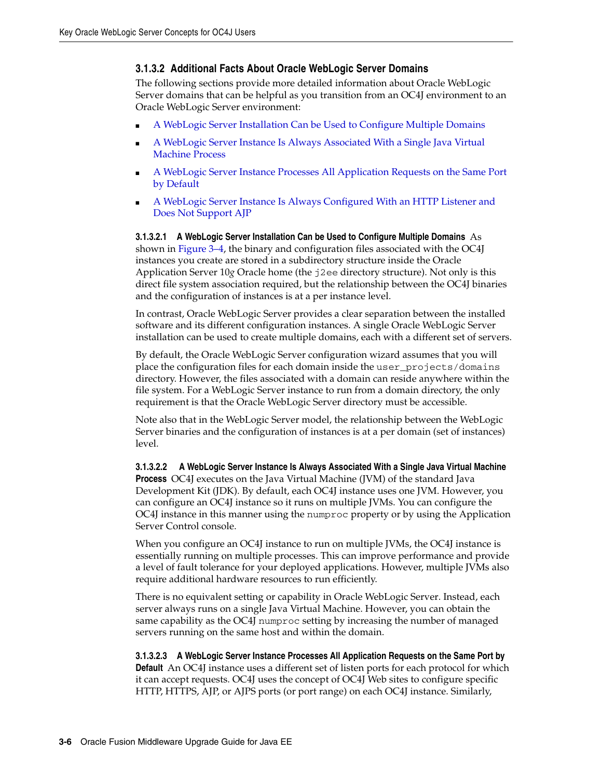#### <span id="page-23-0"></span>**3.1.3.2 Additional Facts About Oracle WebLogic Server Domains**

The following sections provide more detailed information about Oracle WebLogic Server domains that can be helpful as you transition from an OC4J environment to an Oracle WebLogic Server environment:

- [A WebLogic Server Installation Can be Used to Configure Multiple Domains](#page-23-1)
- A WebLogic Server Instance Is Always Associated With a Single Java Virtual [Machine Process](#page-23-2)
- A WebLogic Server Instance Processes All Application Requests on the Same Port [by Default](#page-23-3)
- A WebLogic Server Instance Is Always Configured With an HTTP Listener and [Does Not Support AJP](#page-24-0)

<span id="page-23-1"></span>**3.1.3.2.1 A WebLogic Server Installation Can be Used to Configure Multiple Domains** As shown in Figure 3–4, the binary and configuration files associated with the OC4J instances you create are stored in a subdirectory structure inside the Oracle Application Server 10*g* Oracle home (the j2ee directory structure). Not only is this direct file system association required, but the relationship between the OC4J binaries and the configuration of instances is at a per instance level.

In contrast, Oracle WebLogic Server provides a clear separation between the installed software and its different configuration instances. A single Oracle WebLogic Server installation can be used to create multiple domains, each with a different set of servers.

By default, the Oracle WebLogic Server configuration wizard assumes that you will place the configuration files for each domain inside the user\_projects/domains directory. However, the files associated with a domain can reside anywhere within the file system. For a WebLogic Server instance to run from a domain directory, the only requirement is that the Oracle WebLogic Server directory must be accessible.

Note also that in the WebLogic Server model, the relationship between the WebLogic Server binaries and the configuration of instances is at a per domain (set of instances) level.

<span id="page-23-2"></span>**3.1.3.2.2 A WebLogic Server Instance Is Always Associated With a Single Java Virtual Machine Process** OC4J executes on the Java Virtual Machine (JVM) of the standard Java Development Kit (JDK). By default, each OC4J instance uses one JVM. However, you can configure an OC4J instance so it runs on multiple JVMs. You can configure the OC4J instance in this manner using the numproc property or by using the Application Server Control console.

When you configure an OC4J instance to run on multiple JVMs, the OC4J instance is essentially running on multiple processes. This can improve performance and provide a level of fault tolerance for your deployed applications. However, multiple JVMs also require additional hardware resources to run efficiently.

There is no equivalent setting or capability in Oracle WebLogic Server. Instead, each server always runs on a single Java Virtual Machine. However, you can obtain the same capability as the OC4J numproc setting by increasing the number of managed servers running on the same host and within the domain.

<span id="page-23-3"></span>**3.1.3.2.3 A WebLogic Server Instance Processes All Application Requests on the Same Port by Default** An OC4J instance uses a different set of listen ports for each protocol for which it can accept requests. OC4J uses the concept of OC4J Web sites to configure specific HTTP, HTTPS, AJP, or AJPS ports (or port range) on each OC4J instance. Similarly,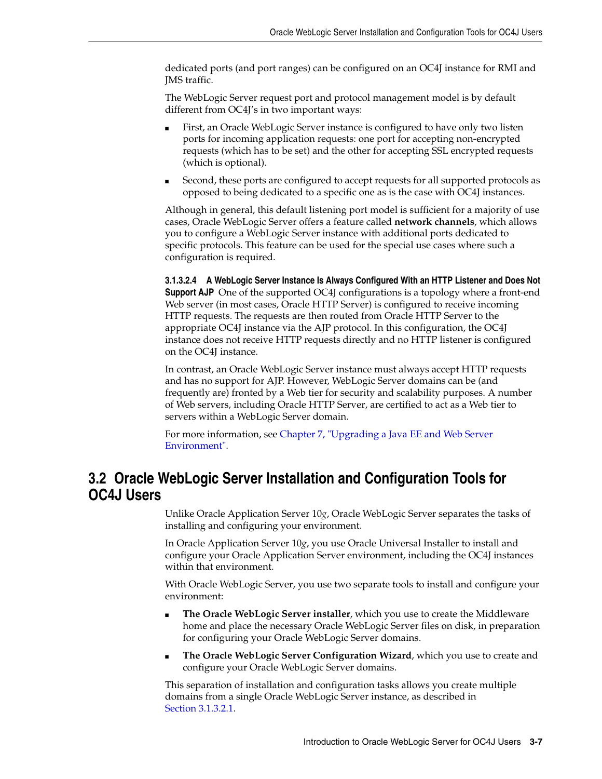dedicated ports (and port ranges) can be configured on an OC4J instance for RMI and JMS traffic.

The WebLogic Server request port and protocol management model is by default different from OC4J's in two important ways:

- First, an Oracle WebLogic Server instance is configured to have only two listen ports for incoming application requests: one port for accepting non-encrypted requests (which has to be set) and the other for accepting SSL encrypted requests (which is optional).
- Second, these ports are configured to accept requests for all supported protocols as opposed to being dedicated to a specific one as is the case with OC4J instances.

Although in general, this default listening port model is sufficient for a majority of use cases, Oracle WebLogic Server offers a feature called **network channels**, which allows you to configure a WebLogic Server instance with additional ports dedicated to specific protocols. This feature can be used for the special use cases where such a configuration is required.

<span id="page-24-0"></span>**3.1.3.2.4 A WebLogic Server Instance Is Always Configured With an HTTP Listener and Does Not Support AJP** One of the supported OC4J configurations is a topology where a front-end Web server (in most cases, Oracle HTTP Server) is configured to receive incoming HTTP requests. The requests are then routed from Oracle HTTP Server to the appropriate OC4J instance via the AJP protocol. In this configuration, the OC4J instance does not receive HTTP requests directly and no HTTP listener is configured on the OC4J instance.

In contrast, an Oracle WebLogic Server instance must always accept HTTP requests and has no support for AJP. However, WebLogic Server domains can be (and frequently are) fronted by a Web tier for security and scalability purposes. A number of Web servers, including Oracle HTTP Server, are certified to act as a Web tier to servers within a WebLogic Server domain.

For more information, see [Chapter 7, "Upgrading a Java EE and Web Server](#page-58-3)  [Environment".](#page-58-3)

# <span id="page-24-1"></span>**3.2 Oracle WebLogic Server Installation and Configuration Tools for OC4J Users**

Unlike Oracle Application Server 10*g*, Oracle WebLogic Server separates the tasks of installing and configuring your environment.

In Oracle Application Server 10*g*, you use Oracle Universal Installer to install and configure your Oracle Application Server environment, including the OC4J instances within that environment.

With Oracle WebLogic Server, you use two separate tools to install and configure your environment:

- **The Oracle WebLogic Server installer**, which you use to create the Middleware home and place the necessary Oracle WebLogic Server files on disk, in preparation for configuring your Oracle WebLogic Server domains.
- **The Oracle WebLogic Server Configuration Wizard**, which you use to create and configure your Oracle WebLogic Server domains.

This separation of installation and configuration tasks allows you create multiple domains from a single Oracle WebLogic Server instance, as described in [Section 3.1.3.2.1](#page-23-1).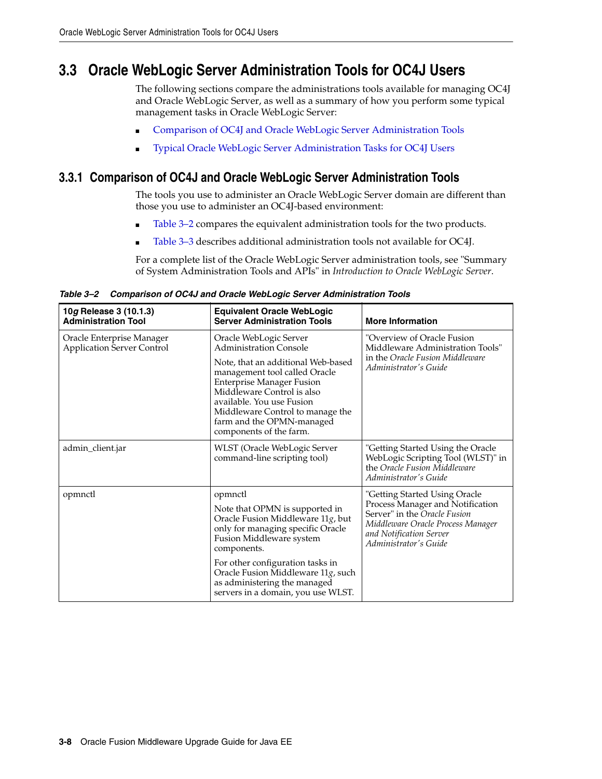# <span id="page-25-0"></span>**3.3 Oracle WebLogic Server Administration Tools for OC4J Users**

The following sections compare the administrations tools available for managing OC4J and Oracle WebLogic Server, as well as a summary of how you perform some typical management tasks in Oracle WebLogic Server:

- [Comparison of OC4J and Oracle WebLogic Server Administration Tools](#page-25-1)
- [Typical Oracle WebLogic Server Administration Tasks for OC4J Users](#page-26-0)

#### <span id="page-25-1"></span>**3.3.1 Comparison of OC4J and Oracle WebLogic Server Administration Tools**

The tools you use to administer an Oracle WebLogic Server domain are different than those you use to administer an OC4J-based environment:

- [Table 3–2](#page-25-2) compares the equivalent administration tools for the two products.
- Table 3–3 describes additional administration tools not available for OC4J.

For a complete list of the Oracle WebLogic Server administration tools, see "Summary of System Administration Tools and APIs" in *Introduction to Oracle WebLogic Server*.

| 10g Release 3 (10.1.3)<br><b>Administration Tool</b>    | <b>Equivalent Oracle WebLogic</b><br><b>Server Administration Tools</b>                                                                                                                                                                                                                                                   | <b>More Information</b>                                                                                                                                                                    |
|---------------------------------------------------------|---------------------------------------------------------------------------------------------------------------------------------------------------------------------------------------------------------------------------------------------------------------------------------------------------------------------------|--------------------------------------------------------------------------------------------------------------------------------------------------------------------------------------------|
| Oracle Enterprise Manager<br>Application Server Control | Oracle WebLogic Server<br><b>Administration Console</b><br>Note, that an additional Web-based<br>management tool called Oracle<br><b>Enterprise Manager Fusion</b><br>Middleware Control is also<br>available. You use Fusion<br>Middleware Control to manage the<br>farm and the OPMN-managed<br>components of the farm. | "Overview of Oracle Fusion<br>Middleware Administration Tools"<br>in the Oracle Fusion Middleware<br>Administrator's Guide                                                                 |
| admin_client.jar                                        | WLST (Oracle WebLogic Server<br>command-line scripting tool)                                                                                                                                                                                                                                                              | "Getting Started Using the Oracle<br>WebLogic Scripting Tool (WLST)" in<br>the Oracle Fusion Middleware<br>Administrator's Guide                                                           |
| opmnctl                                                 | opmnctl<br>Note that OPMN is supported in<br>Oracle Fusion Middleware 11g, but<br>only for managing specific Oracle<br>Fusion Middleware system<br>components.                                                                                                                                                            | "Getting Started Using Oracle<br>Process Manager and Notification<br>Server" in the Oracle Fusion<br>Middleware Oracle Process Manager<br>and Notification Server<br>Administrator's Guide |
|                                                         | For other configuration tasks in<br>Oracle Fusion Middleware 11g, such<br>as administering the managed<br>servers in a domain, you use WLST.                                                                                                                                                                              |                                                                                                                                                                                            |

<span id="page-25-2"></span>*Table 3–2 Comparison of OC4J and Oracle WebLogic Server Administration Tools*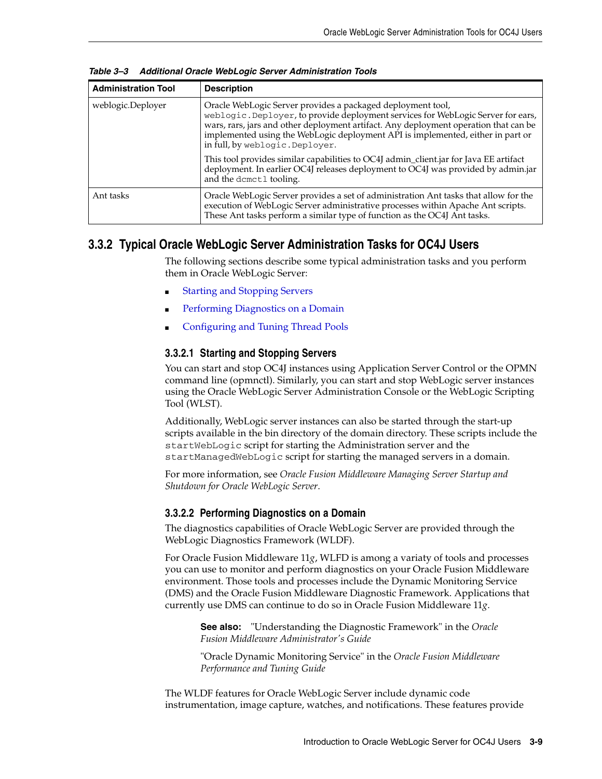| <b>Administration Tool</b> | <b>Description</b>                                                                                                                                                                                                                                                                                                                                           |
|----------------------------|--------------------------------------------------------------------------------------------------------------------------------------------------------------------------------------------------------------------------------------------------------------------------------------------------------------------------------------------------------------|
| weblogic.Deployer          | Oracle WebLogic Server provides a packaged deployment tool,<br>weblogic.Deployer, to provide deployment services for WebLogic Server for ears,<br>wars, rars, jars and other deployment artifact. Any deployment operation that can be<br>implemented using the WebLogic deployment API is implemented, either in part or<br>in full, by weblogic. Deployer. |
|                            | This tool provides similar capabilities to OC4J admin_client.jar for Java EE artifact<br>deployment. In earlier OC4J releases deployment to OC4J was provided by admin.jar<br>and the dcmctl tooling.                                                                                                                                                        |
| Ant tasks                  | Oracle WebLogic Server provides a set of administration Ant tasks that allow for the<br>execution of WebLogic Server administrative processes within Apache Ant scripts.<br>These Ant tasks perform a similar type of function as the OC4J Ant tasks.                                                                                                        |

*Table 3–3 Additional Oracle WebLogic Server Administration Tools*

#### <span id="page-26-0"></span>**3.3.2 Typical Oracle WebLogic Server Administration Tasks for OC4J Users**

The following sections describe some typical administration tasks and you perform them in Oracle WebLogic Server:

- **[Starting and Stopping Servers](#page-26-1)**
- [Performing Diagnostics on a Domain](#page-26-2)
- [Configuring and Tuning Thread Pools](#page-27-1)

#### <span id="page-26-1"></span>**3.3.2.1 Starting and Stopping Servers**

You can start and stop OC4J instances using Application Server Control or the OPMN command line (opmnctl). Similarly, you can start and stop WebLogic server instances using the Oracle WebLogic Server Administration Console or the WebLogic Scripting Tool (WLST).

Additionally, WebLogic server instances can also be started through the start-up scripts available in the bin directory of the domain directory. These scripts include the startWebLogic script for starting the Administration server and the startManagedWebLogic script for starting the managed servers in a domain.

For more information, see *Oracle Fusion Middleware Managing Server Startup and Shutdown for Oracle WebLogic Server*.

#### <span id="page-26-2"></span>**3.3.2.2 Performing Diagnostics on a Domain**

The diagnostics capabilities of Oracle WebLogic Server are provided through the WebLogic Diagnostics Framework (WLDF).

For Oracle Fusion Middleware 11*g*, WLFD is among a variaty of tools and processes you can use to monitor and perform diagnostics on your Oracle Fusion Middleware environment. Those tools and processes include the Dynamic Monitoring Service (DMS) and the Oracle Fusion Middleware Diagnostic Framework. Applications that currently use DMS can continue to do so in Oracle Fusion Middleware 11*g*.

**See also:** "Understanding the Diagnostic Framework" in the *Oracle Fusion Middleware Administrator's Guide*

"Oracle Dynamic Monitoring Service" in the *Oracle Fusion Middleware Performance and Tuning Guide*

The WLDF features for Oracle WebLogic Server include dynamic code instrumentation, image capture, watches, and notifications. These features provide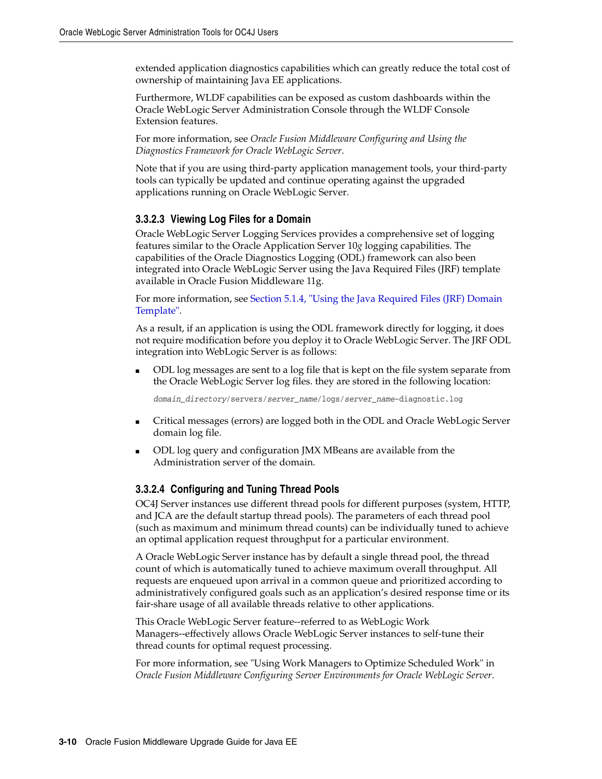extended application diagnostics capabilities which can greatly reduce the total cost of ownership of maintaining Java EE applications.

Furthermore, WLDF capabilities can be exposed as custom dashboards within the Oracle WebLogic Server Administration Console through the WLDF Console Extension features.

For more information, see *Oracle Fusion Middleware Configuring and Using the Diagnostics Framework for Oracle WebLogic Server*.

Note that if you are using third-party application management tools, your third-party tools can typically be updated and continue operating against the upgraded applications running on Oracle WebLogic Server.

#### <span id="page-27-0"></span>**3.3.2.3 Viewing Log Files for a Domain**

Oracle WebLogic Server Logging Services provides a comprehensive set of logging features similar to the Oracle Application Server 10*g* logging capabilities. The capabilities of the Oracle Diagnostics Logging (ODL) framework can also been integrated into Oracle WebLogic Server using the Java Required Files (JRF) template available in Oracle Fusion Middleware 11g.

For more information, see [Section 5.1.4, "Using the Java Required Files \(JRF\) Domain](#page-43-2)  [Template"](#page-43-2).

As a result, if an application is using the ODL framework directly for logging, it does not require modification before you deploy it to Oracle WebLogic Server. The JRF ODL integration into WebLogic Server is as follows:

ODL log messages are sent to a log file that is kept on the file system separate from the Oracle WebLogic Server log files. they are stored in the following location:

*domain\_directory*/servers/*server\_name*/logs/*server\_name*-diagnostic.log

- Critical messages (errors) are logged both in the ODL and Oracle WebLogic Server domain log file.
- ODL log query and configuration JMX MBeans are available from the Administration server of the domain.

#### <span id="page-27-1"></span>**3.3.2.4 Configuring and Tuning Thread Pools**

OC4J Server instances use different thread pools for different purposes (system, HTTP, and JCA are the default startup thread pools). The parameters of each thread pool (such as maximum and minimum thread counts) can be individually tuned to achieve an optimal application request throughput for a particular environment.

A Oracle WebLogic Server instance has by default a single thread pool, the thread count of which is automatically tuned to achieve maximum overall throughput. All requests are enqueued upon arrival in a common queue and prioritized according to administratively configured goals such as an application's desired response time or its fair-share usage of all available threads relative to other applications.

This Oracle WebLogic Server feature--referred to as WebLogic Work Managers--effectively allows Oracle WebLogic Server instances to self-tune their thread counts for optimal request processing.

For more information, see "Using Work Managers to Optimize Scheduled Work" in *Oracle Fusion Middleware Configuring Server Environments for Oracle WebLogic Server*.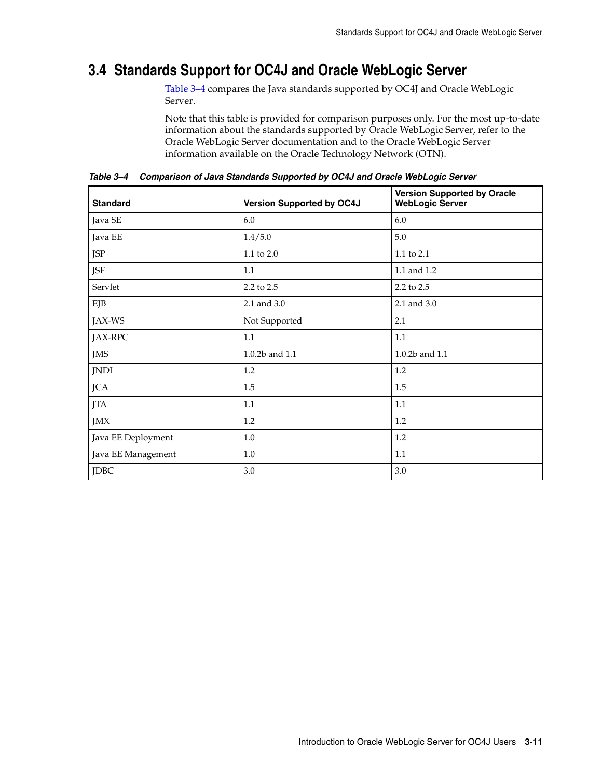# <span id="page-28-0"></span>**3.4 Standards Support for OC4J and Oracle WebLogic Server**

Table 3–4 compares the Java standards supported by OC4J and Oracle WebLogic Server.

Note that this table is provided for comparison purposes only. For the most up-to-date information about the standards supported by Oracle WebLogic Server, refer to the Oracle WebLogic Server documentation and to the Oracle WebLogic Server information available on the Oracle Technology Network (OTN).

*Table 3–4 Comparison of Java Standards Supported by OC4J and Oracle WebLogic Server*

| <b>Standard</b>    | Version Supported by OC4J | <b>Version Supported by Oracle</b><br><b>WebLogic Server</b> |  |
|--------------------|---------------------------|--------------------------------------------------------------|--|
| Java SE            | 6.0                       | 6.0                                                          |  |
| Java EE            | 1.4/5.0                   | 5.0                                                          |  |
| <b>JSP</b>         | 1.1 to 2.0                | 1.1 to 2.1                                                   |  |
| <b>JSF</b>         | 1.1                       | 1.1 and 1.2                                                  |  |
| Servlet            | 2.2 to 2.5                | 2.2 to 2.5                                                   |  |
| EJB                | 2.1 and 3.0               | 2.1 and 3.0                                                  |  |
| JAX-WS             | Not Supported             | 2.1                                                          |  |
| JAX-RPC            | 1.1                       | 1.1                                                          |  |
| <b>JMS</b>         | 1.0.2b and 1.1            | 1.0.2b and 1.1                                               |  |
| <b>JNDI</b>        | 1.2                       | 1.2                                                          |  |
| <b>JCA</b>         | 1.5                       | 1.5                                                          |  |
| <b>JTA</b>         | 1.1                       | 1.1                                                          |  |
| <b>JMX</b>         | 1.2                       | 1.2                                                          |  |
| Java EE Deployment | 1.0                       | 1.2                                                          |  |
| Java EE Management | 1.0                       | 1.1                                                          |  |
| <b>JDBC</b>        | 3.0                       | 3.0                                                          |  |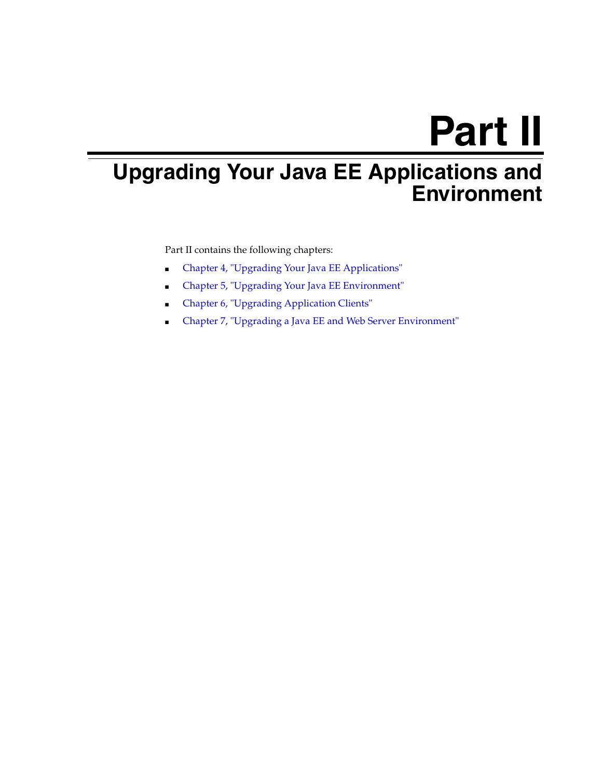# **Part II**

# <span id="page-30-0"></span>**Upgrading Your Java EE Applications and Environment**

Part II contains the following chapters:

- [Chapter 4, "Upgrading Your Java EE Applications"](#page-32-4)
- [Chapter 5, "Upgrading Your Java EE Environment"](#page-40-3)
- [Chapter 6, "Upgrading Application Clients"](#page-52-3)
- [Chapter 7, "Upgrading a Java EE and Web Server Environment"](#page-58-3)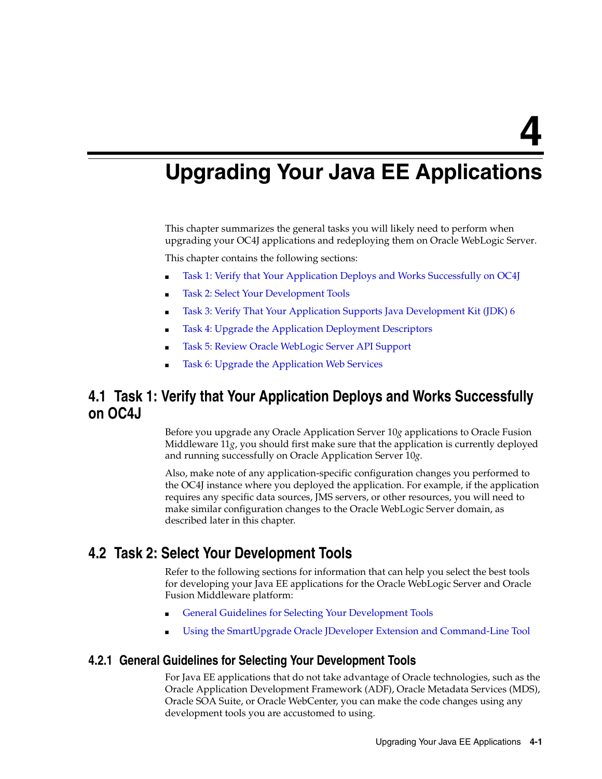# <span id="page-32-4"></span><span id="page-32-0"></span><sup>4</sup>**Upgrading Your Java EE Applications**

This chapter summarizes the general tasks you will likely need to perform when upgrading your OC4J applications and redeploying them on Oracle WebLogic Server.

This chapter contains the following sections:

- [Task 1: Verify that Your Application Deploys and Works Successfully on OC4J](#page-32-1)
- [Task 2: Select Your Development Tools](#page-32-2)
- [Task 3: Verify That Your Application Supports Java Development Kit \(JDK\) 6](#page-33-1)
- [Task 4: Upgrade the Application Deployment Descriptors](#page-33-2)
- [Task 5: Review Oracle WebLogic Server API Support](#page-35-2)
- [Task 6: Upgrade the Application Web Services](#page-37-0)

## <span id="page-32-1"></span>**4.1 Task 1: Verify that Your Application Deploys and Works Successfully on OC4J**

Before you upgrade any Oracle Application Server 10*g* applications to Oracle Fusion Middleware 11*g*, you should first make sure that the application is currently deployed and running successfully on Oracle Application Server 10*g*.

Also, make note of any application-specific configuration changes you performed to the OC4J instance where you deployed the application. For example, if the application requires any specific data sources, JMS servers, or other resources, you will need to make similar configuration changes to the Oracle WebLogic Server domain, as described later in this chapter.

# <span id="page-32-2"></span>**4.2 Task 2: Select Your Development Tools**

Refer to the following sections for information that can help you select the best tools for developing your Java EE applications for the Oracle WebLogic Server and Oracle Fusion Middleware platform:

- [General Guidelines for Selecting Your Development Tools](#page-32-3)
- [Using the SmartUpgrade Oracle JDeveloper Extension and Command-Line Tool](#page-33-0)

#### <span id="page-32-3"></span>**4.2.1 General Guidelines for Selecting Your Development Tools**

For Java EE applications that do not take advantage of Oracle technologies, such as the Oracle Application Development Framework (ADF), Oracle Metadata Services (MDS), Oracle SOA Suite, or Oracle WebCenter, you can make the code changes using any development tools you are accustomed to using.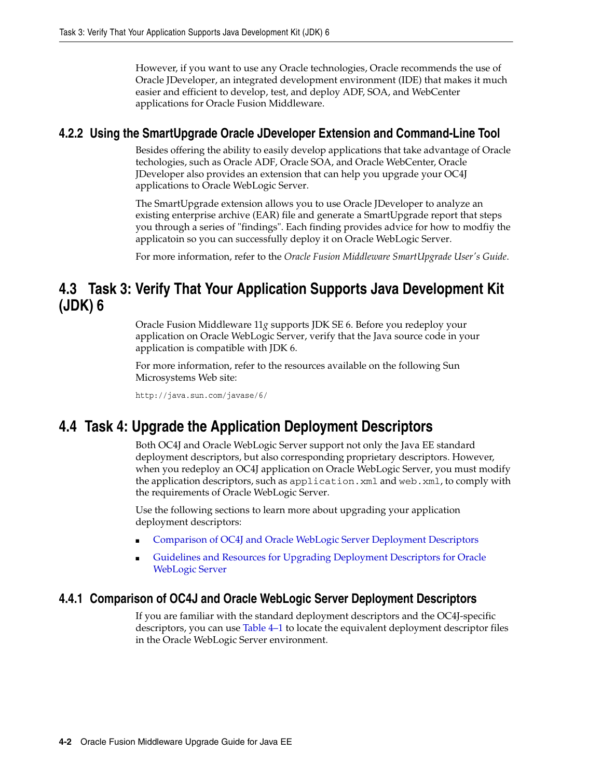However, if you want to use any Oracle technologies, Oracle recommends the use of Oracle JDeveloper, an integrated development environment (IDE) that makes it much easier and efficient to develop, test, and deploy ADF, SOA, and WebCenter applications for Oracle Fusion Middleware.

#### <span id="page-33-0"></span>**4.2.2 Using the SmartUpgrade Oracle JDeveloper Extension and Command-Line Tool**

Besides offering the ability to easily develop applications that take advantage of Oracle techologies, such as Oracle ADF, Oracle SOA, and Oracle WebCenter, Oracle JDeveloper also provides an extension that can help you upgrade your OC4J applications to Oracle WebLogic Server.

The SmartUpgrade extension allows you to use Oracle JDeveloper to analyze an existing enterprise archive (EAR) file and generate a SmartUpgrade report that steps you through a series of "findings". Each finding provides advice for how to modfiy the applicatoin so you can successfully deploy it on Oracle WebLogic Server.

For more information, refer to the *Oracle Fusion Middleware SmartUpgrade User's Guide*.

# <span id="page-33-1"></span>**4.3 Task 3: Verify That Your Application Supports Java Development Kit (JDK) 6**

Oracle Fusion Middleware 11*g* supports JDK SE 6. Before you redeploy your application on Oracle WebLogic Server, verify that the Java source code in your application is compatible with JDK 6.

For more information, refer to the resources available on the following Sun Microsystems Web site:

http://java.sun.com/javase/6/

# <span id="page-33-2"></span>**4.4 Task 4: Upgrade the Application Deployment Descriptors**

Both OC4J and Oracle WebLogic Server support not only the Java EE standard deployment descriptors, but also corresponding proprietary descriptors. However, when you redeploy an OC4J application on Oracle WebLogic Server, you must modify the application descriptors, such as application.xml and web.xml, to comply with the requirements of Oracle WebLogic Server.

Use the following sections to learn more about upgrading your application deployment descriptors:

- [Comparison of OC4J and Oracle WebLogic Server Deployment Descriptors](#page-33-3)
- Guidelines and Resources for Upgrading Deployment Descriptors for Oracle [WebLogic Server](#page-34-0)

#### <span id="page-33-3"></span>**4.4.1 Comparison of OC4J and Oracle WebLogic Server Deployment Descriptors**

If you are familiar with the standard deployment descriptors and the OC4J-specific descriptors, you can use Table 4–1 to locate the equivalent deployment descriptor files in the Oracle WebLogic Server environment.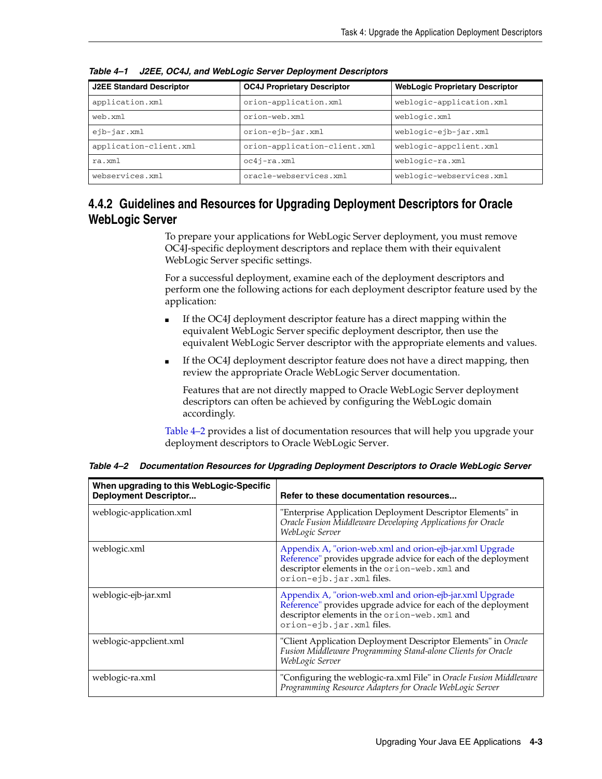| <b>J2EE Standard Descriptor</b> | <b>OC4J Proprietary Descriptor</b> | <b>WebLogic Proprietary Descriptor</b> |  |  |
|---------------------------------|------------------------------------|----------------------------------------|--|--|
| application.xml                 | orion-application.xml              | weblogic-application.xml               |  |  |
| web.xml                         | orion-web.xml                      | weblogic.xml                           |  |  |
| ejb-jar.xml                     | orion-ejb-jar.xml                  | weblogic-ejb-jar.xml                   |  |  |
| application-client.xml          | orion-application-client.xml       | weblogic-appclient.xml                 |  |  |
| ra.xml                          | oc4j-ra.xml                        | weblogic-ra.xml                        |  |  |
| webservices.xml                 | oracle-webservices.xml             | weblogic-webservices.xml               |  |  |

*Table 4–1 J2EE, OC4J, and WebLogic Server Deployment Descriptors*

#### <span id="page-34-0"></span>**4.4.2 Guidelines and Resources for Upgrading Deployment Descriptors for Oracle WebLogic Server**

To prepare your applications for WebLogic Server deployment, you must remove OC4J-specific deployment descriptors and replace them with their equivalent WebLogic Server specific settings.

For a successful deployment, examine each of the deployment descriptors and perform one the following actions for each deployment descriptor feature used by the application:

- If the OC4J deployment descriptor feature has a direct mapping within the equivalent WebLogic Server specific deployment descriptor, then use the equivalent WebLogic Server descriptor with the appropriate elements and values.
- If the OC4J deployment descriptor feature does not have a direct mapping, then review the appropriate Oracle WebLogic Server documentation.

Features that are not directly mapped to Oracle WebLogic Server deployment descriptors can often be achieved by configuring the WebLogic domain accordingly.

Table 4–2 provides a list of documentation resources that will help you upgrade your deployment descriptors to Oracle WebLogic Server.

| When upgrading to this WebLogic-Specific<br><b>Deployment Descriptor</b> | Refer to these documentation resources                                                                                                                                                                 |
|--------------------------------------------------------------------------|--------------------------------------------------------------------------------------------------------------------------------------------------------------------------------------------------------|
| weblogic-application.xml                                                 | "Enterprise Application Deployment Descriptor Elements" in<br>Oracle Fusion Middleware Developing Applications for Oracle<br>WebLogic Server                                                           |
| weblogic.xml                                                             | Appendix A, "orion-web.xml and orion-ejb-jar.xml Upgrade<br>Reference" provides upgrade advice for each of the deployment<br>descriptor elements in the orion-web. xml and<br>orion-ejb.jar.xml files. |
| weblogic-ejb-jar.xml                                                     | Appendix A, "orion-web.xml and orion-ejb-jar.xml Upgrade<br>Reference" provides upgrade advice for each of the deployment<br>descriptor elements in the orion-web. xml and<br>orion-ejb.jar.xmlfiles.  |
| weblogic-appclient.xml                                                   | "Client Application Deployment Descriptor Elements" in Oracle<br>Fusion Middleware Programming Stand-alone Clients for Oracle<br>WebLogic Server                                                       |
| weblogic-ra.xml                                                          | "Configuring the weblogic-ra.xml File" in Oracle Fusion Middleware<br>Programming Resource Adapters for Oracle WebLogic Server                                                                         |

*Table 4–2 Documentation Resources for Upgrading Deployment Descriptors to Oracle WebLogic Server*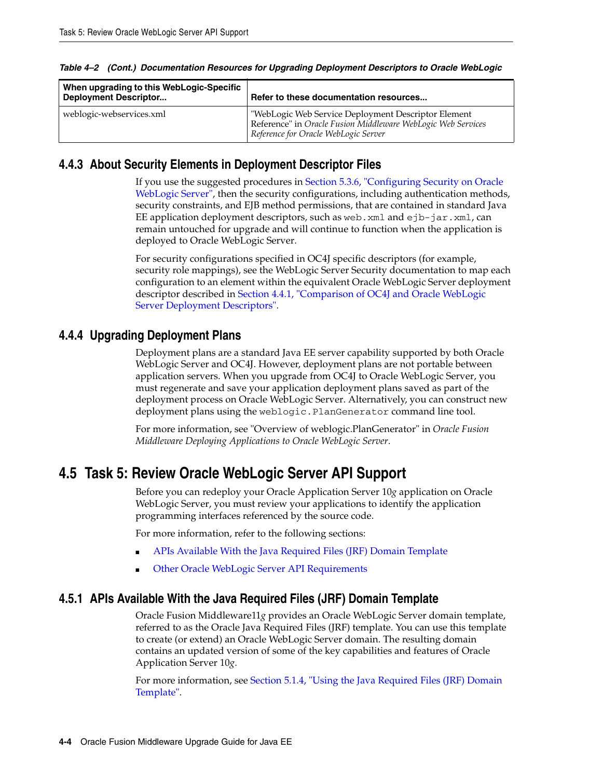| When upgrading to this WebLogic-Specific<br><b>Deployment Descriptor</b> | Refer to these documentation resources                                                                                                                      |
|--------------------------------------------------------------------------|-------------------------------------------------------------------------------------------------------------------------------------------------------------|
| weblogic-webservices.xml                                                 | "WebLogic Web Service Deployment Descriptor Element<br>Reference" in Oracle Fusion Middleware WebLogic Web Services<br>Reference for Oracle WebLogic Server |

|  |  | Table 4-2 (Cont.) Documentation Resources for Upgrading Deployment Descriptors to Oracle WebLogic |  |  |  |  |  |  |
|--|--|---------------------------------------------------------------------------------------------------|--|--|--|--|--|--|
|--|--|---------------------------------------------------------------------------------------------------|--|--|--|--|--|--|

#### <span id="page-35-0"></span>**4.4.3 About Security Elements in Deployment Descriptor Files**

If you use the suggested procedures in [Section 5.3.6, "Configuring Security on Oracle](#page-49-2)  [WebLogic Server"](#page-49-2), then the security configurations, including authentication methods, security constraints, and EJB method permissions, that are contained in standard Java EE application deployment descriptors, such as web.  $x$ ml and  $e$ jb-jar.  $x$ ml, can remain untouched for upgrade and will continue to function when the application is deployed to Oracle WebLogic Server.

For security configurations specified in OC4J specific descriptors (for example, security role mappings), see the WebLogic Server Security documentation to map each configuration to an element within the equivalent Oracle WebLogic Server deployment descriptor described in [Section 4.4.1, "Comparison of OC4J and Oracle WebLogic](#page-33-3)  [Server Deployment Descriptors"](#page-33-3).

#### <span id="page-35-1"></span>**4.4.4 Upgrading Deployment Plans**

Deployment plans are a standard Java EE server capability supported by both Oracle WebLogic Server and OC4J. However, deployment plans are not portable between application servers. When you upgrade from OC4J to Oracle WebLogic Server, you must regenerate and save your application deployment plans saved as part of the deployment process on Oracle WebLogic Server. Alternatively, you can construct new deployment plans using the weblogic.PlanGenerator command line tool.

For more information, see "Overview of weblogic.PlanGenerator" in *Oracle Fusion Middleware Deploying Applications to Oracle WebLogic Server*.

### <span id="page-35-2"></span>**4.5 Task 5: Review Oracle WebLogic Server API Support**

Before you can redeploy your Oracle Application Server 10*g* application on Oracle WebLogic Server, you must review your applications to identify the application programming interfaces referenced by the source code.

For more information, refer to the following sections:

- [APIs Available With the Java Required Files \(JRF\) Domain Template](#page-35-3)
- [Other Oracle WebLogic Server API Requirements](#page-36-0)

#### <span id="page-35-3"></span>**4.5.1 APIs Available With the Java Required Files (JRF) Domain Template**

Oracle Fusion Middleware11*g* provides an Oracle WebLogic Server domain template, referred to as the Oracle Java Required Files (JRF) template. You can use this template to create (or extend) an Oracle WebLogic Server domain. The resulting domain contains an updated version of some of the key capabilities and features of Oracle Application Server 10*g*.

For more information, see [Section 5.1.4, "Using the Java Required Files \(JRF\) Domain](#page-43-2)  [Template"](#page-43-2).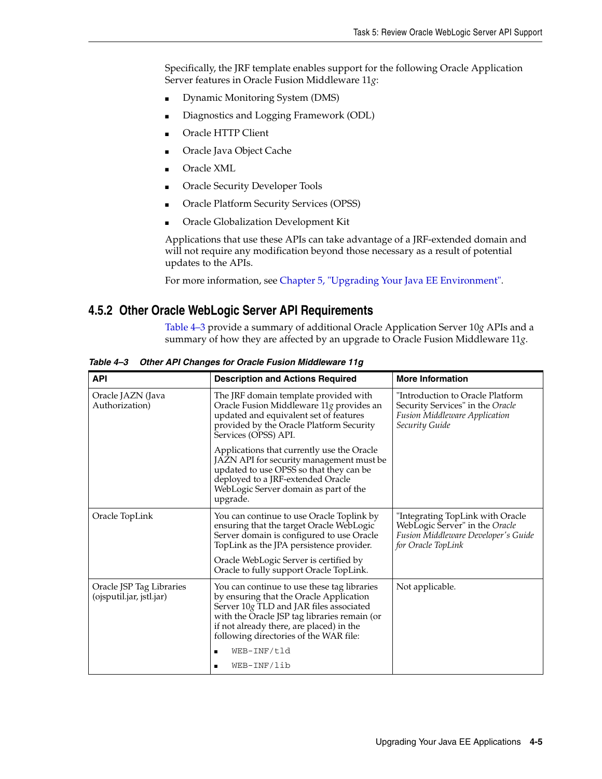Specifically, the JRF template enables support for the following Oracle Application Server features in Oracle Fusion Middleware 11*g*:

- Dynamic Monitoring System (DMS)
- Diagnostics and Logging Framework (ODL)
- Oracle HTTP Client
- Oracle Java Object Cache
- Oracle XML
- Oracle Security Developer Tools
- Oracle Platform Security Services (OPSS)
- Oracle Globalization Development Kit

Applications that use these APIs can take advantage of a JRF-extended domain and will not require any modification beyond those necessary as a result of potential updates to the APIs.

For more information, see [Chapter 5, "Upgrading Your Java EE Environment".](#page-40-0)

#### **4.5.2 Other Oracle WebLogic Server API Requirements**

Table 4–3 provide a summary of additional Oracle Application Server 10*g* APIs and a summary of how they are affected by an upgrade to Oracle Fusion Middleware 11*g*.

| <b>API</b>                                           | <b>Description and Actions Required</b>                                                                                                                                                                                                                                 | <b>More Information</b>                                                                                                         |
|------------------------------------------------------|-------------------------------------------------------------------------------------------------------------------------------------------------------------------------------------------------------------------------------------------------------------------------|---------------------------------------------------------------------------------------------------------------------------------|
| Oracle JAZN (Java<br>Authorization)                  | The JRF domain template provided with<br>Oracle Fusion Middleware 11g provides an<br>updated and equivalent set of features<br>provided by the Oracle Platform Security<br>Services (OPSS) API.                                                                         | "Introduction to Oracle Platform<br>Security Services" in the Oracle<br><b>Fusion Middleware Application</b><br>Security Guide  |
|                                                      | Applications that currently use the Oracle<br>JAZN API for security management must be<br>updated to use OPSS so that they can be<br>deployed to a JRF-extended Oracle<br>WebLogic Server domain as part of the<br>upgrade.                                             |                                                                                                                                 |
| Oracle TopLink                                       | You can continue to use Oracle Toplink by<br>ensuring that the target Oracle WebLogic<br>Server domain is configured to use Oracle<br>TopLink as the JPA persistence provider.                                                                                          | "Integrating TopLink with Oracle<br>WebLogic Server" in the Oracle<br>Fusion Middleware Developer's Guide<br>for Oracle TopLink |
|                                                      | Oracle WebLogic Server is certified by<br>Oracle to fully support Oracle TopLink.                                                                                                                                                                                       |                                                                                                                                 |
| Oracle JSP Tag Libraries<br>(ojsputil.jar, jstl.jar) | You can continue to use these tag libraries<br>by ensuring that the Oracle Application<br>Server 10g TLD and JAR files associated<br>with the Oracle JSP tag libraries remain (or<br>if not already there, are placed) in the<br>following directories of the WAR file: | Not applicable.                                                                                                                 |
|                                                      | WEB-INF/tld<br>$\blacksquare$                                                                                                                                                                                                                                           |                                                                                                                                 |
|                                                      | WEB-INF/lib                                                                                                                                                                                                                                                             |                                                                                                                                 |

*Table 4–3 Other API Changes for Oracle Fusion Middleware 11g*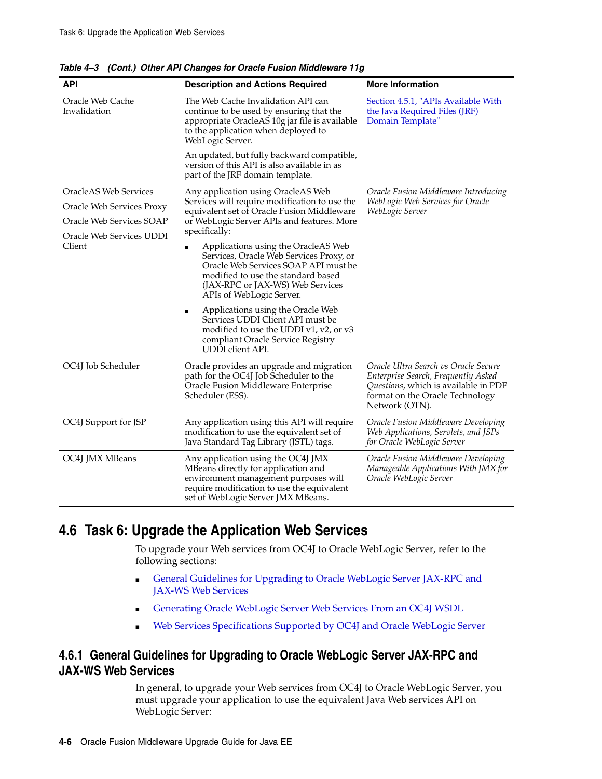| <b>API</b>                         | <b>Description and Actions Required</b>                                                                                                                                                                                                                                                                                                                                                                                             | <b>More Information</b>                                                                                                                                                  |
|------------------------------------|-------------------------------------------------------------------------------------------------------------------------------------------------------------------------------------------------------------------------------------------------------------------------------------------------------------------------------------------------------------------------------------------------------------------------------------|--------------------------------------------------------------------------------------------------------------------------------------------------------------------------|
| Oracle Web Cache<br>Invalidation   | The Web Cache Invalidation API can<br>continue to be used by ensuring that the<br>appropriate OracleAS 10g jar file is available<br>to the application when deployed to<br>WebLogic Server.                                                                                                                                                                                                                                         | Section 4.5.1, "APIs Available With<br>the Java Required Files (JRF)<br>Domain Template"                                                                                 |
|                                    | An updated, but fully backward compatible,<br>version of this API is also available in as<br>part of the JRF domain template.                                                                                                                                                                                                                                                                                                       |                                                                                                                                                                          |
| <b>OracleAS Web Services</b>       | Any application using OracleAS Web                                                                                                                                                                                                                                                                                                                                                                                                  | Oracle Fusion Middleware Introducing                                                                                                                                     |
| Oracle Web Services Proxy          | Services will require modification to use the<br>equivalent set of Oracle Fusion Middleware                                                                                                                                                                                                                                                                                                                                         | WebLogic Web Services for Oracle<br>WebLogic Server                                                                                                                      |
| Oracle Web Services SOAP           | or WebLogic Server APIs and features. More                                                                                                                                                                                                                                                                                                                                                                                          |                                                                                                                                                                          |
| Oracle Web Services UDDI<br>Client | specifically:<br>Applications using the OracleAS Web<br>Ξ<br>Services, Oracle Web Services Proxy, or<br>Oracle Web Services SOAP API must be<br>modified to use the standard based<br>(JAX-RPC or JAX-WS) Web Services<br>APIs of WebLogic Server.<br>Applications using the Oracle Web<br>г<br>Services UDDI Client API must be<br>modified to use the UDDI v1, v2, or v3<br>compliant Oracle Service Registry<br>UDDI client API. |                                                                                                                                                                          |
| OC4J Job Scheduler                 | Oracle provides an upgrade and migration<br>path for the OC4J Job Scheduler to the<br>Oracle Fusion Middleware Enterprise<br>Scheduler (ESS).                                                                                                                                                                                                                                                                                       | Oracle Ultra Search vs Oracle Secure<br>Enterprise Search, Frequently Asked<br>Questions, which is available in PDF<br>format on the Oracle Technology<br>Network (OTN). |
| OC4J Support for JSP               | Any application using this API will require<br>modification to use the equivalent set of<br>Java Standard Tag Library (JSTL) tags.                                                                                                                                                                                                                                                                                                  | Oracle Fusion Middleware Developing<br>Web Applications, Servlets, and JSPs<br>for Oracle WebLogic Server                                                                |
| OC4J JMX MBeans                    | Any application using the OC4J JMX<br>MBeans directly for application and<br>environment management purposes will<br>require modification to use the equivalent<br>set of WebLogic Server JMX MBeans.                                                                                                                                                                                                                               | Oracle Fusion Middleware Developing<br>Manageable Applications With JMX for<br>Oracle WebLogic Server                                                                    |

*Table 4–3 (Cont.) Other API Changes for Oracle Fusion Middleware 11g*

# **4.6 Task 6: Upgrade the Application Web Services**

To upgrade your Web services from OC4J to Oracle WebLogic Server, refer to the following sections:

- General Guidelines for Upgrading to Oracle WebLogic Server JAX-RPC and [JAX-WS Web Services](#page-37-0)
- [Generating Oracle WebLogic Server Web Services From an OC4J WSDL](#page-38-0)
- [Web Services Specifications Supported by OC4J and Oracle WebLogic Server](#page-38-1)

## <span id="page-37-0"></span>**4.6.1 General Guidelines for Upgrading to Oracle WebLogic Server JAX-RPC and JAX-WS Web Services**

In general, to upgrade your Web services from OC4J to Oracle WebLogic Server, you must upgrade your application to use the equivalent Java Web services API on WebLogic Server: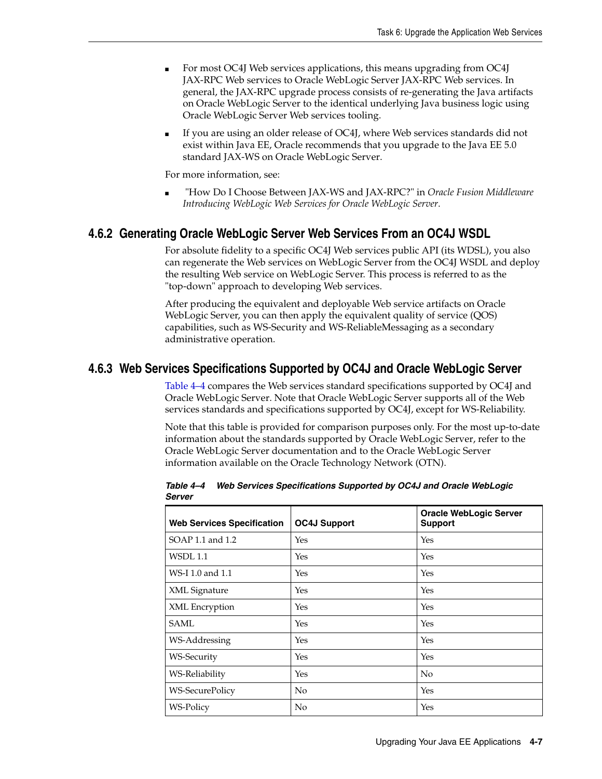- For most OC4J Web services applications, this means upgrading from OC4J JAX-RPC Web services to Oracle WebLogic Server JAX-RPC Web services. In general, the JAX-RPC upgrade process consists of re-generating the Java artifacts on Oracle WebLogic Server to the identical underlying Java business logic using Oracle WebLogic Server Web services tooling.
- If you are using an older release of OC4J, where Web services standards did not exist within Java EE, Oracle recommends that you upgrade to the Java EE 5.0 standard JAX-WS on Oracle WebLogic Server.

For more information, see:

■ "How Do I Choose Between JAX-WS and JAX-RPC?" in *Oracle Fusion Middleware Introducing WebLogic Web Services for Oracle WebLogic Server*.

#### <span id="page-38-0"></span>**4.6.2 Generating Oracle WebLogic Server Web Services From an OC4J WSDL**

For absolute fidelity to a specific OC4J Web services public API (its WDSL), you also can regenerate the Web services on WebLogic Server from the OC4J WSDL and deploy the resulting Web service on WebLogic Server. This process is referred to as the "top-down" approach to developing Web services.

After producing the equivalent and deployable Web service artifacts on Oracle WebLogic Server, you can then apply the equivalent quality of service (QOS) capabilities, such as WS-Security and WS-ReliableMessaging as a secondary administrative operation.

## <span id="page-38-1"></span>**4.6.3 Web Services Specifications Supported by OC4J and Oracle WebLogic Server**

Table 4–4 compares the Web services standard specifications supported by OC4J and Oracle WebLogic Server. Note that Oracle WebLogic Server supports all of the Web services standards and specifications supported by OC4J, except for WS-Reliability.

Note that this table is provided for comparison purposes only. For the most up-to-date information about the standards supported by Oracle WebLogic Server, refer to the Oracle WebLogic Server documentation and to the Oracle WebLogic Server information available on the Oracle Technology Network (OTN).

| <b>Web Services Specification</b> | <b>OC4J Support</b> | <b>Oracle WebLogic Server</b><br><b>Support</b> |
|-----------------------------------|---------------------|-------------------------------------------------|
| SOAP 1.1 and 1.2                  | Yes                 | Yes                                             |
| WSDL 1.1                          | Yes                 | Yes                                             |
| WS-I 1.0 and 1.1                  | Yes                 | Yes                                             |
| XML Signature                     | Yes                 | Yes                                             |
| XML Encryption                    | Yes                 | Yes                                             |
| SAML.                             | Yes                 | <b>Yes</b>                                      |
| WS-Addressing                     | Yes                 | Yes                                             |
| WS-Security                       | Yes                 | Yes                                             |
| WS-Reliability                    | Yes                 | No                                              |
| WS-SecurePolicy                   | No                  | Yes                                             |
| WS-Policy                         | No                  | Yes                                             |

*Table 4–4 Web Services Specifications Supported by OC4J and Oracle WebLogic Server*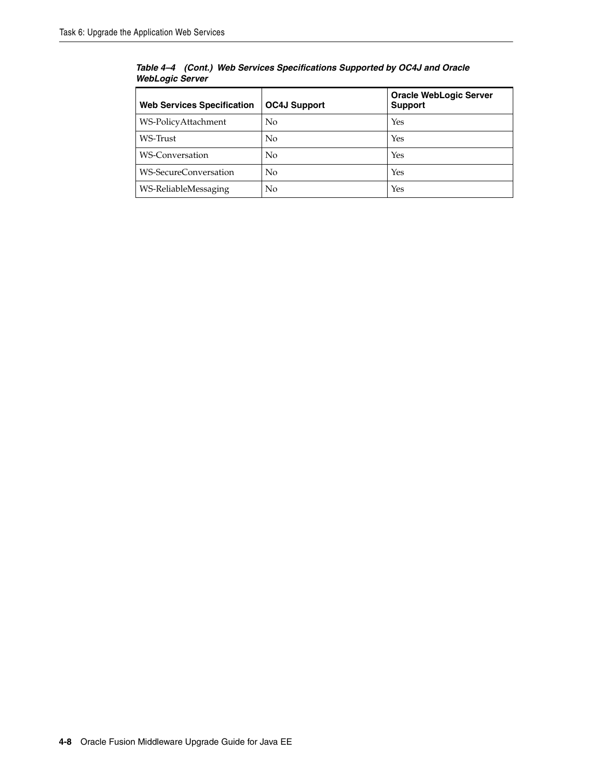| <b>Web Services Specification</b> | <b>OC4J Support</b> | <b>Oracle WebLogic Server</b><br><b>Support</b> |
|-----------------------------------|---------------------|-------------------------------------------------|
| WS-PolicyAttachment               | No                  | Yes                                             |
| WS-Trust                          | N <sub>o</sub>      | Yes                                             |
| WS-Conversation                   | N <sub>o</sub>      | Yes                                             |
| WS-SecureConversation             | No                  | Yes                                             |
| WS-ReliableMessaging              | No                  | Yes                                             |

*Table 4–4 (Cont.) Web Services Specifications Supported by OC4J and Oracle WebLogic Server*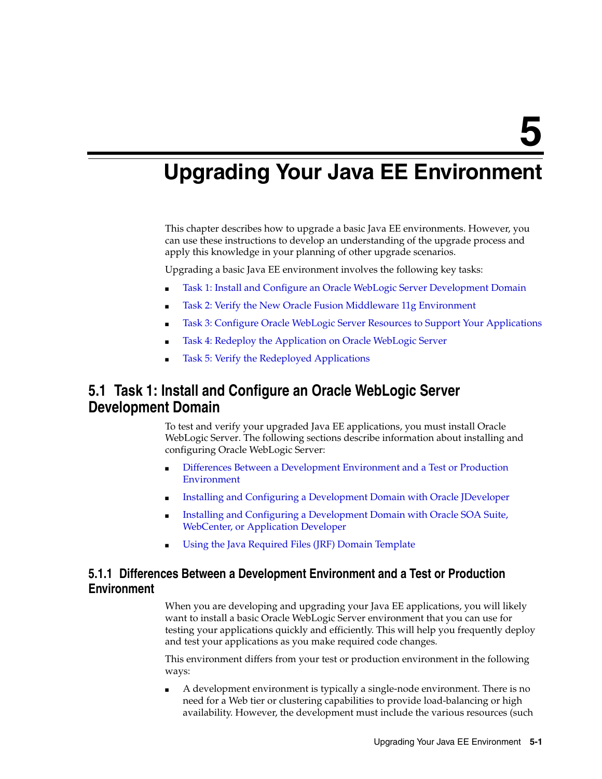# <span id="page-40-0"></span><sup>5</sup>**Upgrading Your Java EE Environment**

This chapter describes how to upgrade a basic Java EE environments. However, you can use these instructions to develop an understanding of the upgrade process and apply this knowledge in your planning of other upgrade scenarios.

Upgrading a basic Java EE environment involves the following key tasks:

- [Task 1: Install and Configure an Oracle WebLogic Server Development Domain](#page-40-2)
- [Task 2: Verify the New Oracle Fusion Middleware 11g Environment](#page-44-1)
- [Task 3: Configure Oracle WebLogic Server Resources to Support Your Applications](#page-44-0)
- [Task 4: Redeploy the Application on Oracle WebLogic Server](#page-51-0)
- [Task 5: Verify the Redeployed Applications](#page-51-1)

## <span id="page-40-3"></span><span id="page-40-2"></span>**5.1 Task 1: Install and Configure an Oracle WebLogic Server Development Domain**

To test and verify your upgraded Java EE applications, you must install Oracle WebLogic Server. The following sections describe information about installing and configuring Oracle WebLogic Server:

- Differences Between a Development Environment and a Test or Production [Environment](#page-40-1)
- [Installing and Configuring a Development Domain with Oracle JDeveloper](#page-41-0)
- Installing and Configuring a Development Domain with Oracle SOA Suite, [WebCenter, or Application Developer](#page-41-1)
- [Using the Java Required Files \(JRF\) Domain Template](#page-43-0)

## <span id="page-40-1"></span>**5.1.1 Differences Between a Development Environment and a Test or Production Environment**

When you are developing and upgrading your Java EE applications, you will likely want to install a basic Oracle WebLogic Server environment that you can use for testing your applications quickly and efficiently. This will help you frequently deploy and test your applications as you make required code changes.

This environment differs from your test or production environment in the following ways:

■ A development environment is typically a single-node environment. There is no need for a Web tier or clustering capabilities to provide load-balancing or high availability. However, the development must include the various resources (such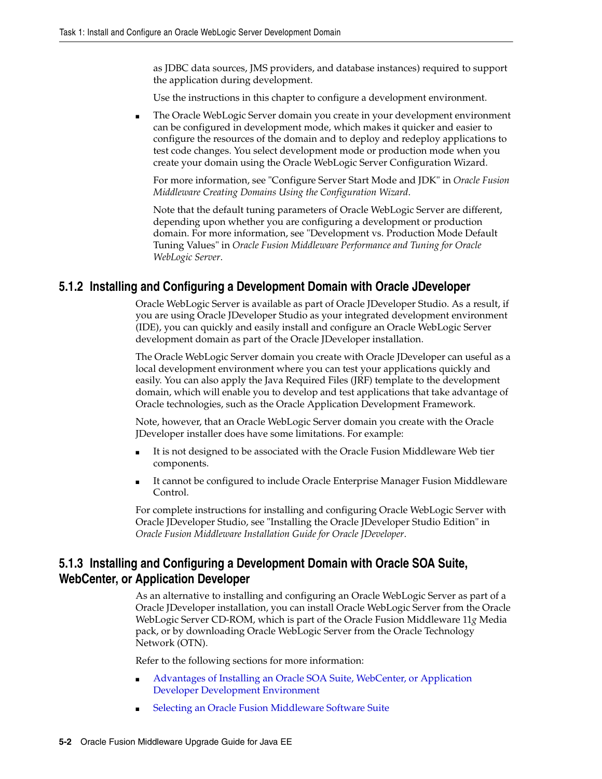as JDBC data sources, JMS providers, and database instances) required to support the application during development.

Use the instructions in this chapter to configure a development environment.

The Oracle WebLogic Server domain you create in your development environment can be configured in development mode, which makes it quicker and easier to configure the resources of the domain and to deploy and redeploy applications to test code changes. You select development mode or production mode when you create your domain using the Oracle WebLogic Server Configuration Wizard.

For more information, see "Configure Server Start Mode and JDK" in *Oracle Fusion Middleware Creating Domains Using the Configuration Wizard*.

Note that the default tuning parameters of Oracle WebLogic Server are different, depending upon whether you are configuring a development or production domain. For more information, see "Development vs. Production Mode Default Tuning Values" in *Oracle Fusion Middleware Performance and Tuning for Oracle WebLogic Server*.

## <span id="page-41-0"></span>**5.1.2 Installing and Configuring a Development Domain with Oracle JDeveloper**

Oracle WebLogic Server is available as part of Oracle JDeveloper Studio. As a result, if you are using Oracle JDeveloper Studio as your integrated development environment (IDE), you can quickly and easily install and configure an Oracle WebLogic Server development domain as part of the Oracle JDeveloper installation.

The Oracle WebLogic Server domain you create with Oracle JDeveloper can useful as a local development environment where you can test your applications quickly and easily. You can also apply the Java Required Files (JRF) template to the development domain, which will enable you to develop and test applications that take advantage of Oracle technologies, such as the Oracle Application Development Framework.

Note, however, that an Oracle WebLogic Server domain you create with the Oracle JDeveloper installer does have some limitations. For example:

- It is not designed to be associated with the Oracle Fusion Middleware Web tier components.
- It cannot be configured to include Oracle Enterprise Manager Fusion Middleware Control.

For complete instructions for installing and configuring Oracle WebLogic Server with Oracle JDeveloper Studio, see "Installing the Oracle JDeveloper Studio Edition" in *Oracle Fusion Middleware Installation Guide for Oracle JDeveloper*.

## <span id="page-41-1"></span>**5.1.3 Installing and Configuring a Development Domain with Oracle SOA Suite, WebCenter, or Application Developer**

As an alternative to installing and configuring an Oracle WebLogic Server as part of a Oracle JDeveloper installation, you can install Oracle WebLogic Server from the Oracle WebLogic Server CD-ROM, which is part of the Oracle Fusion Middleware 11*g* Media pack, or by downloading Oracle WebLogic Server from the Oracle Technology Network (OTN).

Refer to the following sections for more information:

- Advantages of Installing an Oracle SOA Suite, WebCenter, or Application [Developer Development Environment](#page-42-0)
- [Selecting an Oracle Fusion Middleware Software Suite](#page-42-1)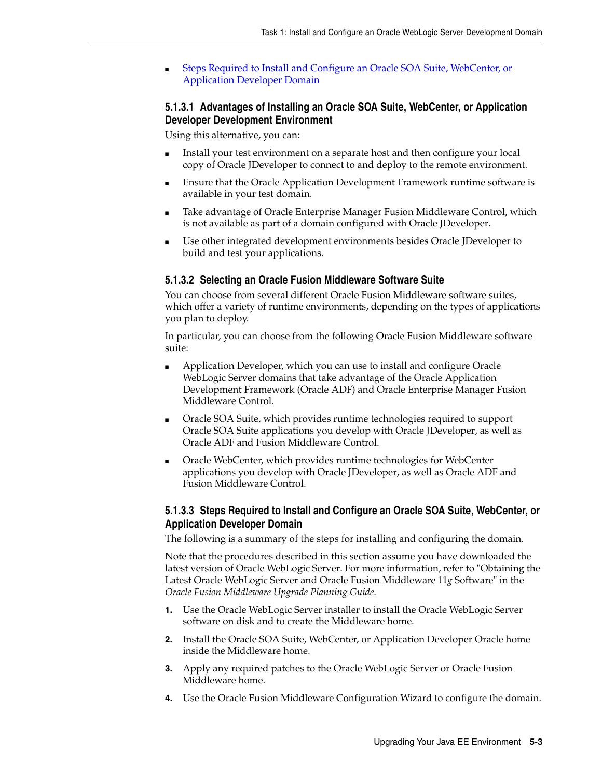Steps Required to Install and Configure an Oracle SOA Suite, WebCenter, or [Application Developer Domain](#page-42-2)

#### <span id="page-42-0"></span>**5.1.3.1 Advantages of Installing an Oracle SOA Suite, WebCenter, or Application Developer Development Environment**

Using this alternative, you can:

- Install your test environment on a separate host and then configure your local copy of Oracle JDeveloper to connect to and deploy to the remote environment.
- Ensure that the Oracle Application Development Framework runtime software is available in your test domain.
- Take advantage of Oracle Enterprise Manager Fusion Middleware Control, which is not available as part of a domain configured with Oracle JDeveloper.
- Use other integrated development environments besides Oracle JDeveloper to build and test your applications.

#### <span id="page-42-1"></span>**5.1.3.2 Selecting an Oracle Fusion Middleware Software Suite**

You can choose from several different Oracle Fusion Middleware software suites, which offer a variety of runtime environments, depending on the types of applications you plan to deploy.

In particular, you can choose from the following Oracle Fusion Middleware software suite:

- Application Developer, which you can use to install and configure Oracle WebLogic Server domains that take advantage of the Oracle Application Development Framework (Oracle ADF) and Oracle Enterprise Manager Fusion Middleware Control.
- Oracle SOA Suite, which provides runtime technologies required to support Oracle SOA Suite applications you develop with Oracle JDeveloper, as well as Oracle ADF and Fusion Middleware Control.
- Oracle WebCenter, which provides runtime technologies for WebCenter applications you develop with Oracle JDeveloper, as well as Oracle ADF and Fusion Middleware Control.

#### <span id="page-42-2"></span>**5.1.3.3 Steps Required to Install and Configure an Oracle SOA Suite, WebCenter, or Application Developer Domain**

The following is a summary of the steps for installing and configuring the domain.

Note that the procedures described in this section assume you have downloaded the latest version of Oracle WebLogic Server. For more information, refer to "Obtaining the Latest Oracle WebLogic Server and Oracle Fusion Middleware 11*g* Software" in the *Oracle Fusion Middleware Upgrade Planning Guide*.

- **1.** Use the Oracle WebLogic Server installer to install the Oracle WebLogic Server software on disk and to create the Middleware home.
- **2.** Install the Oracle SOA Suite, WebCenter, or Application Developer Oracle home inside the Middleware home.
- **3.** Apply any required patches to the Oracle WebLogic Server or Oracle Fusion Middleware home.
- **4.** Use the Oracle Fusion Middleware Configuration Wizard to configure the domain.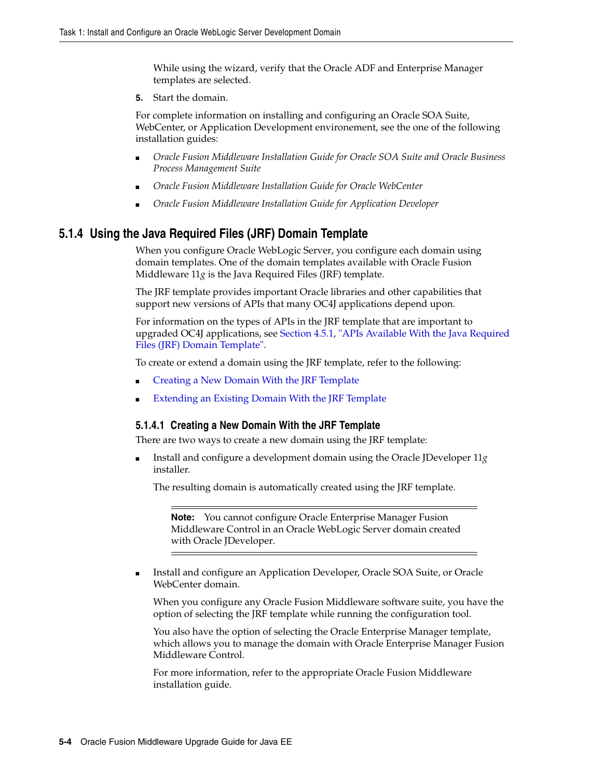While using the wizard, verify that the Oracle ADF and Enterprise Manager templates are selected.

**5.** Start the domain.

For complete information on installing and configuring an Oracle SOA Suite, WebCenter, or Application Development environement, see the one of the following installation guides:

- *Oracle Fusion Middleware Installation Guide for Oracle SOA Suite and Oracle Business Process Management Suite*
- *Oracle Fusion Middleware Installation Guide for Oracle WebCenter*
- *Oracle Fusion Middleware Installation Guide for Application Developer*

## <span id="page-43-0"></span>**5.1.4 Using the Java Required Files (JRF) Domain Template**

When you configure Oracle WebLogic Server, you configure each domain using domain templates. One of the domain templates available with Oracle Fusion Middleware 11*g* is the Java Required Files (JRF) template.

The JRF template provides important Oracle libraries and other capabilities that support new versions of APIs that many OC4J applications depend upon.

For information on the types of APIs in the JRF template that are important to upgraded OC4J applications, see [Section 4.5.1, "APIs Available With the Java Required](#page-35-1)  [Files \(JRF\) Domain Template"](#page-35-1).

To create or extend a domain using the JRF template, refer to the following:

- [Creating a New Domain With the JRF Template](#page-43-1)
- [Extending an Existing Domain With the JRF Template](#page-44-2)

#### <span id="page-43-1"></span>**5.1.4.1 Creating a New Domain With the JRF Template**

There are two ways to create a new domain using the JRF template:

Install and configure a development domain using the Oracle JDeveloper 11g installer.

The resulting domain is automatically created using the JRF template.

**Note:** You cannot configure Oracle Enterprise Manager Fusion Middleware Control in an Oracle WebLogic Server domain created with Oracle JDeveloper.

Install and configure an Application Developer, Oracle SOA Suite, or Oracle WebCenter domain.

When you configure any Oracle Fusion Middleware software suite, you have the option of selecting the JRF template while running the configuration tool.

You also have the option of selecting the Oracle Enterprise Manager template, which allows you to manage the domain with Oracle Enterprise Manager Fusion Middleware Control.

For more information, refer to the appropriate Oracle Fusion Middleware installation guide.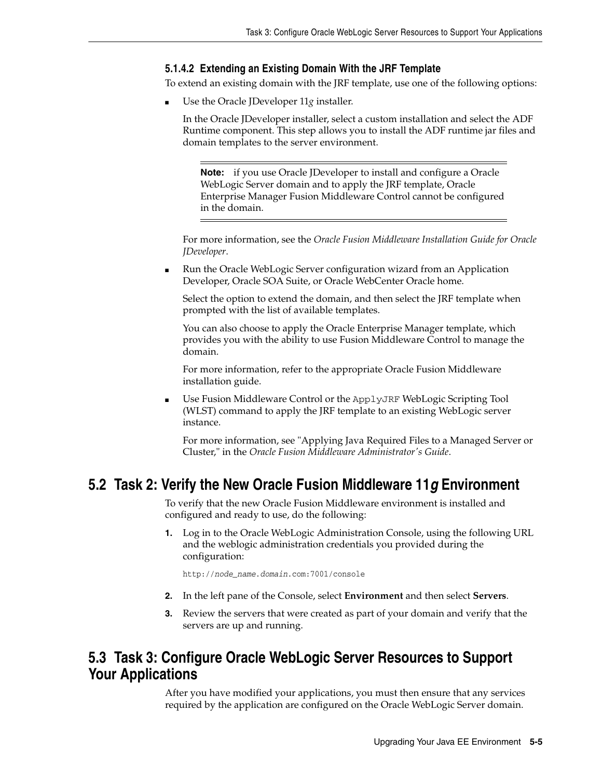#### <span id="page-44-2"></span>**5.1.4.2 Extending an Existing Domain With the JRF Template**

To extend an existing domain with the JRF template, use one of the following options:

Use the Oracle JDeveloper 11g installer.

In the Oracle JDeveloper installer, select a custom installation and select the ADF Runtime component. This step allows you to install the ADF runtime jar files and domain templates to the server environment.

**Note:** if you use Oracle JDeveloper to install and configure a Oracle WebLogic Server domain and to apply the JRF template, Oracle Enterprise Manager Fusion Middleware Control cannot be configured in the domain.

For more information, see the *Oracle Fusion Middleware Installation Guide for Oracle JDeveloper*.

Run the Oracle WebLogic Server configuration wizard from an Application Developer, Oracle SOA Suite, or Oracle WebCenter Oracle home.

Select the option to extend the domain, and then select the JRF template when prompted with the list of available templates.

You can also choose to apply the Oracle Enterprise Manager template, which provides you with the ability to use Fusion Middleware Control to manage the domain.

For more information, refer to the appropriate Oracle Fusion Middleware installation guide.

■ Use Fusion Middleware Control or the ApplyJRF WebLogic Scripting Tool (WLST) command to apply the JRF template to an existing WebLogic server instance.

For more information, see "Applying Java Required Files to a Managed Server or Cluster," in the *Oracle Fusion Middleware Administrator's Guide*.

## <span id="page-44-1"></span>**5.2 Task 2: Verify the New Oracle Fusion Middleware 11***g* **Environment**

To verify that the new Oracle Fusion Middleware environment is installed and configured and ready to use, do the following:

**1.** Log in to the Oracle WebLogic Administration Console, using the following URL and the weblogic administration credentials you provided during the configuration:

http://*node\_name*.*domain*.com:7001/console

- **2.** In the left pane of the Console, select **Environment** and then select **Servers**.
- **3.** Review the servers that were created as part of your domain and verify that the servers are up and running.

## <span id="page-44-0"></span>**5.3 Task 3: Configure Oracle WebLogic Server Resources to Support Your Applications**

After you have modified your applications, you must then ensure that any services required by the application are configured on the Oracle WebLogic Server domain.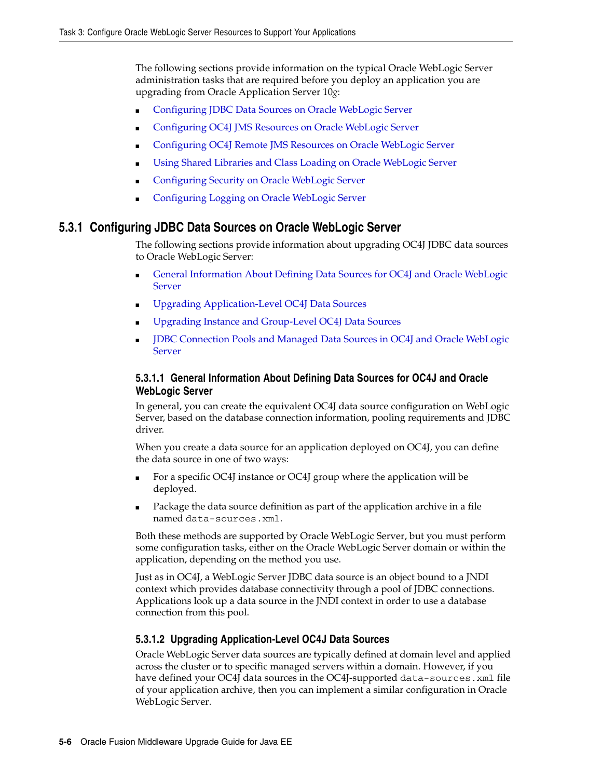The following sections provide information on the typical Oracle WebLogic Server administration tasks that are required before you deploy an application you are upgrading from Oracle Application Server 10*g*:

- [Configuring JDBC Data Sources on Oracle WebLogic Server](#page-45-2)
- [Configuring OC4J JMS Resources on Oracle WebLogic Server](#page-46-2)
- [Configuring OC4J Remote JMS Resources on Oracle WebLogic Server](#page-47-0)
- [Using Shared Libraries and Class Loading on Oracle WebLogic Server](#page-48-0)
- [Configuring Security on Oracle WebLogic Server](#page-49-0)
- [Configuring Logging on Oracle WebLogic Server](#page-50-0)

#### <span id="page-45-2"></span>**5.3.1 Configuring JDBC Data Sources on Oracle WebLogic Server**

The following sections provide information about upgrading OC4J JDBC data sources to Oracle WebLogic Server:

- General Information About Defining Data Sources for OC4J and Oracle WebLogic [Server](#page-45-0)
- [Upgrading Application-Level OC4J Data Sources](#page-45-1)
- [Upgrading Instance and Group-Level OC4J Data Sources](#page-46-0)
- JDBC Connection Pools and Managed Data Sources in OC4J and Oracle WebLogic [Server](#page-46-1)

#### <span id="page-45-0"></span>**5.3.1.1 General Information About Defining Data Sources for OC4J and Oracle WebLogic Server**

In general, you can create the equivalent OC4J data source configuration on WebLogic Server, based on the database connection information, pooling requirements and JDBC driver.

When you create a data source for an application deployed on OC4J, you can define the data source in one of two ways:

- For a specific OC4J instance or OC4J group where the application will be deployed.
- Package the data source definition as part of the application archive in a file named data-sources.xml.

Both these methods are supported by Oracle WebLogic Server, but you must perform some configuration tasks, either on the Oracle WebLogic Server domain or within the application, depending on the method you use.

Just as in OC4J, a WebLogic Server JDBC data source is an object bound to a JNDI context which provides database connectivity through a pool of JDBC connections. Applications look up a data source in the JNDI context in order to use a database connection from this pool.

#### <span id="page-45-1"></span>**5.3.1.2 Upgrading Application-Level OC4J Data Sources**

Oracle WebLogic Server data sources are typically defined at domain level and applied across the cluster or to specific managed servers within a domain. However, if you have defined your OC4J data sources in the OC4J-supported data-sources. xml file of your application archive, then you can implement a similar configuration in Oracle WebLogic Server.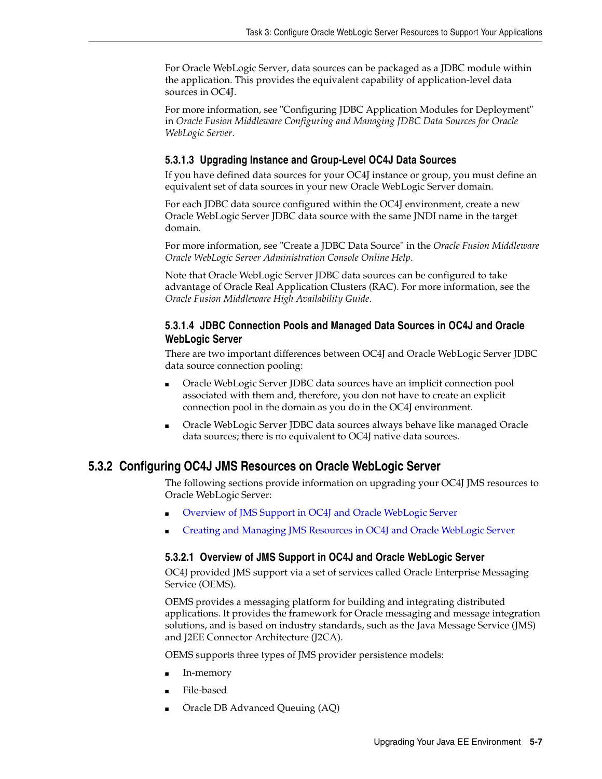For Oracle WebLogic Server, data sources can be packaged as a JDBC module within the application. This provides the equivalent capability of application-level data sources in OC4J.

For more information, see "Configuring JDBC Application Modules for Deployment" in *Oracle Fusion Middleware Configuring and Managing JDBC Data Sources for Oracle WebLogic Server*.

#### <span id="page-46-0"></span>**5.3.1.3 Upgrading Instance and Group-Level OC4J Data Sources**

If you have defined data sources for your OC4J instance or group, you must define an equivalent set of data sources in your new Oracle WebLogic Server domain.

For each JDBC data source configured within the OC4J environment, create a new Oracle WebLogic Server JDBC data source with the same JNDI name in the target domain.

For more information, see "Create a JDBC Data Source" in the *Oracle Fusion Middleware Oracle WebLogic Server Administration Console Online Help*.

Note that Oracle WebLogic Server JDBC data sources can be configured to take advantage of Oracle Real Application Clusters (RAC). For more information, see the *Oracle Fusion Middleware High Availability Guide*.

#### <span id="page-46-1"></span>**5.3.1.4 JDBC Connection Pools and Managed Data Sources in OC4J and Oracle WebLogic Server**

There are two important differences between OC4J and Oracle WebLogic Server JDBC data source connection pooling:

- Oracle WebLogic Server JDBC data sources have an implicit connection pool associated with them and, therefore, you don not have to create an explicit connection pool in the domain as you do in the OC4J environment.
- Oracle WebLogic Server JDBC data sources always behave like managed Oracle data sources; there is no equivalent to OC4J native data sources.

## <span id="page-46-2"></span>**5.3.2 Configuring OC4J JMS Resources on Oracle WebLogic Server**

The following sections provide information on upgrading your OC4J JMS resources to Oracle WebLogic Server:

- [Overview of JMS Support in OC4J and Oracle WebLogic Server](#page-46-3)
- [Creating and Managing JMS Resources in OC4J and Oracle WebLogic Server](#page-47-1)

#### <span id="page-46-3"></span>**5.3.2.1 Overview of JMS Support in OC4J and Oracle WebLogic Server**

OC4J provided JMS support via a set of services called Oracle Enterprise Messaging Service (OEMS).

OEMS provides a messaging platform for building and integrating distributed applications. It provides the framework for Oracle messaging and message integration solutions, and is based on industry standards, such as the Java Message Service (JMS) and J2EE Connector Architecture (J2CA).

OEMS supports three types of JMS provider persistence models:

- In-memory
- File-based
- Oracle DB Advanced Queuing (AQ)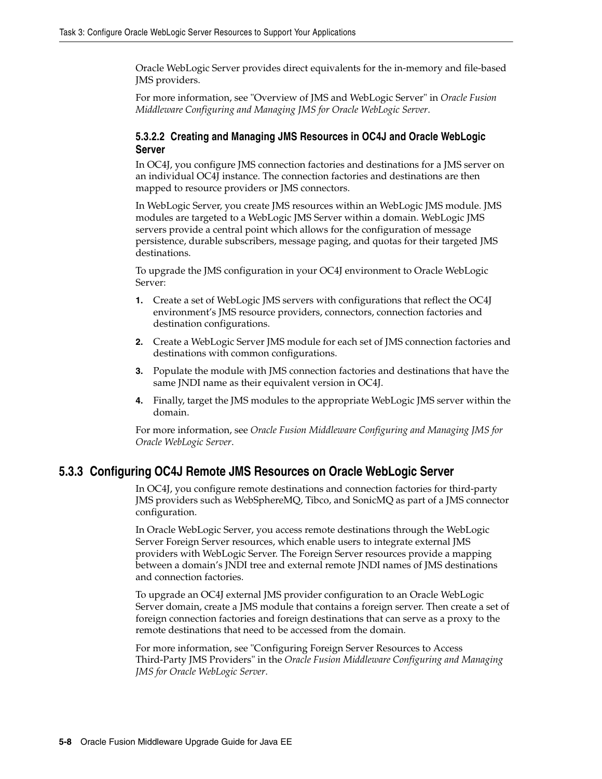Oracle WebLogic Server provides direct equivalents for the in-memory and file-based JMS providers.

For more information, see "Overview of JMS and WebLogic Server" in *Oracle Fusion Middleware Configuring and Managing JMS for Oracle WebLogic Server*.

#### <span id="page-47-1"></span>**5.3.2.2 Creating and Managing JMS Resources in OC4J and Oracle WebLogic Server**

In OC4J, you configure JMS connection factories and destinations for a JMS server on an individual OC4J instance. The connection factories and destinations are then mapped to resource providers or JMS connectors.

In WebLogic Server, you create JMS resources within an WebLogic JMS module. JMS modules are targeted to a WebLogic JMS Server within a domain. WebLogic JMS servers provide a central point which allows for the configuration of message persistence, durable subscribers, message paging, and quotas for their targeted JMS destinations.

To upgrade the JMS configuration in your OC4J environment to Oracle WebLogic Server:

- **1.** Create a set of WebLogic JMS servers with configurations that reflect the OC4J environment's JMS resource providers, connectors, connection factories and destination configurations.
- **2.** Create a WebLogic Server JMS module for each set of JMS connection factories and destinations with common configurations.
- **3.** Populate the module with JMS connection factories and destinations that have the same JNDI name as their equivalent version in OC4J.
- **4.** Finally, target the JMS modules to the appropriate WebLogic JMS server within the domain.

For more information, see *Oracle Fusion Middleware Configuring and Managing JMS for Oracle WebLogic Server*.

#### <span id="page-47-0"></span>**5.3.3 Configuring OC4J Remote JMS Resources on Oracle WebLogic Server**

In OC4J, you configure remote destinations and connection factories for third-party JMS providers such as WebSphereMQ, Tibco, and SonicMQ as part of a JMS connector configuration.

In Oracle WebLogic Server, you access remote destinations through the WebLogic Server Foreign Server resources, which enable users to integrate external JMS providers with WebLogic Server. The Foreign Server resources provide a mapping between a domain's JNDI tree and external remote JNDI names of JMS destinations and connection factories.

To upgrade an OC4J external JMS provider configuration to an Oracle WebLogic Server domain, create a JMS module that contains a foreign server. Then create a set of foreign connection factories and foreign destinations that can serve as a proxy to the remote destinations that need to be accessed from the domain.

For more information, see "Configuring Foreign Server Resources to Access Third-Party JMS Providers" in the *Oracle Fusion Middleware Configuring and Managing JMS for Oracle WebLogic Server*.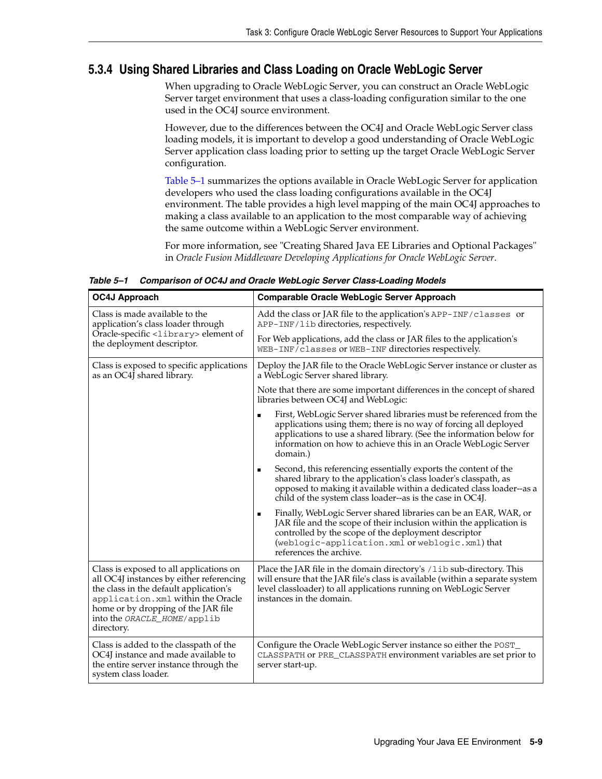## <span id="page-48-1"></span><span id="page-48-0"></span>**5.3.4 Using Shared Libraries and Class Loading on Oracle WebLogic Server**

When upgrading to Oracle WebLogic Server, you can construct an Oracle WebLogic Server target environment that uses a class-loading configuration similar to the one used in the OC4J source environment.

However, due to the differences between the OC4J and Oracle WebLogic Server class loading models, it is important to develop a good understanding of Oracle WebLogic Server application class loading prior to setting up the target Oracle WebLogic Server configuration.

Table 5–1 summarizes the options available in Oracle WebLogic Server for application developers who used the class loading configurations available in the OC4J environment. The table provides a high level mapping of the main OC4J approaches to making a class available to an application to the most comparable way of achieving the same outcome within a WebLogic Server environment.

For more information, see "Creating Shared Java EE Libraries and Optional Packages" in *Oracle Fusion Middleware Developing Applications for Oracle WebLogic Server*.

| <b>OC4J Approach</b>                                                                                                                                                                                                                                    | <b>Comparable Oracle WebLogic Server Approach</b>                                                                                                                                                                                                                                                                |
|---------------------------------------------------------------------------------------------------------------------------------------------------------------------------------------------------------------------------------------------------------|------------------------------------------------------------------------------------------------------------------------------------------------------------------------------------------------------------------------------------------------------------------------------------------------------------------|
| Class is made available to the<br>application's class loader through<br>Oracle-specific <1ibrary> element of<br>the deployment descriptor.                                                                                                              | Add the class or JAR file to the application's APP-INF/classes or<br>APP-INF/lib directories, respectively.                                                                                                                                                                                                      |
|                                                                                                                                                                                                                                                         | For Web applications, add the class or JAR files to the application's<br>WEB-INF/classes or WEB-INF directories respectively.                                                                                                                                                                                    |
| Class is exposed to specific applications<br>as an OC4J shared library.                                                                                                                                                                                 | Deploy the JAR file to the Oracle WebLogic Server instance or cluster as<br>a WebLogic Server shared library.                                                                                                                                                                                                    |
|                                                                                                                                                                                                                                                         | Note that there are some important differences in the concept of shared<br>libraries between OC4J and WebLogic:                                                                                                                                                                                                  |
|                                                                                                                                                                                                                                                         | First, WebLogic Server shared libraries must be referenced from the<br>$\blacksquare$<br>applications using them; there is no way of forcing all deployed<br>applications to use a shared library. (See the information below for<br>information on how to achieve this in an Oracle WebLogic Server<br>domain.) |
|                                                                                                                                                                                                                                                         | Second, this referencing essentially exports the content of the<br>п<br>shared library to the application's class loader's classpath, as<br>opposed to making it available within a dedicated class loader--as a<br>child of the system class loader--as is the case in OC4J.                                    |
|                                                                                                                                                                                                                                                         | Finally, WebLogic Server shared libraries can be an EAR, WAR, or<br>$\blacksquare$<br>JAR file and the scope of their inclusion within the application is<br>controlled by the scope of the deployment descriptor<br>(weblogic-application.xml or weblogic.xml) that<br>references the archive.                  |
| Class is exposed to all applications on<br>all OC4J instances by either referencing<br>the class in the default application's<br>application. xml within the Oracle<br>home or by dropping of the JAR file<br>into the ORACLE_HOME/applib<br>directory. | Place the JAR file in the domain directory's / lib sub-directory. This<br>will ensure that the JAR file's class is available (within a separate system<br>level classloader) to all applications running on WebLogic Server<br>instances in the domain.                                                          |
| Class is added to the classpath of the<br>OC4J instance and made available to<br>the entire server instance through the<br>system class loader.                                                                                                         | Configure the Oracle WebLogic Server instance so either the POST_<br>CLASSPATH or PRE_CLASSPATH environment variables are set prior to<br>server start-up.                                                                                                                                                       |

*Table 5–1 Comparison of OC4J and Oracle WebLogic Server Class-Loading Models*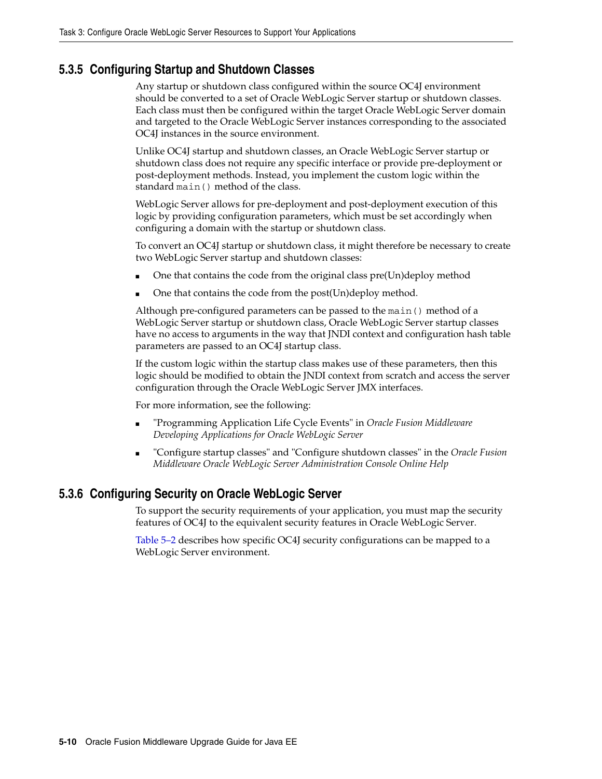## **5.3.5 Configuring Startup and Shutdown Classes**

Any startup or shutdown class configured within the source OC4J environment should be converted to a set of Oracle WebLogic Server startup or shutdown classes. Each class must then be configured within the target Oracle WebLogic Server domain and targeted to the Oracle WebLogic Server instances corresponding to the associated OC4J instances in the source environment.

Unlike OC4J startup and shutdown classes, an Oracle WebLogic Server startup or shutdown class does not require any specific interface or provide pre-deployment or post-deployment methods. Instead, you implement the custom logic within the standard main() method of the class.

WebLogic Server allows for pre-deployment and post-deployment execution of this logic by providing configuration parameters, which must be set accordingly when configuring a domain with the startup or shutdown class.

To convert an OC4J startup or shutdown class, it might therefore be necessary to create two WebLogic Server startup and shutdown classes:

- One that contains the code from the original class pre(Un)deploy method
- One that contains the code from the post(Un)deploy method.

Although pre-configured parameters can be passed to the main() method of a WebLogic Server startup or shutdown class, Oracle WebLogic Server startup classes have no access to arguments in the way that JNDI context and configuration hash table parameters are passed to an OC4J startup class.

If the custom logic within the startup class makes use of these parameters, then this logic should be modified to obtain the JNDI context from scratch and access the server configuration through the Oracle WebLogic Server JMX interfaces.

For more information, see the following:

- "Programming Application Life Cycle Events" in *Oracle Fusion Middleware Developing Applications for Oracle WebLogic Server*
- "Configure startup classes" and "Configure shutdown classes" in the *Oracle Fusion Middleware Oracle WebLogic Server Administration Console Online Help*

## <span id="page-49-0"></span>**5.3.6 Configuring Security on Oracle WebLogic Server**

To support the security requirements of your application, you must map the security features of OC4J to the equivalent security features in Oracle WebLogic Server.

Table 5–2 describes how specific OC4J security configurations can be mapped to a WebLogic Server environment.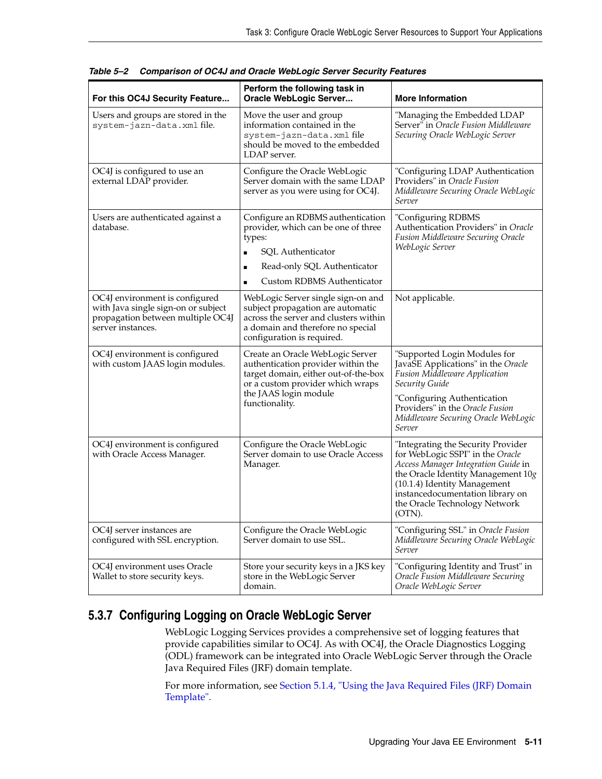| For this OC4J Security Feature                                                                                                  | Perform the following task in<br>Oracle WebLogic Server                                                                                                                                                 | <b>More Information</b>                                                                                                                                                                                                                                            |
|---------------------------------------------------------------------------------------------------------------------------------|---------------------------------------------------------------------------------------------------------------------------------------------------------------------------------------------------------|--------------------------------------------------------------------------------------------------------------------------------------------------------------------------------------------------------------------------------------------------------------------|
| Users and groups are stored in the<br>system-jazn-data.xmlfile.                                                                 | Move the user and group<br>information contained in the<br>system-jazn-data.xml file<br>should be moved to the embedded<br>LDAP server.                                                                 | "Managing the Embedded LDAP<br>Server" in Oracle Fusion Middleware<br>Securing Oracle WebLogic Server                                                                                                                                                              |
| OC4J is configured to use an<br>external LDAP provider.                                                                         | Configure the Oracle WebLogic<br>Server domain with the same LDAP<br>server as you were using for OC4J.                                                                                                 | "Configuring LDAP Authentication<br>Providers" in Oracle Fusion<br>Middleware Securing Oracle WebLogic<br>Server                                                                                                                                                   |
| Users are authenticated against a<br>database.                                                                                  | Configure an RDBMS authentication<br>provider, which can be one of three<br>types:<br>SQL Authenticator<br>٠<br>Read-only SQL Authenticator<br>٠<br><b>Custom RDBMS Authenticator</b><br>$\blacksquare$ | "Configuring RDBMS<br>Authentication Providers" in Oracle<br>Fusion Middleware Securing Oracle<br>WebLogic Server                                                                                                                                                  |
| OC4J environment is configured<br>with Java single sign-on or subject<br>propagation between multiple OC4J<br>server instances. | WebLogic Server single sign-on and<br>subject propagation are automatic<br>across the server and clusters within<br>a domain and therefore no special<br>configuration is required.                     | Not applicable.                                                                                                                                                                                                                                                    |
| OC4J environment is configured<br>with custom JAAS login modules.                                                               | Create an Oracle WebLogic Server<br>authentication provider within the<br>target domain, either out-of-the-box<br>or a custom provider which wraps<br>the JAAS login module<br>functionality.           | "Supported Login Modules for<br>JavaSE Applications" in the Oracle<br><b>Fusion Middleware Application</b><br>Security Guide<br>"Configuring Authentication<br>Providers" in the Oracle Fusion<br>Middleware Securing Oracle WebLogic<br>Server                    |
| OC4J environment is configured<br>with Oracle Access Manager.                                                                   | Configure the Oracle WebLogic<br>Server domain to use Oracle Access<br>Manager.                                                                                                                         | "Integrating the Security Provider<br>for WebLogic SSPI" in the Oracle<br>Access Manager Integration Guide in<br>the Oracle Identity Management 10g<br>(10.1.4) Identity Management<br>instancedocumentation library on<br>the Oracle Technology Network<br>(OTN). |
| OC4J server instances are<br>configured with SSL encryption.                                                                    | Configure the Oracle WebLogic<br>Server domain to use SSL.                                                                                                                                              | "Configuring SSL" in Oracle Fusion<br>Middleware Securing Oracle WebLogic<br>Server                                                                                                                                                                                |
| OC4J environment uses Oracle<br>Wallet to store security keys.                                                                  | Store your security keys in a JKS key<br>store in the WebLogic Server<br>domain.                                                                                                                        | "Configuring Identity and Trust" in<br>Oracle Fusion Middleware Securing<br>Oracle WebLogic Server                                                                                                                                                                 |

*Table 5–2 Comparison of OC4J and Oracle WebLogic Server Security Features*

## <span id="page-50-0"></span>**5.3.7 Configuring Logging on Oracle WebLogic Server**

WebLogic Logging Services provides a comprehensive set of logging features that provide capabilities similar to OC4J. As with OC4J, the Oracle Diagnostics Logging (ODL) framework can be integrated into Oracle WebLogic Server through the Oracle Java Required Files (JRF) domain template.

For more information, see [Section 5.1.4, "Using the Java Required Files \(JRF\) Domain](#page-43-0)  [Template"](#page-43-0).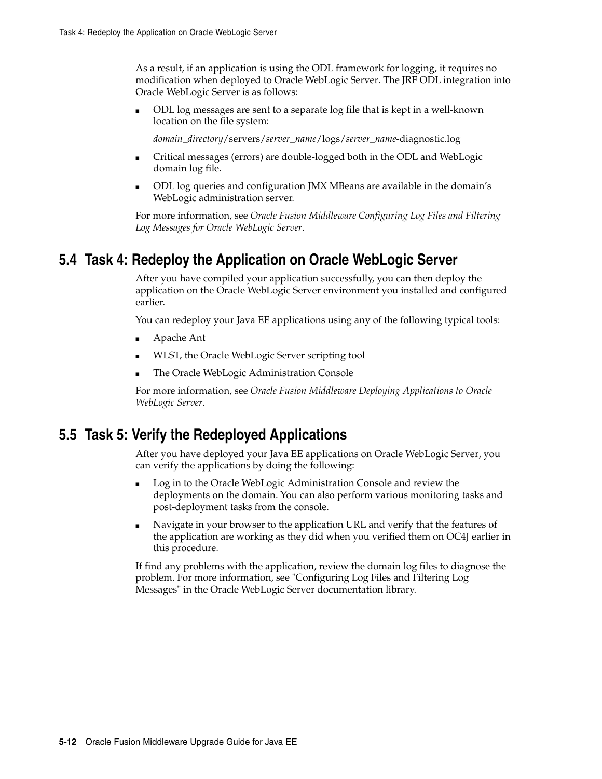As a result, if an application is using the ODL framework for logging, it requires no modification when deployed to Oracle WebLogic Server. The JRF ODL integration into Oracle WebLogic Server is as follows:

ODL log messages are sent to a separate log file that is kept in a well-known location on the file system:

*domain\_directory*/servers/*server\_name*/logs/*server\_name*-diagnostic.log

- Critical messages (errors) are double-logged both in the ODL and WebLogic domain log file.
- ODL log queries and configuration JMX MBeans are available in the domain's WebLogic administration server.

For more information, see *Oracle Fusion Middleware Configuring Log Files and Filtering Log Messages for Oracle WebLogic Server*.

# <span id="page-51-0"></span>**5.4 Task 4: Redeploy the Application on Oracle WebLogic Server**

After you have compiled your application successfully, you can then deploy the application on the Oracle WebLogic Server environment you installed and configured earlier.

You can redeploy your Java EE applications using any of the following typical tools:

- Apache Ant
- WLST, the Oracle WebLogic Server scripting tool
- The Oracle WebLogic Administration Console

For more information, see *Oracle Fusion Middleware Deploying Applications to Oracle WebLogic Server*.

# <span id="page-51-1"></span>**5.5 Task 5: Verify the Redeployed Applications**

After you have deployed your Java EE applications on Oracle WebLogic Server, you can verify the applications by doing the following:

- Log in to the Oracle WebLogic Administration Console and review the deployments on the domain. You can also perform various monitoring tasks and post-deployment tasks from the console.
- Navigate in your browser to the application URL and verify that the features of the application are working as they did when you verified them on OC4J earlier in this procedure.

If find any problems with the application, review the domain log files to diagnose the problem. For more information, see "Configuring Log Files and Filtering Log Messages" in the Oracle WebLogic Server documentation library.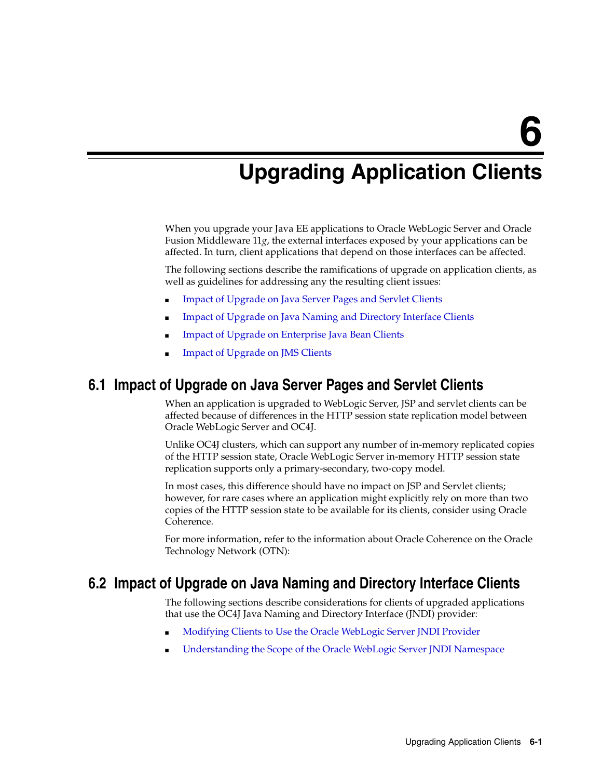# <sup>6</sup>**Upgrading Application Clients**

When you upgrade your Java EE applications to Oracle WebLogic Server and Oracle Fusion Middleware  $11g$ , the external interfaces exposed by your applications can be affected. In turn, client applications that depend on those interfaces can be affected.

The following sections describe the ramifications of upgrade on application clients, as well as guidelines for addressing any the resulting client issues:

- [Impact of Upgrade on Java Server Pages and Servlet Clients](#page-52-0)
- [Impact of Upgrade on Java Naming and Directory Interface Clients](#page-52-1)
- [Impact of Upgrade on Enterprise Java Bean Clients](#page-54-0)
- [Impact of Upgrade on JMS Clients](#page-55-0)

## <span id="page-52-0"></span>**6.1 Impact of Upgrade on Java Server Pages and Servlet Clients**

When an application is upgraded to WebLogic Server, JSP and servlet clients can be affected because of differences in the HTTP session state replication model between Oracle WebLogic Server and OC4J.

Unlike OC4J clusters, which can support any number of in-memory replicated copies of the HTTP session state, Oracle WebLogic Server in-memory HTTP session state replication supports only a primary-secondary, two-copy model.

In most cases, this difference should have no impact on JSP and Servlet clients; however, for rare cases where an application might explicitly rely on more than two copies of the HTTP session state to be available for its clients, consider using Oracle Coherence.

For more information, refer to the information about Oracle Coherence on the Oracle Technology Network (OTN):

## <span id="page-52-1"></span>**6.2 Impact of Upgrade on Java Naming and Directory Interface Clients**

The following sections describe considerations for clients of upgraded applications that use the OC4J Java Naming and Directory Interface (JNDI) provider:

- [Modifying Clients to Use the Oracle WebLogic Server JNDI Provider](#page-53-0)
- [Understanding the Scope of the Oracle WebLogic Server JNDI Namespace](#page-53-1)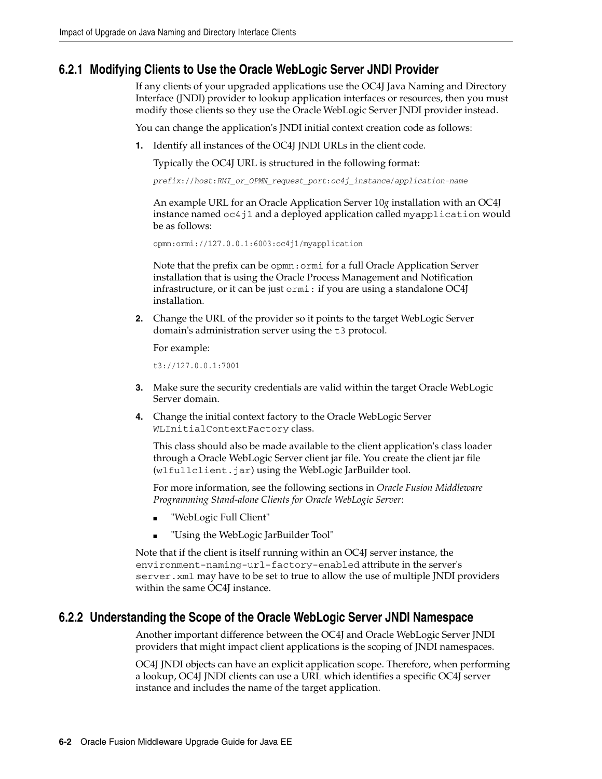### <span id="page-53-0"></span>**6.2.1 Modifying Clients to Use the Oracle WebLogic Server JNDI Provider**

If any clients of your upgraded applications use the OC4J Java Naming and Directory Interface (JNDI) provider to lookup application interfaces or resources, then you must modify those clients so they use the Oracle WebLogic Server JNDI provider instead.

You can change the application's JNDI initial context creation code as follows:

**1.** Identify all instances of the OC4J JNDI URLs in the client code.

Typically the OC4J URL is structured in the following format:

*prefix*://*host*:*RMI\_or\_OPMN\_request\_port*:*oc4j\_instance*/*application-name*

An example URL for an Oracle Application Server 10*g* installation with an OC4J instance named  $oc4j1$  and a deployed application called myapplication would be as follows:

opmn:ormi://127.0.0.1:6003:oc4j1/myapplication

Note that the prefix can be opmn:ormi for a full Oracle Application Server installation that is using the Oracle Process Management and Notification infrastructure, or it can be just ormi: if you are using a standalone OC4J installation.

**2.** Change the URL of the provider so it points to the target WebLogic Server domain's administration server using the t3 protocol.

For example:

t3://127.0.0.1:7001

- **3.** Make sure the security credentials are valid within the target Oracle WebLogic Server domain.
- **4.** Change the initial context factory to the Oracle WebLogic Server WLInitialContextFactory class.

This class should also be made available to the client application's class loader through a Oracle WebLogic Server client jar file. You create the client jar file (wlfullclient.jar) using the WebLogic JarBuilder tool.

For more information, see the following sections in *Oracle Fusion Middleware Programming Stand-alone Clients for Oracle WebLogic Server*:

- "WebLogic Full Client"
- "Using the WebLogic JarBuilder Tool"

Note that if the client is itself running within an OC4J server instance, the environment-naming-url-factory-enabled attribute in the server's server. xml may have to be set to true to allow the use of multiple JNDI providers within the same OC4J instance.

#### <span id="page-53-1"></span>**6.2.2 Understanding the Scope of the Oracle WebLogic Server JNDI Namespace**

Another important difference between the OC4J and Oracle WebLogic Server JNDI providers that might impact client applications is the scoping of JNDI namespaces.

OC4J JNDI objects can have an explicit application scope. Therefore, when performing a lookup, OC4J JNDI clients can use a URL which identifies a specific OC4J server instance and includes the name of the target application.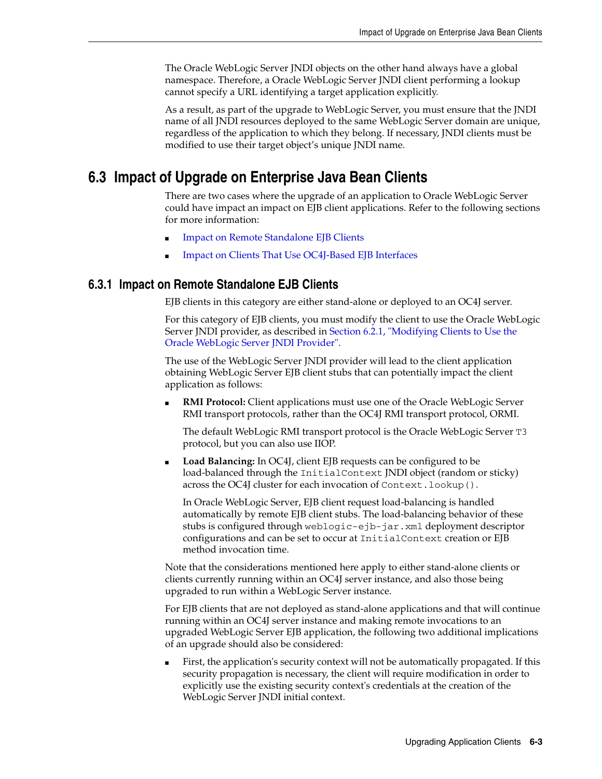The Oracle WebLogic Server JNDI objects on the other hand always have a global namespace. Therefore, a Oracle WebLogic Server JNDI client performing a lookup cannot specify a URL identifying a target application explicitly.

As a result, as part of the upgrade to WebLogic Server, you must ensure that the JNDI name of all JNDI resources deployed to the same WebLogic Server domain are unique, regardless of the application to which they belong. If necessary, JNDI clients must be modified to use their target object's unique JNDI name.

## <span id="page-54-0"></span>**6.3 Impact of Upgrade on Enterprise Java Bean Clients**

There are two cases where the upgrade of an application to Oracle WebLogic Server could have impact an impact on EJB client applications. Refer to the following sections for more information:

- **[Impact on Remote Standalone EJB Clients](#page-54-1)**
- [Impact on Clients That Use OC4J-Based EJB Interfaces](#page-55-1)

#### <span id="page-54-1"></span>**6.3.1 Impact on Remote Standalone EJB Clients**

EJB clients in this category are either stand-alone or deployed to an OC4J server.

For this category of EJB clients, you must modify the client to use the Oracle WebLogic Server JNDI provider, as described in [Section 6.2.1, "Modifying Clients to Use the](#page-53-0)  [Oracle WebLogic Server JNDI Provider"](#page-53-0).

The use of the WebLogic Server JNDI provider will lead to the client application obtaining WebLogic Server EJB client stubs that can potentially impact the client application as follows:

**RMI Protocol:** Client applications must use one of the Oracle WebLogic Server RMI transport protocols, rather than the OC4J RMI transport protocol, ORMI.

The default WebLogic RMI transport protocol is the Oracle WebLogic Server T3 protocol, but you can also use IIOP.

■ **Load Balancing:** In OC4J, client EJB requests can be configured to be load-balanced through the InitialContext JNDI object (random or sticky) across the OC4J cluster for each invocation of Context.lookup().

In Oracle WebLogic Server, EJB client request load-balancing is handled automatically by remote EJB client stubs. The load-balancing behavior of these stubs is configured through weblogic-ejb-jar.xml deployment descriptor configurations and can be set to occur at InitialContext creation or EJB method invocation time.

Note that the considerations mentioned here apply to either stand-alone clients or clients currently running within an OC4J server instance, and also those being upgraded to run within a WebLogic Server instance.

For EJB clients that are not deployed as stand-alone applications and that will continue running within an OC4J server instance and making remote invocations to an upgraded WebLogic Server EJB application, the following two additional implications of an upgrade should also be considered:

First, the application's security context will not be automatically propagated. If this security propagation is necessary, the client will require modification in order to explicitly use the existing security context's credentials at the creation of the WebLogic Server JNDI initial context.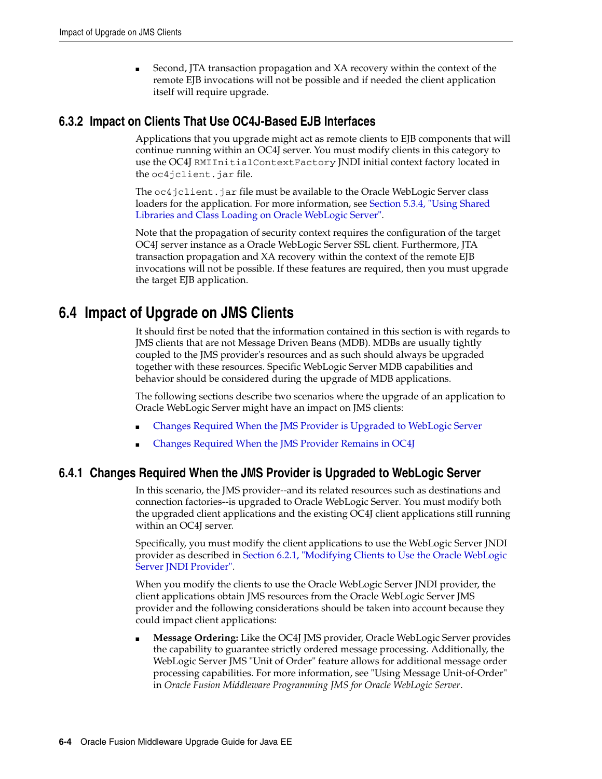Second, JTA transaction propagation and XA recovery within the context of the remote EJB invocations will not be possible and if needed the client application itself will require upgrade.

## <span id="page-55-1"></span>**6.3.2 Impact on Clients That Use OC4J-Based EJB Interfaces**

Applications that you upgrade might act as remote clients to EJB components that will continue running within an OC4J server. You must modify clients in this category to use the OC4J RMIInitialContextFactory JNDI initial context factory located in the oc4jclient.jar file.

The oc4 jclient. jar file must be available to the Oracle WebLogic Server class loaders for the application. For more information, see [Section 5.3.4, "Using Shared](#page-48-1)  [Libraries and Class Loading on Oracle WebLogic Server"](#page-48-1).

Note that the propagation of security context requires the configuration of the target OC4J server instance as a Oracle WebLogic Server SSL client. Furthermore, JTA transaction propagation and XA recovery within the context of the remote EJB invocations will not be possible. If these features are required, then you must upgrade the target EJB application.

# <span id="page-55-0"></span>**6.4 Impact of Upgrade on JMS Clients**

It should first be noted that the information contained in this section is with regards to JMS clients that are not Message Driven Beans (MDB). MDBs are usually tightly coupled to the JMS provider's resources and as such should always be upgraded together with these resources. Specific WebLogic Server MDB capabilities and behavior should be considered during the upgrade of MDB applications.

The following sections describe two scenarios where the upgrade of an application to Oracle WebLogic Server might have an impact on JMS clients:

- [Changes Required When the JMS Provider is Upgraded to WebLogic Server](#page-55-2)
- [Changes Required When the JMS Provider Remains in OC4J](#page-56-0)

## <span id="page-55-2"></span>**6.4.1 Changes Required When the JMS Provider is Upgraded to WebLogic Server**

In this scenario, the JMS provider--and its related resources such as destinations and connection factories--is upgraded to Oracle WebLogic Server. You must modify both the upgraded client applications and the existing OC4J client applications still running within an OC4J server.

Specifically, you must modify the client applications to use the WebLogic Server JNDI provider as described in [Section 6.2.1, "Modifying Clients to Use the Oracle WebLogic](#page-53-0)  [Server JNDI Provider"](#page-53-0).

When you modify the clients to use the Oracle WebLogic Server JNDI provider, the client applications obtain JMS resources from the Oracle WebLogic Server JMS provider and the following considerations should be taken into account because they could impact client applications:

■ **Message Ordering:** Like the OC4J JMS provider, Oracle WebLogic Server provides the capability to guarantee strictly ordered message processing. Additionally, the WebLogic Server JMS "Unit of Order" feature allows for additional message order processing capabilities. For more information, see "Using Message Unit-of-Order" in *Oracle Fusion Middleware Programming JMS for Oracle WebLogic Server*.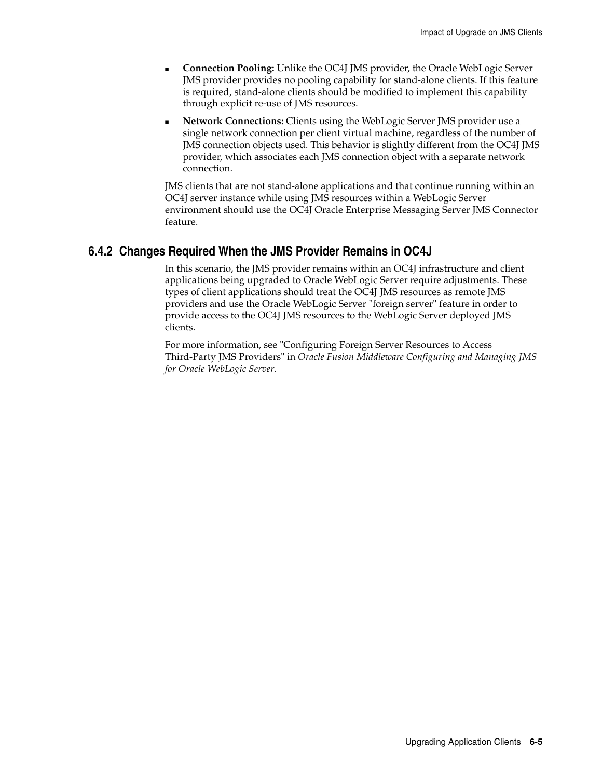- **Connection Pooling:** Unlike the OC4J JMS provider, the Oracle WebLogic Server JMS provider provides no pooling capability for stand-alone clients. If this feature is required, stand-alone clients should be modified to implement this capability through explicit re-use of JMS resources.
- **Network Connections:** Clients using the WebLogic Server JMS provider use a single network connection per client virtual machine, regardless of the number of JMS connection objects used. This behavior is slightly different from the OC4J JMS provider, which associates each JMS connection object with a separate network connection.

JMS clients that are not stand-alone applications and that continue running within an OC4J server instance while using JMS resources within a WebLogic Server environment should use the OC4J Oracle Enterprise Messaging Server JMS Connector feature.

## <span id="page-56-0"></span>**6.4.2 Changes Required When the JMS Provider Remains in OC4J**

In this scenario, the JMS provider remains within an OC4J infrastructure and client applications being upgraded to Oracle WebLogic Server require adjustments. These types of client applications should treat the OC4J JMS resources as remote JMS providers and use the Oracle WebLogic Server "foreign server" feature in order to provide access to the OC4J JMS resources to the WebLogic Server deployed JMS clients.

For more information, see "Configuring Foreign Server Resources to Access Third-Party JMS Providers" in *Oracle Fusion Middleware Configuring and Managing JMS for Oracle WebLogic Server*.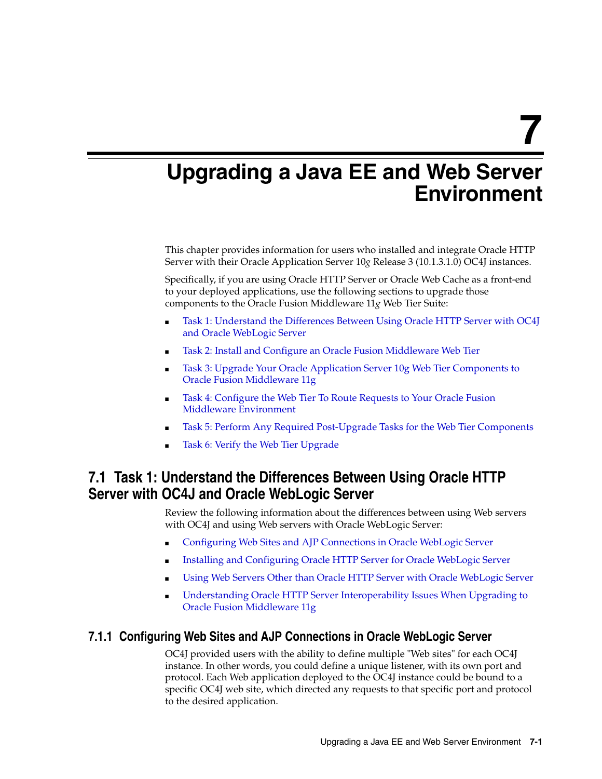**7**

# **Upgrading a Java EE and Web Server Environment**

This chapter provides information for users who installed and integrate Oracle HTTP Server with their Oracle Application Server 10*g* Release 3 (10.1.3.1.0) OC4J instances.

Specifically, if you are using Oracle HTTP Server or Oracle Web Cache as a front-end to your deployed applications, use the following sections to upgrade those components to the Oracle Fusion Middleware 11*g* Web Tier Suite:

- Task 1: Understand the Differences Between Using Oracle HTTP Server with OC4J [and Oracle WebLogic Server](#page-58-1)
- [Task 2: Install and Configure an Oracle Fusion Middleware Web Tier](#page-60-2)
- Task 3: Upgrade Your Oracle Application Server 10g Web Tier Components to [Oracle Fusion Middleware 11g](#page-62-0)
- Task 4: Configure the Web Tier To Route Requests to Your Oracle Fusion [Middleware Environment](#page-66-0)
- [Task 5: Perform Any Required Post-Upgrade Tasks for the Web Tier Components](#page-66-1)
- [Task 6: Verify the Web Tier Upgrade](#page-67-0)

# <span id="page-58-1"></span>**7.1 Task 1: Understand the Differences Between Using Oracle HTTP Server with OC4J and Oracle WebLogic Server**

Review the following information about the differences between using Web servers with OC4J and using Web servers with Oracle WebLogic Server:

- [Configuring Web Sites and AJP Connections in Oracle WebLogic Server](#page-58-0)
- [Installing and Configuring Oracle HTTP Server for Oracle WebLogic Server](#page-59-0)
- [Using Web Servers Other than Oracle HTTP Server with Oracle WebLogic Server](#page-60-0)
- Understanding Oracle HTTP Server Interoperability Issues When Upgrading to [Oracle Fusion Middleware 11g](#page-60-1)

## <span id="page-58-0"></span>**7.1.1 Configuring Web Sites and AJP Connections in Oracle WebLogic Server**

OC4J provided users with the ability to define multiple "Web sites" for each OC4J instance. In other words, you could define a unique listener, with its own port and protocol. Each Web application deployed to the OC4J instance could be bound to a specific OC4J web site, which directed any requests to that specific port and protocol to the desired application.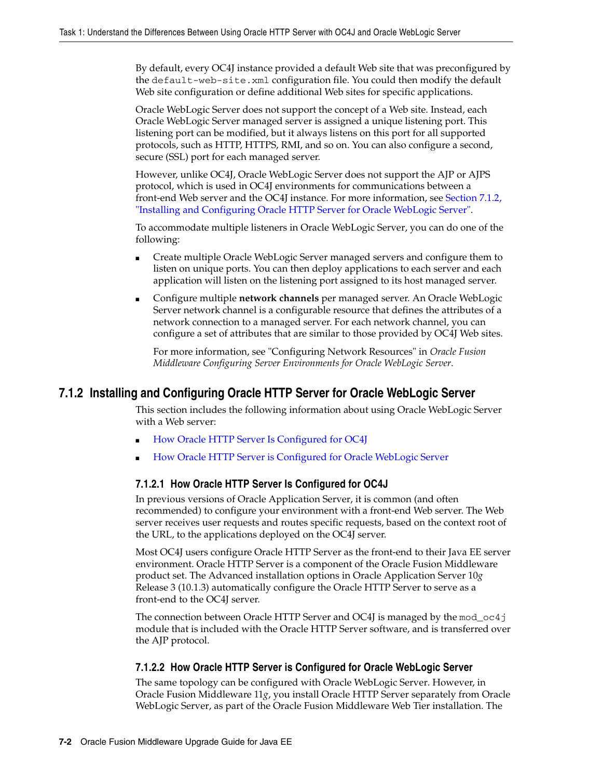By default, every OC4J instance provided a default Web site that was preconfigured by the default-web-site.xml configuration file. You could then modify the default Web site configuration or define additional Web sites for specific applications.

Oracle WebLogic Server does not support the concept of a Web site. Instead, each Oracle WebLogic Server managed server is assigned a unique listening port. This listening port can be modified, but it always listens on this port for all supported protocols, such as HTTP, HTTPS, RMI, and so on. You can also configure a second, secure (SSL) port for each managed server.

However, unlike OC4J, Oracle WebLogic Server does not support the AJP or AJPS protocol, which is used in OC4J environments for communications between a front-end Web server and the OC4J instance. For more information, see [Section 7.1.2,](#page-59-0)  ["Installing and Configuring Oracle HTTP Server for Oracle WebLogic Server".](#page-59-0)

To accommodate multiple listeners in Oracle WebLogic Server, you can do one of the following:

- Create multiple Oracle WebLogic Server managed servers and configure them to listen on unique ports. You can then deploy applications to each server and each application will listen on the listening port assigned to its host managed server.
- Configure multiple **network channels** per managed server. An Oracle WebLogic Server network channel is a configurable resource that defines the attributes of a network connection to a managed server. For each network channel, you can configure a set of attributes that are similar to those provided by OC4J Web sites.

For more information, see "Configuring Network Resources" in *Oracle Fusion Middleware Configuring Server Environments for Oracle WebLogic Server*.

## <span id="page-59-0"></span>**7.1.2 Installing and Configuring Oracle HTTP Server for Oracle WebLogic Server**

This section includes the following information about using Oracle WebLogic Server with a Web server:

- [How Oracle HTTP Server Is Configured for OC4J](#page-59-1)
- [How Oracle HTTP Server is Configured for Oracle WebLogic Server](#page-59-2)

#### <span id="page-59-1"></span>**7.1.2.1 How Oracle HTTP Server Is Configured for OC4J**

In previous versions of Oracle Application Server, it is common (and often recommended) to configure your environment with a front-end Web server. The Web server receives user requests and routes specific requests, based on the context root of the URL, to the applications deployed on the OC4J server.

Most OC4J users configure Oracle HTTP Server as the front-end to their Java EE server environment. Oracle HTTP Server is a component of the Oracle Fusion Middleware product set. The Advanced installation options in Oracle Application Server 10*g* Release 3 (10.1.3) automatically configure the Oracle HTTP Server to serve as a front-end to the OC4J server.

The connection between Oracle HTTP Server and OC4J is managed by the mod\_oc4j module that is included with the Oracle HTTP Server software, and is transferred over the AJP protocol.

#### <span id="page-59-2"></span>**7.1.2.2 How Oracle HTTP Server is Configured for Oracle WebLogic Server**

The same topology can be configured with Oracle WebLogic Server. However, in Oracle Fusion Middleware 11*g*, you install Oracle HTTP Server separately from Oracle WebLogic Server, as part of the Oracle Fusion Middleware Web Tier installation. The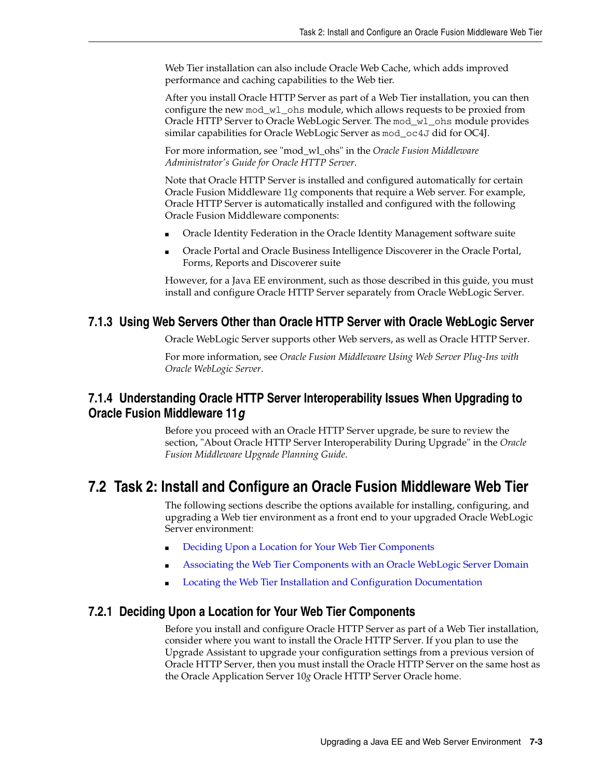Web Tier installation can also include Oracle Web Cache, which adds improved performance and caching capabilities to the Web tier.

After you install Oracle HTTP Server as part of a Web Tier installation, you can then configure the new mod\_wl\_ohs module, which allows requests to be proxied from Oracle HTTP Server to Oracle WebLogic Server. The mod\_wl\_ohs module provides similar capabilities for Oracle WebLogic Server as mod\_oc4J did for OC4J.

For more information, see "mod\_wl\_ohs" in the *Oracle Fusion Middleware Administrator's Guide for Oracle HTTP Server*.

Note that Oracle HTTP Server is installed and configured automatically for certain Oracle Fusion Middleware 11*g* components that require a Web server. For example, Oracle HTTP Server is automatically installed and configured with the following Oracle Fusion Middleware components:

- Oracle Identity Federation in the Oracle Identity Management software suite
- Oracle Portal and Oracle Business Intelligence Discoverer in the Oracle Portal, Forms, Reports and Discoverer suite

However, for a Java EE environment, such as those described in this guide, you must install and configure Oracle HTTP Server separately from Oracle WebLogic Server.

#### <span id="page-60-0"></span>**7.1.3 Using Web Servers Other than Oracle HTTP Server with Oracle WebLogic Server**

Oracle WebLogic Server supports other Web servers, as well as Oracle HTTP Server.

For more information, see *Oracle Fusion Middleware Using Web Server Plug-Ins with Oracle WebLogic Server*.

## <span id="page-60-1"></span>**7.1.4 Understanding Oracle HTTP Server Interoperability Issues When Upgrading to Oracle Fusion Middleware 11***g*

Before you proceed with an Oracle HTTP Server upgrade, be sure to review the section, "About Oracle HTTP Server Interoperability During Upgrade" in the *Oracle Fusion Middleware Upgrade Planning Guide*.

## <span id="page-60-2"></span>**7.2 Task 2: Install and Configure an Oracle Fusion Middleware Web Tier**

The following sections describe the options available for installing, configuring, and upgrading a Web tier environment as a front end to your upgraded Oracle WebLogic Server environment:

- [Deciding Upon a Location for Your Web Tier Components](#page-60-3)
- [Associating the Web Tier Components with an Oracle WebLogic Server Domain](#page-61-0)
- [Locating the Web Tier Installation and Configuration Documentation](#page-61-1)

#### <span id="page-60-3"></span>**7.2.1 Deciding Upon a Location for Your Web Tier Components**

Before you install and configure Oracle HTTP Server as part of a Web Tier installation, consider where you want to install the Oracle HTTP Server. If you plan to use the Upgrade Assistant to upgrade your configuration settings from a previous version of Oracle HTTP Server, then you must install the Oracle HTTP Server on the same host as the Oracle Application Server 10*g* Oracle HTTP Server Oracle home.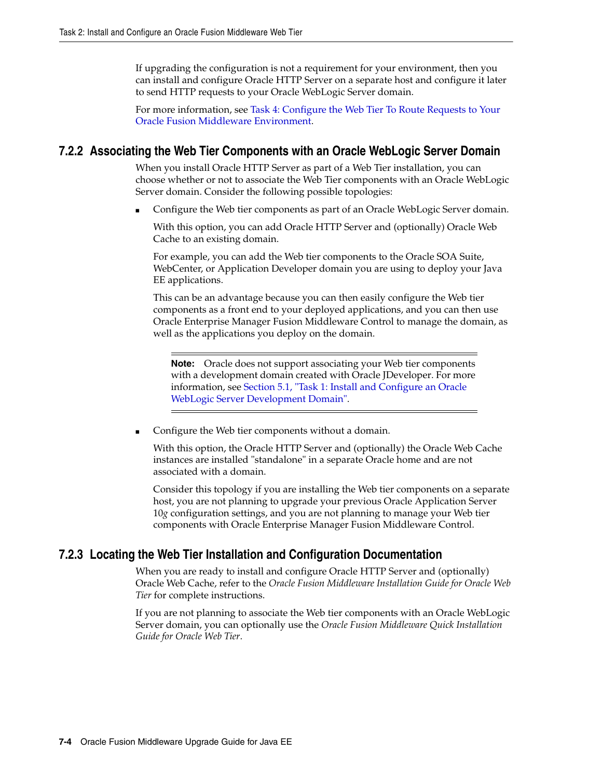If upgrading the configuration is not a requirement for your environment, then you can install and configure Oracle HTTP Server on a separate host and configure it later to send HTTP requests to your Oracle WebLogic Server domain.

For more information, see [Task 4: Configure the Web Tier To Route Requests to Your](#page-66-0)  [Oracle Fusion Middleware Environment.](#page-66-0)

#### <span id="page-61-0"></span>**7.2.2 Associating the Web Tier Components with an Oracle WebLogic Server Domain**

When you install Oracle HTTP Server as part of a Web Tier installation, you can choose whether or not to associate the Web Tier components with an Oracle WebLogic Server domain. Consider the following possible topologies:

Configure the Web tier components as part of an Oracle WebLogic Server domain.

With this option, you can add Oracle HTTP Server and (optionally) Oracle Web Cache to an existing domain.

For example, you can add the Web tier components to the Oracle SOA Suite, WebCenter, or Application Developer domain you are using to deploy your Java EE applications.

This can be an advantage because you can then easily configure the Web tier components as a front end to your deployed applications, and you can then use Oracle Enterprise Manager Fusion Middleware Control to manage the domain, as well as the applications you deploy on the domain.

**Note:** Oracle does not support associating your Web tier components with a development domain created with Oracle JDeveloper. For more information, see [Section 5.1, "Task 1: Install and Configure an Oracle](#page-40-3)  [WebLogic Server Development Domain"](#page-40-3).

Configure the Web tier components without a domain.

With this option, the Oracle HTTP Server and (optionally) the Oracle Web Cache instances are installed "standalone" in a separate Oracle home and are not associated with a domain.

Consider this topology if you are installing the Web tier components on a separate host, you are not planning to upgrade your previous Oracle Application Server 10*g* configuration settings, and you are not planning to manage your Web tier components with Oracle Enterprise Manager Fusion Middleware Control.

#### <span id="page-61-1"></span>**7.2.3 Locating the Web Tier Installation and Configuration Documentation**

When you are ready to install and configure Oracle HTTP Server and (optionally) Oracle Web Cache, refer to the *Oracle Fusion Middleware Installation Guide for Oracle Web Tier* for complete instructions.

If you are not planning to associate the Web tier components with an Oracle WebLogic Server domain, you can optionally use the *Oracle Fusion Middleware Quick Installation Guide for Oracle Web Tier*.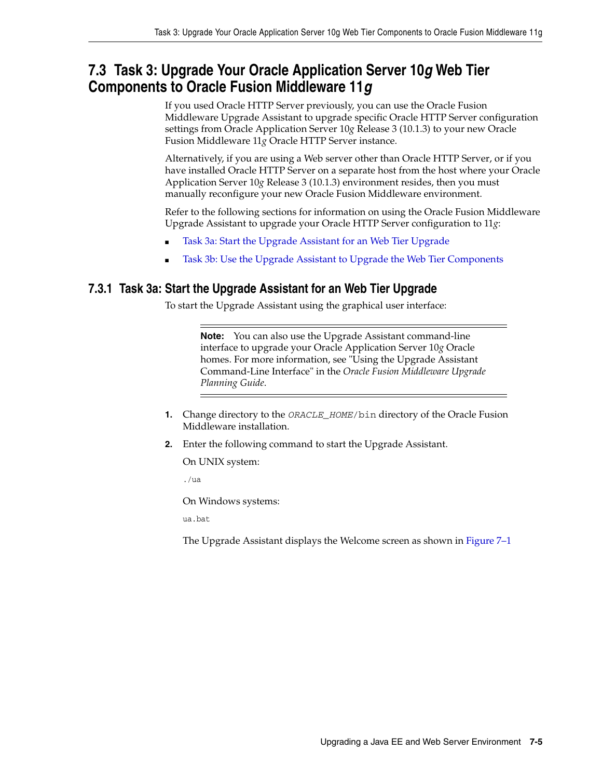# <span id="page-62-0"></span>**7.3 Task 3: Upgrade Your Oracle Application Server 10***g* **Web Tier Components to Oracle Fusion Middleware 11***g*

If you used Oracle HTTP Server previously, you can use the Oracle Fusion Middleware Upgrade Assistant to upgrade specific Oracle HTTP Server configuration settings from Oracle Application Server 10*g* Release 3 (10.1.3) to your new Oracle Fusion Middleware 11*g* Oracle HTTP Server instance.

Alternatively, if you are using a Web server other than Oracle HTTP Server, or if you have installed Oracle HTTP Server on a separate host from the host where your Oracle Application Server 10*g* Release 3 (10.1.3) environment resides, then you must manually reconfigure your new Oracle Fusion Middleware environment.

Refer to the following sections for information on using the Oracle Fusion Middleware Upgrade Assistant to upgrade your Oracle HTTP Server configuration to 11*g*:

- [Task 3a: Start the Upgrade Assistant for an Web Tier Upgrade](#page-62-1)
- [Task 3b: Use the Upgrade Assistant to Upgrade the Web Tier Components](#page-64-0)

## <span id="page-62-1"></span>**7.3.1 Task 3a: Start the Upgrade Assistant for an Web Tier Upgrade**

To start the Upgrade Assistant using the graphical user interface:

**Note:** You can also use the Upgrade Assistant command-line interface to upgrade your Oracle Application Server 10*g* Oracle homes. For more information, see "Using the Upgrade Assistant Command-Line Interface" in the *Oracle Fusion Middleware Upgrade Planning Guide*.

- **1.** Change directory to the *ORACLE\_HOME*/bin directory of the Oracle Fusion Middleware installation.
- **2.** Enter the following command to start the Upgrade Assistant.

On UNIX system:

./ua

On Windows systems:

ua.bat

The Upgrade Assistant displays the Welcome screen as shown in Figure 7–1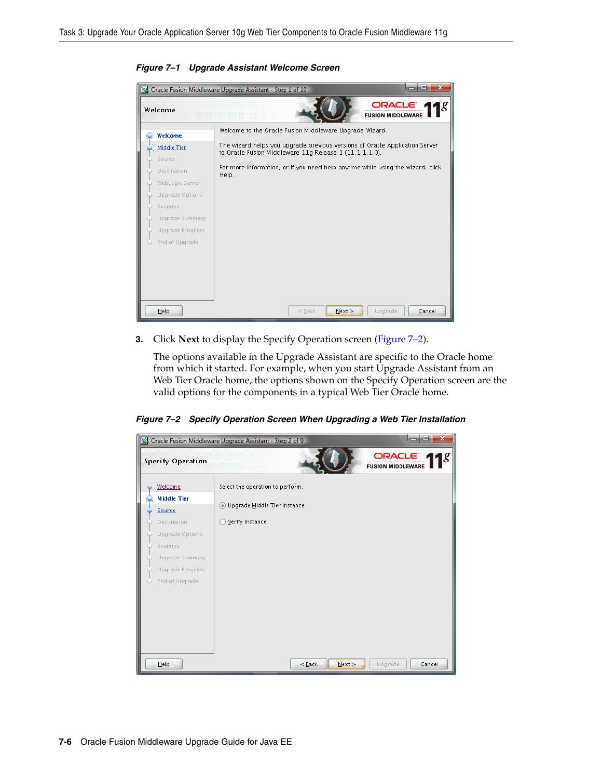

*Figure 7–1 Upgrade Assistant Welcome Screen*

**3.** Click **Next** to display the Specify Operation screen [\(Figure 7–2](#page-63-0)).

The options available in the Upgrade Assistant are specific to the Oracle home from which it started. For example, when you start Upgrade Assistant from an Web Tier Oracle home, the options shown on the Specify Operation screen are the valid options for the components in a typical Web Tier Oracle home.

<span id="page-63-0"></span>*Figure 7–2 Specify Operation Screen When Upgrading a Web Tier Installation*

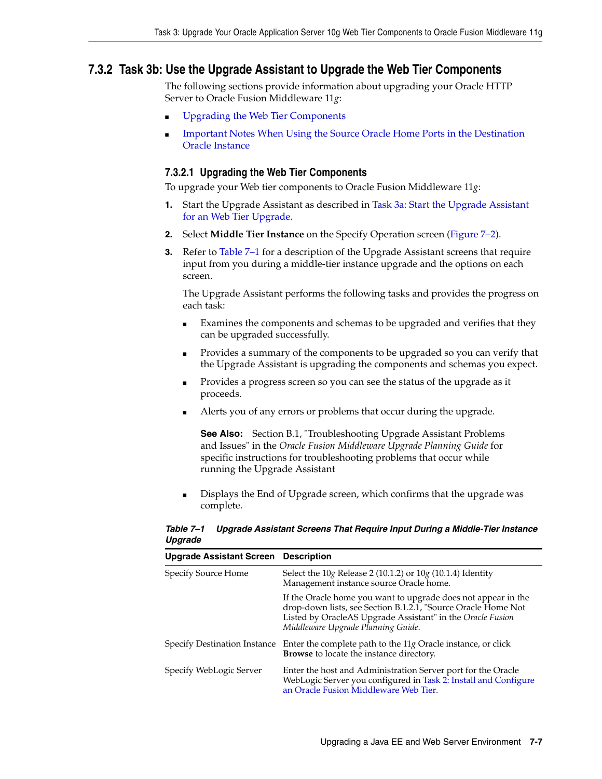## <span id="page-64-0"></span>**7.3.2 Task 3b: Use the Upgrade Assistant to Upgrade the Web Tier Components**

The following sections provide information about upgrading your Oracle HTTP Server to Oracle Fusion Middleware 11*g*:

- [Upgrading the Web Tier Components](#page-64-1)
- Important Notes When Using the Source Oracle Home Ports in the Destination [Oracle Instance](#page-65-0)

#### <span id="page-64-1"></span>**7.3.2.1 Upgrading the Web Tier Components**

To upgrade your Web tier components to Oracle Fusion Middleware 11*g*:

- **1.** Start the Upgrade Assistant as described in [Task 3a: Start the Upgrade Assistant](#page-62-1)  [for an Web Tier Upgrade](#page-62-1).
- **2.** Select **Middle Tier Instance** on the Specify Operation screen [\(Figure 7–2](#page-63-0)).
- **3.** Refer to Table 7–1 for a description of the Upgrade Assistant screens that require input from you during a middle-tier instance upgrade and the options on each screen.

The Upgrade Assistant performs the following tasks and provides the progress on each task:

- Examines the components and schemas to be upgraded and verifies that they can be upgraded successfully.
- Provides a summary of the components to be upgraded so you can verify that the Upgrade Assistant is upgrading the components and schemas you expect.
- Provides a progress screen so you can see the status of the upgrade as it proceeds.
- Alerts you of any errors or problems that occur during the upgrade.

**See Also:** Section B.1, "Troubleshooting Upgrade Assistant Problems and Issues" in the *Oracle Fusion Middleware Upgrade Planning Guide* for specific instructions for troubleshooting problems that occur while running the Upgrade Assistant

Displays the End of Upgrade screen, which confirms that the upgrade was complete.

| <b>Upgrade Assistant Screen Description</b> |                                                                                                                                                                                                                                    |
|---------------------------------------------|------------------------------------------------------------------------------------------------------------------------------------------------------------------------------------------------------------------------------------|
| Specify Source Home                         | Select the $10g$ Release 2 (10.1.2) or $10g$ (10.1.4) Identity<br>Management instance source Oracle home.                                                                                                                          |
|                                             | If the Oracle home you want to upgrade does not appear in the<br>drop-down lists, see Section B.1.2.1, "Source Oracle Home Not<br>Listed by OracleAS Upgrade Assistant" in the Oracle Fusion<br>Middleware Upgrade Planning Guide. |
|                                             | Specify Destination Instance Enter the complete path to the $11g$ Oracle instance, or click<br><b>Browse</b> to locate the instance directory.                                                                                     |
| Specify WebLogic Server                     | Enter the host and Administration Server port for the Oracle<br>WebLogic Server you configured in Task 2: Install and Configure<br>an Oracle Fusion Middleware Web Tier.                                                           |

#### *Table 7–1 Upgrade Assistant Screens That Require Input During a Middle-Tier Instance Upgrade*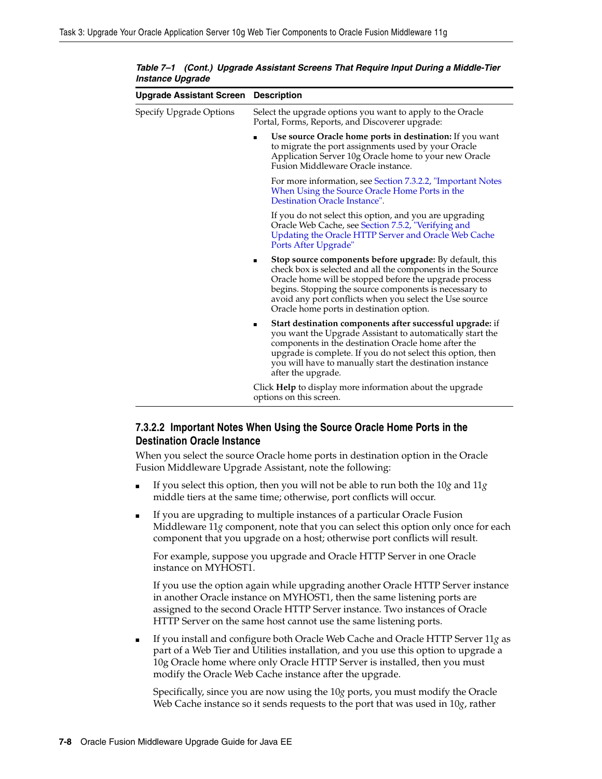| <b>Upgrade Assistant Screen Description</b> |                                                                                                                                                                                                                                                                                                                                                  |
|---------------------------------------------|--------------------------------------------------------------------------------------------------------------------------------------------------------------------------------------------------------------------------------------------------------------------------------------------------------------------------------------------------|
| Specify Upgrade Options                     | Select the upgrade options you want to apply to the Oracle<br>Portal, Forms, Reports, and Discoverer upgrade:                                                                                                                                                                                                                                    |
|                                             | Use source Oracle home ports in destination: If you want<br>to migrate the port assignments used by your Oracle<br>Application Server 10g Oracle home to your new Oracle<br>Fusion Middleware Oracle instance.                                                                                                                                   |
|                                             | For more information, see Section 7.3.2.2, "Important Notes<br>When Using the Source Oracle Home Ports in the<br>Destination Oracle Instance".                                                                                                                                                                                                   |
|                                             | If you do not select this option, and you are upgrading<br>Oracle Web Cache, see Section 7.5.2, "Verifying and<br>Updating the Oracle HTTP Server and Oracle Web Cache<br>Ports After Upgrade"                                                                                                                                                   |
|                                             | Stop source components before upgrade: By default, this<br>check box is selected and all the components in the Source<br>Oracle home will be stopped before the upgrade process<br>begins. Stopping the source components is necessary to<br>avoid any port conflicts when you select the Use source<br>Oracle home ports in destination option. |
|                                             | Start destination components after successful upgrade: if<br>$\blacksquare$<br>you want the Upgrade Assistant to automatically start the<br>components in the destination Oracle home after the<br>upgrade is complete. If you do not select this option, then<br>you will have to manually start the destination instance<br>after the upgrade. |
|                                             | Click Help to display more information about the upgrade<br>options on this screen.                                                                                                                                                                                                                                                              |

*Table 7–1 (Cont.) Upgrade Assistant Screens That Require Input During a Middle-Tier Instance Upgrade*

#### <span id="page-65-0"></span>**7.3.2.2 Important Notes When Using the Source Oracle Home Ports in the Destination Oracle Instance**

When you select the source Oracle home ports in destination option in the Oracle Fusion Middleware Upgrade Assistant, note the following:

- If you select this option, then you will not be able to run both the 10*g* and 11*g* middle tiers at the same time; otherwise, port conflicts will occur.
- If you are upgrading to multiple instances of a particular Oracle Fusion Middleware 11*g* component, note that you can select this option only once for each component that you upgrade on a host; otherwise port conflicts will result.

For example, suppose you upgrade and Oracle HTTP Server in one Oracle instance on MYHOST1.

If you use the option again while upgrading another Oracle HTTP Server instance in another Oracle instance on MYHOST1, then the same listening ports are assigned to the second Oracle HTTP Server instance. Two instances of Oracle HTTP Server on the same host cannot use the same listening ports.

If you install and configure both Oracle Web Cache and Oracle HTTP Server 11g as part of a Web Tier and Utilities installation, and you use this option to upgrade a 10g Oracle home where only Oracle HTTP Server is installed, then you must modify the Oracle Web Cache instance after the upgrade.

Specifically, since you are now using the 10*g* ports, you must modify the Oracle Web Cache instance so it sends requests to the port that was used in 10*g*, rather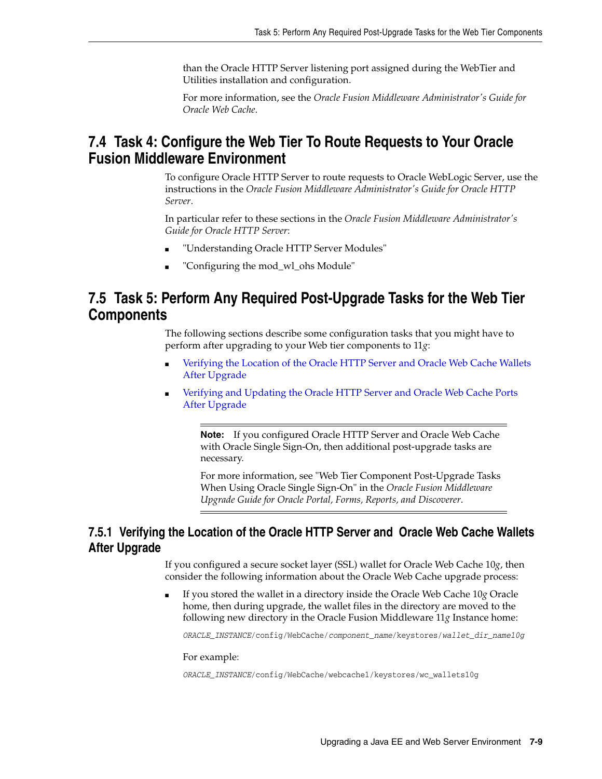than the Oracle HTTP Server listening port assigned during the WebTier and Utilities installation and configuration.

For more information, see the *Oracle Fusion Middleware Administrator's Guide for Oracle Web Cache*.

# <span id="page-66-0"></span>**7.4 Task 4: Configure the Web Tier To Route Requests to Your Oracle Fusion Middleware Environment**

To configure Oracle HTTP Server to route requests to Oracle WebLogic Server, use the instructions in the *Oracle Fusion Middleware Administrator's Guide for Oracle HTTP Server*.

In particular refer to these sections in the *Oracle Fusion Middleware Administrator's Guide for Oracle HTTP Server*:

- "Understanding Oracle HTTP Server Modules"
- "Configuring the mod\_wl\_ohs Module"

## <span id="page-66-1"></span>**7.5 Task 5: Perform Any Required Post-Upgrade Tasks for the Web Tier Components**

The following sections describe some configuration tasks that you might have to perform after upgrading to your Web tier components to 11*g*:

- Verifying the Location of the Oracle HTTP Server and Oracle Web Cache Wallets [After Upgrade](#page-66-2)
- Verifying and Updating the Oracle HTTP Server and Oracle Web Cache Ports [After Upgrade](#page-67-1)

**Note:** If you configured Oracle HTTP Server and Oracle Web Cache with Oracle Single Sign-On, then additional post-upgrade tasks are necessary.

For more information, see "Web Tier Component Post-Upgrade Tasks When Using Oracle Single Sign-On" in the *Oracle Fusion Middleware Upgrade Guide for Oracle Portal, Forms, Reports, and Discoverer*.

## <span id="page-66-2"></span>**7.5.1 Verifying the Location of the Oracle HTTP Server and Oracle Web Cache Wallets After Upgrade**

If you configured a secure socket layer (SSL) wallet for Oracle Web Cache 10*g*, then consider the following information about the Oracle Web Cache upgrade process:

If you stored the wallet in a directory inside the Oracle Web Cache 10g Oracle home, then during upgrade, the wallet files in the directory are moved to the following new directory in the Oracle Fusion Middleware 11*g* Instance home:

*ORACLE\_INSTANCE*/config/WebCache/*component\_name*/keystores/*wallet\_dir\_name10g*

#### For example:

*ORACLE\_INSTANCE*/config/WebCache/webcache1/keystores/wc\_wallets10g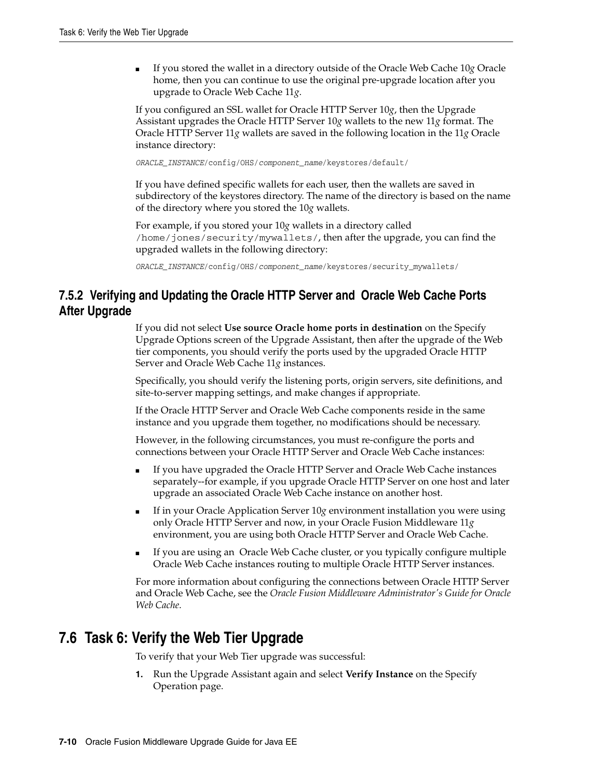If you stored the wallet in a directory outside of the Oracle Web Cache 10*g* Oracle home, then you can continue to use the original pre-upgrade location after you upgrade to Oracle Web Cache 11*g*.

If you configured an SSL wallet for Oracle HTTP Server 10*g*, then the Upgrade Assistant upgrades the Oracle HTTP Server 10*g* wallets to the new 11*g* format. The Oracle HTTP Server 11*g* wallets are saved in the following location in the 11*g* Oracle instance directory:

*ORACLE\_INSTANCE*/config/OHS/*component\_name*/keystores/default/

If you have defined specific wallets for each user, then the wallets are saved in subdirectory of the keystores directory. The name of the directory is based on the name of the directory where you stored the 10*g* wallets.

For example, if you stored your 10*g* wallets in a directory called /home/jones/security/mywallets/, then after the upgrade, you can find the upgraded wallets in the following directory:

*ORACLE\_INSTANCE*/config/OHS/*component\_name*/keystores/security\_mywallets/

## <span id="page-67-1"></span>**7.5.2 Verifying and Updating the Oracle HTTP Server and Oracle Web Cache Ports After Upgrade**

If you did not select **Use source Oracle home ports in destination** on the Specify Upgrade Options screen of the Upgrade Assistant, then after the upgrade of the Web tier components, you should verify the ports used by the upgraded Oracle HTTP Server and Oracle Web Cache 11*g* instances.

Specifically, you should verify the listening ports, origin servers, site definitions, and site-to-server mapping settings, and make changes if appropriate.

If the Oracle HTTP Server and Oracle Web Cache components reside in the same instance and you upgrade them together, no modifications should be necessary.

However, in the following circumstances, you must re-configure the ports and connections between your Oracle HTTP Server and Oracle Web Cache instances:

- If you have upgraded the Oracle HTTP Server and Oracle Web Cache instances separately--for example, if you upgrade Oracle HTTP Server on one host and later upgrade an associated Oracle Web Cache instance on another host.
- If in your Oracle Application Server 10*g* environment installation you were using only Oracle HTTP Server and now, in your Oracle Fusion Middleware 11*g* environment, you are using both Oracle HTTP Server and Oracle Web Cache.
- If you are using an Oracle Web Cache cluster, or you typically configure multiple Oracle Web Cache instances routing to multiple Oracle HTTP Server instances.

For more information about configuring the connections between Oracle HTTP Server and Oracle Web Cache, see the *Oracle Fusion Middleware Administrator's Guide for Oracle Web Cache*.

# <span id="page-67-0"></span>**7.6 Task 6: Verify the Web Tier Upgrade**

To verify that your Web Tier upgrade was successful:

**1.** Run the Upgrade Assistant again and select **Verify Instance** on the Specify Operation page.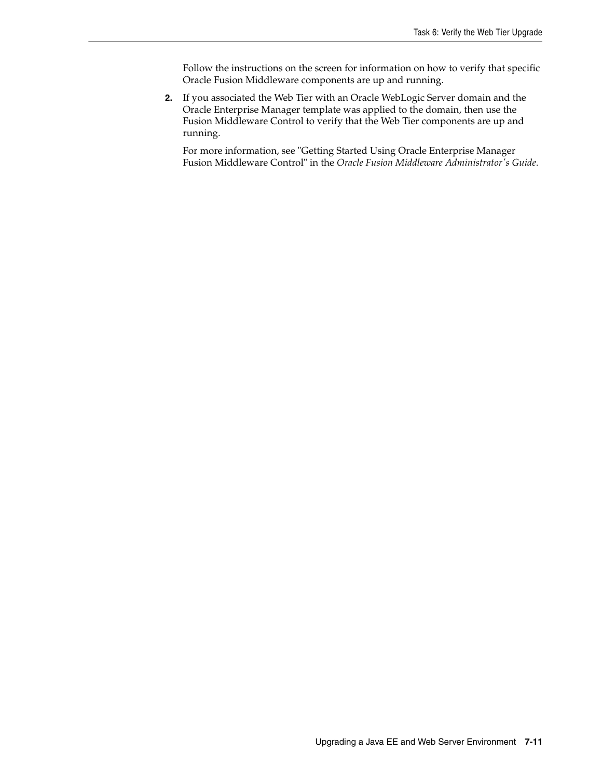Follow the instructions on the screen for information on how to verify that specific Oracle Fusion Middleware components are up and running.

**2.** If you associated the Web Tier with an Oracle WebLogic Server domain and the Oracle Enterprise Manager template was applied to the domain, then use the Fusion Middleware Control to verify that the Web Tier components are up and running.

For more information, see "Getting Started Using Oracle Enterprise Manager Fusion Middleware Control" in the *Oracle Fusion Middleware Administrator's Guide*.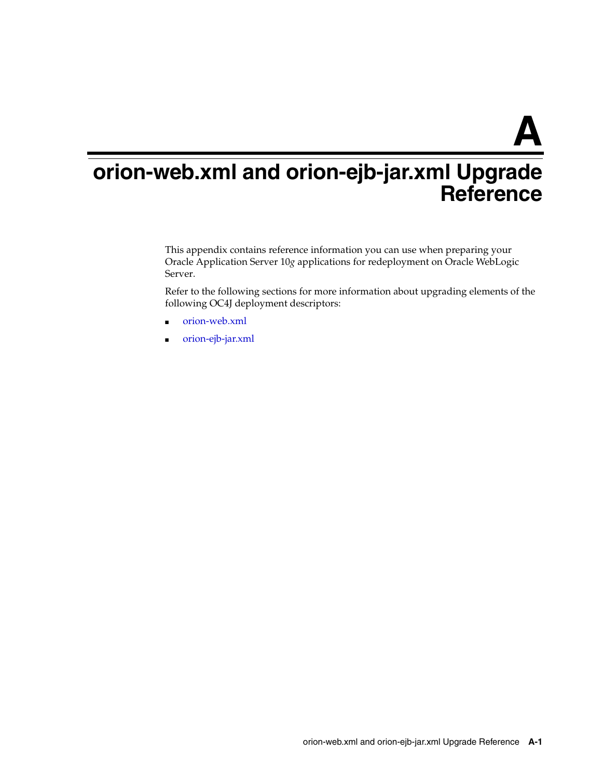**A**

# <sup>A</sup>**orion-web.xml and orion-ejb-jar.xml Upgrade Reference**

This appendix contains reference information you can use when preparing your Oracle Application Server 10*g* applications for redeployment on Oracle WebLogic Server.

Refer to the following sections for more information about upgrading elements of the following OC4J deployment descriptors:

- [orion-web.xml](#page-71-0)
- [orion-ejb-jar.xml](#page-99-0)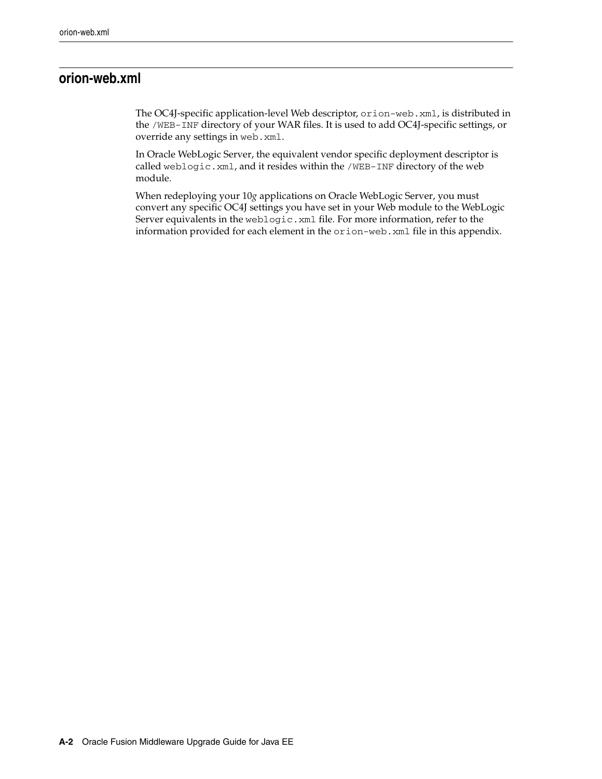# <span id="page-71-0"></span>**orion-web.xml**

The OC4J-specific application-level Web descriptor, orion-web.xml, is distributed in the /WEB-INF directory of your WAR files. It is used to add OC4J-specific settings, or override any settings in web.xml.

In Oracle WebLogic Server, the equivalent vendor specific deployment descriptor is called weblogic.xml, and it resides within the /WEB-INF directory of the web module.

When redeploying your 10*g* applications on Oracle WebLogic Server, you must convert any specific OC4J settings you have set in your Web module to the WebLogic Server equivalents in the weblogic.xml file. For more information, refer to the information provided for each element in the orion-web.xml file in this appendix.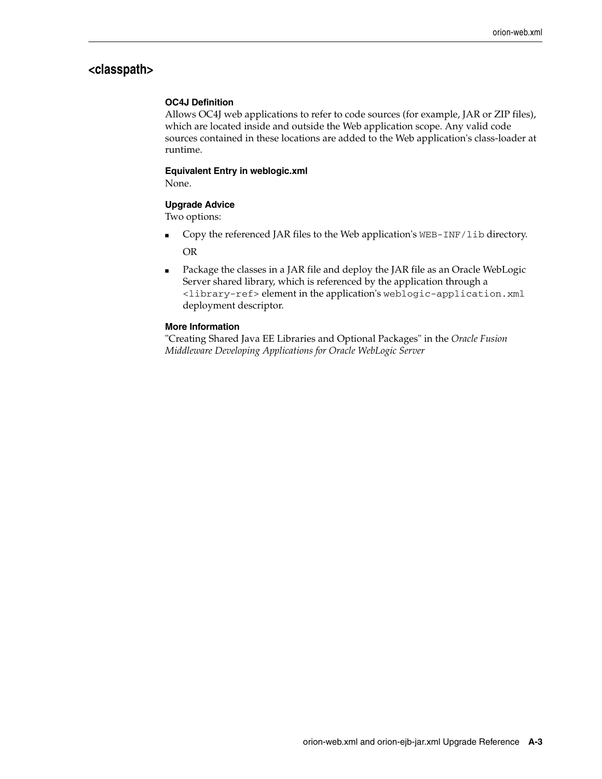# **<classpath>**

# **OC4J Definition**

Allows OC4J web applications to refer to code sources (for example, JAR or ZIP files), which are located inside and outside the Web application scope. Any valid code sources contained in these locations are added to the Web application's class-loader at runtime.

## **Equivalent Entry in weblogic.xml**

None.

## **Upgrade Advice**

Two options:

- Copy the referenced JAR files to the Web application's WEB-INF/lib directory. OR
- Package the classes in a JAR file and deploy the JAR file as an Oracle WebLogic Server shared library, which is referenced by the application through a <library-ref> element in the application's weblogic-application.xml deployment descriptor.

## **More Information**

"Creating Shared Java EE Libraries and Optional Packages" in the *Oracle Fusion Middleware Developing Applications for Oracle WebLogic Server*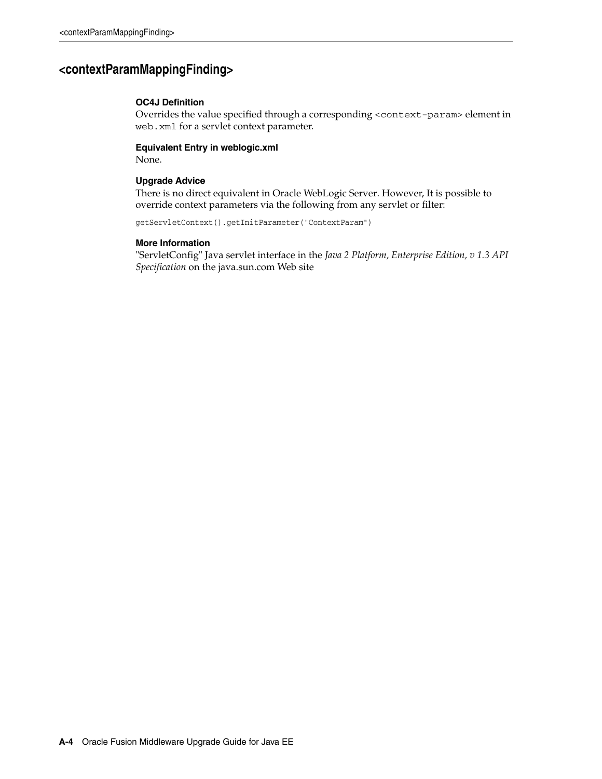# **<contextParamMappingFinding>**

# **OC4J Definition**

Overrides the value specified through a corresponding <context-param> element in web.xml for a servlet context parameter.

## **Equivalent Entry in weblogic.xml**

None.

## **Upgrade Advice**

There is no direct equivalent in Oracle WebLogic Server. However, It is possible to override context parameters via the following from any servlet or filter:

getServletContext().getInitParameter("ContextParam")

## **More Information**

"ServletConfig" Java servlet interface in the *Java 2 Platform, Enterprise Edition, v 1.3 API Specification* on the java.sun.com Web site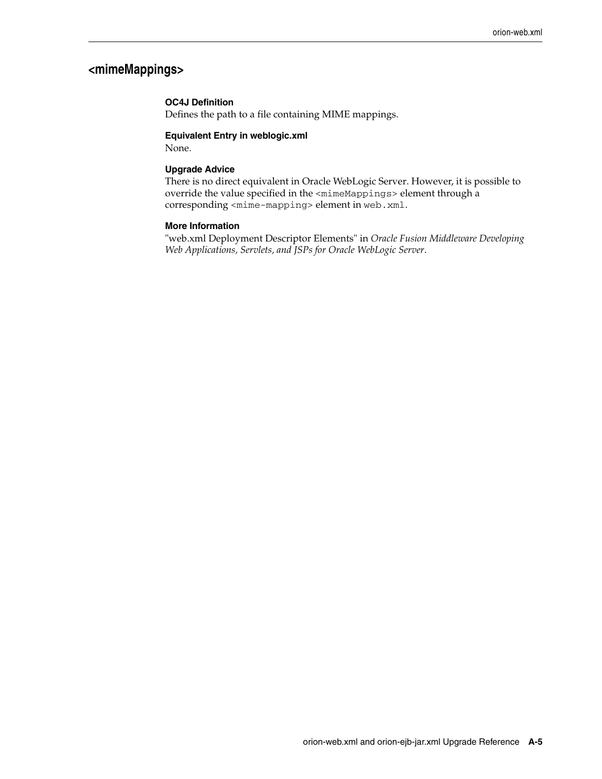# **<mimeMappings>**

# **OC4J Definition**

Defines the path to a file containing MIME mappings.

# **Equivalent Entry in weblogic.xml**

None.

# **Upgrade Advice**

There is no direct equivalent in Oracle WebLogic Server. However, it is possible to override the value specified in the <mimeMappings> element through a corresponding <mime-mapping> element in web.xml.

# **More Information**

"web.xml Deployment Descriptor Elements" in *Oracle Fusion Middleware Developing Web Applications, Servlets, and JSPs for Oracle WebLogic Server*.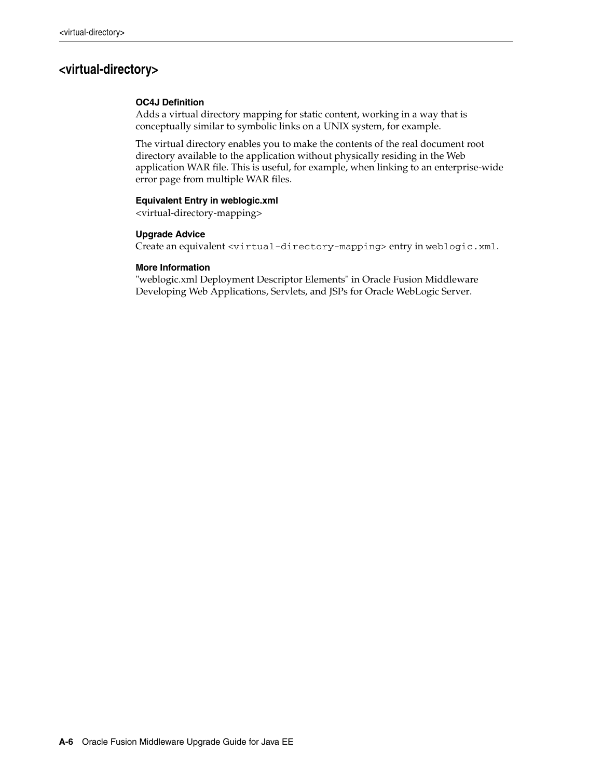# **<virtual-directory>**

# **OC4J Definition**

Adds a virtual directory mapping for static content, working in a way that is conceptually similar to symbolic links on a UNIX system, for example.

The virtual directory enables you to make the contents of the real document root directory available to the application without physically residing in the Web application WAR file. This is useful, for example, when linking to an enterprise-wide error page from multiple WAR files.

# **Equivalent Entry in weblogic.xml**

<virtual-directory-mapping>

# **Upgrade Advice**

Create an equivalent <virtual-directory-mapping> entry in weblogic.xml.

# **More Information**

"weblogic.xml Deployment Descriptor Elements" in Oracle Fusion Middleware Developing Web Applications, Servlets, and JSPs for Oracle WebLogic Server.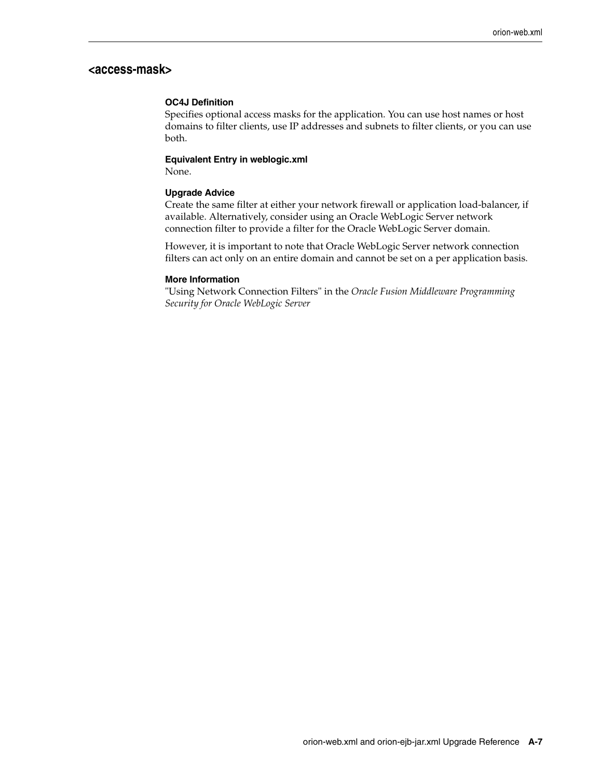# **<access-mask>**

# **OC4J Definition**

Specifies optional access masks for the application. You can use host names or host domains to filter clients, use IP addresses and subnets to filter clients, or you can use both.

# **Equivalent Entry in weblogic.xml**

None.

# **Upgrade Advice**

Create the same filter at either your network firewall or application load-balancer, if available. Alternatively, consider using an Oracle WebLogic Server network connection filter to provide a filter for the Oracle WebLogic Server domain.

However, it is important to note that Oracle WebLogic Server network connection filters can act only on an entire domain and cannot be set on a per application basis.

# **More Information**

"Using Network Connection Filters" in the *Oracle Fusion Middleware Programming Security for Oracle WebLogic Server*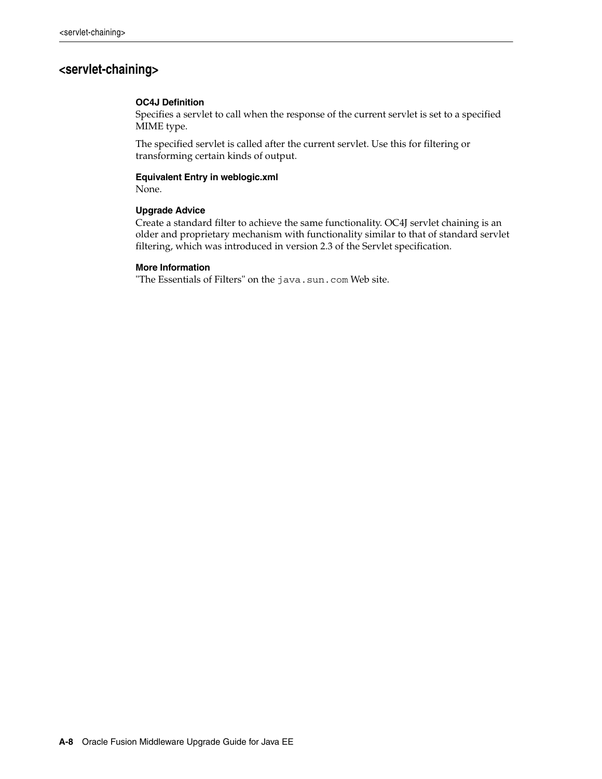# **<servlet-chaining>**

# **OC4J Definition**

Specifies a servlet to call when the response of the current servlet is set to a specified MIME type.

The specified servlet is called after the current servlet. Use this for filtering or transforming certain kinds of output.

# **Equivalent Entry in weblogic.xml**

None.

# **Upgrade Advice**

Create a standard filter to achieve the same functionality. OC4J servlet chaining is an older and proprietary mechanism with functionality similar to that of standard servlet filtering, which was introduced in version 2.3 of the Servlet specification.

## **More Information**

"The Essentials of Filters" on the java.sun.com Web site.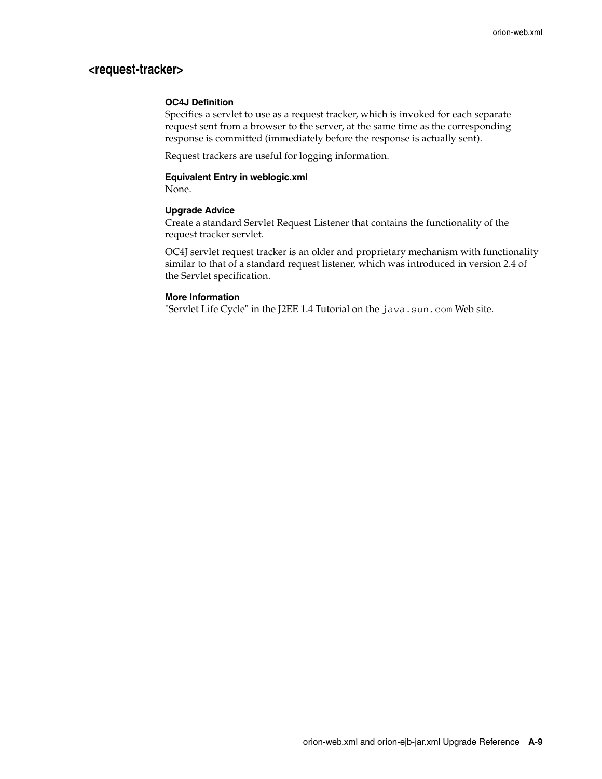# **<request-tracker>**

# **OC4J Definition**

Specifies a servlet to use as a request tracker, which is invoked for each separate request sent from a browser to the server, at the same time as the corresponding response is committed (immediately before the response is actually sent).

Request trackers are useful for logging information.

# **Equivalent Entry in weblogic.xml**

None.

#### **Upgrade Advice**

Create a standard Servlet Request Listener that contains the functionality of the request tracker servlet.

OC4J servlet request tracker is an older and proprietary mechanism with functionality similar to that of a standard request listener, which was introduced in version 2.4 of the Servlet specification.

# **More Information**

"Servlet Life Cycle" in the J2EE 1.4 Tutorial on the java.sun.com Web site.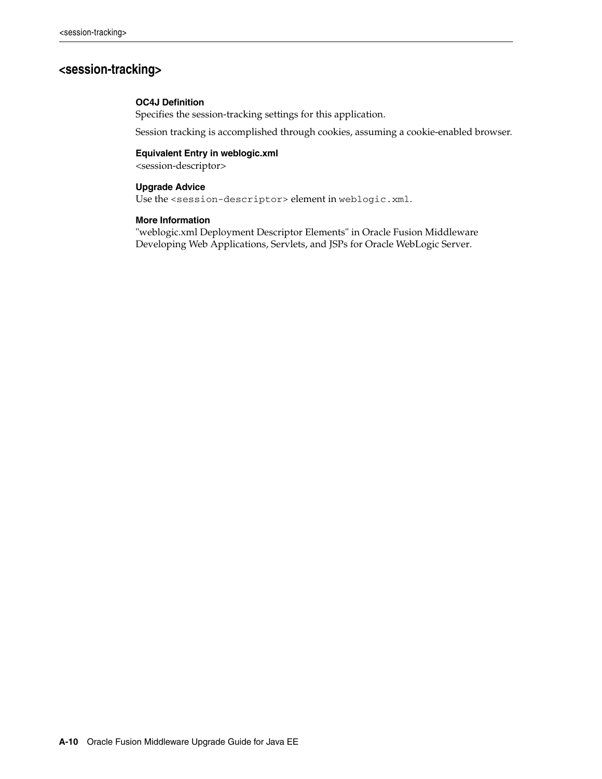# **<session-tracking>**

## **OC4J Definition**

Specifies the session-tracking settings for this application.

Session tracking is accomplished through cookies, assuming a cookie-enabled browser.

# **Equivalent Entry in weblogic.xml**

<session-descriptor>

# **Upgrade Advice**

Use the <session-descriptor> element in weblogic.xml.

### **More Information**

"weblogic.xml Deployment Descriptor Elements" in Oracle Fusion Middleware Developing Web Applications, Servlets, and JSPs for Oracle WebLogic Server.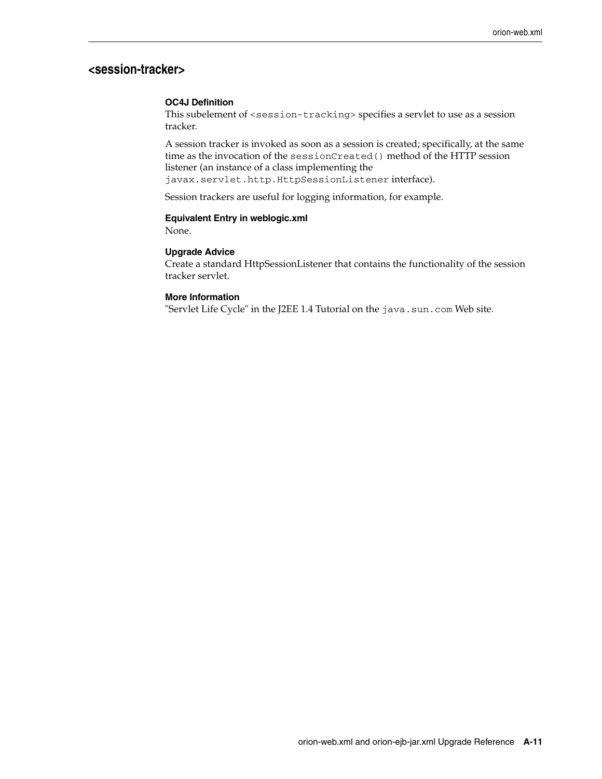# **<session-tracker>**

# **OC4J Definition**

This subelement of <session-tracking> specifies a servlet to use as a session tracker.

A session tracker is invoked as soon as a session is created; specifically, at the same time as the invocation of the sessionCreated() method of the HTTP session listener (an instance of a class implementing the javax.servlet.http.HttpSessionListener interface).

Session trackers are useful for logging information, for example.

#### **Equivalent Entry in weblogic.xml**

None.

#### **Upgrade Advice**

Create a standard HttpSessionListener that contains the functionality of the session tracker servlet.

# **More Information**

"Servlet Life Cycle" in the J2EE 1.4 Tutorial on the java.sun.com Web site.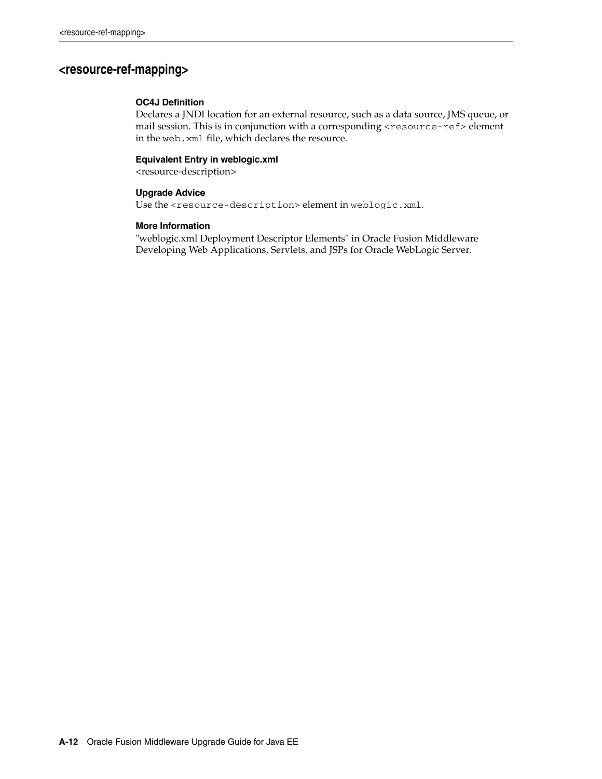# **<resource-ref-mapping>**

# **OC4J Definition**

Declares a JNDI location for an external resource, such as a data source, JMS queue, or mail session. This is in conjunction with a corresponding <resource-ref> element in the web.xml file, which declares the resource.

# **Equivalent Entry in weblogic.xml**

<resource-description>

## **Upgrade Advice**

Use the <resource-description> element in weblogic.xml.

# **More Information**

"weblogic.xml Deployment Descriptor Elements" in Oracle Fusion Middleware Developing Web Applications, Servlets, and JSPs for Oracle WebLogic Server.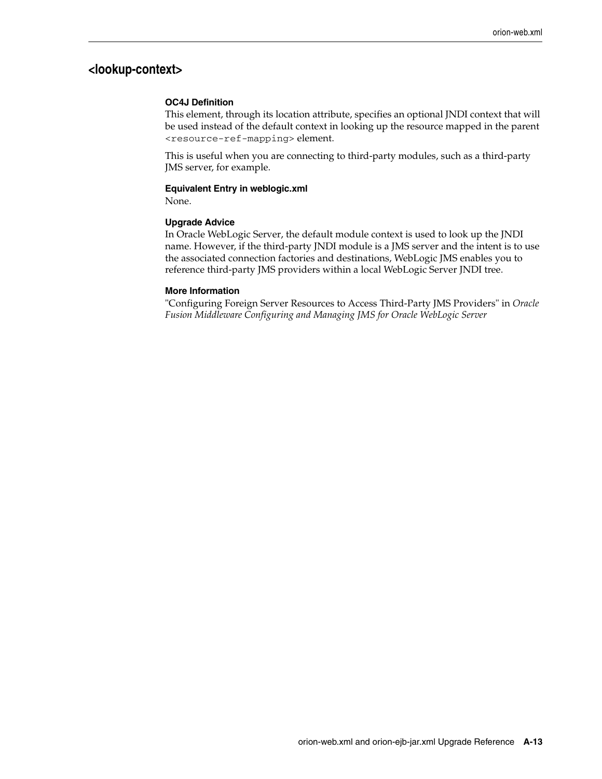# **<lookup-context>**

# **OC4J Definition**

This element, through its location attribute, specifies an optional JNDI context that will be used instead of the default context in looking up the resource mapped in the parent <resource-ref-mapping> element.

This is useful when you are connecting to third-party modules, such as a third-party JMS server, for example.

## **Equivalent Entry in weblogic.xml**

None.

# **Upgrade Advice**

In Oracle WebLogic Server, the default module context is used to look up the JNDI name. However, if the third-party JNDI module is a JMS server and the intent is to use the associated connection factories and destinations, WebLogic JMS enables you to reference third-party JMS providers within a local WebLogic Server JNDI tree.

# **More Information**

"Configuring Foreign Server Resources to Access Third-Party JMS Providers" in *Oracle Fusion Middleware Configuring and Managing JMS for Oracle WebLogic Server*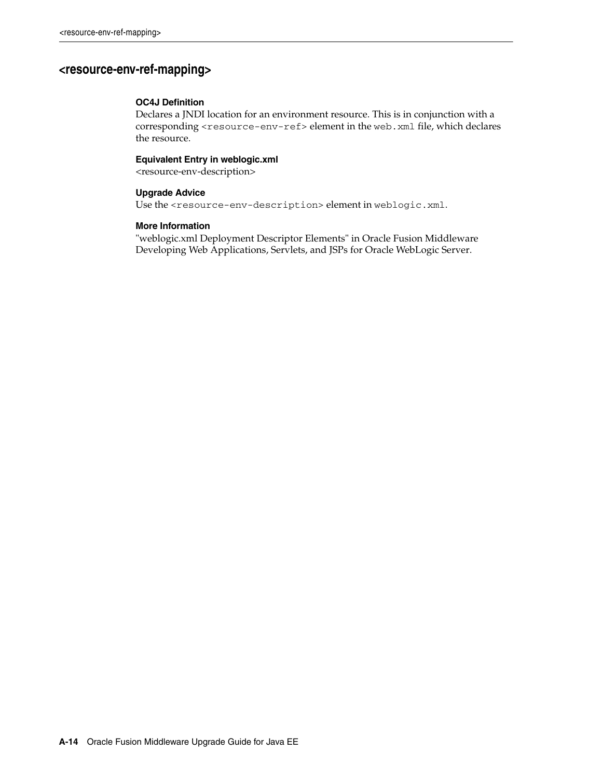# **<resource-env-ref-mapping>**

# **OC4J Definition**

Declares a JNDI location for an environment resource. This is in conjunction with a corresponding <resource-env-ref> element in the web.xml file, which declares the resource.

# **Equivalent Entry in weblogic.xml**

<resource-env-description>

## **Upgrade Advice**

Use the <resource-env-description> element in weblogic.xml.

# **More Information**

"weblogic.xml Deployment Descriptor Elements" in Oracle Fusion Middleware Developing Web Applications, Servlets, and JSPs for Oracle WebLogic Server.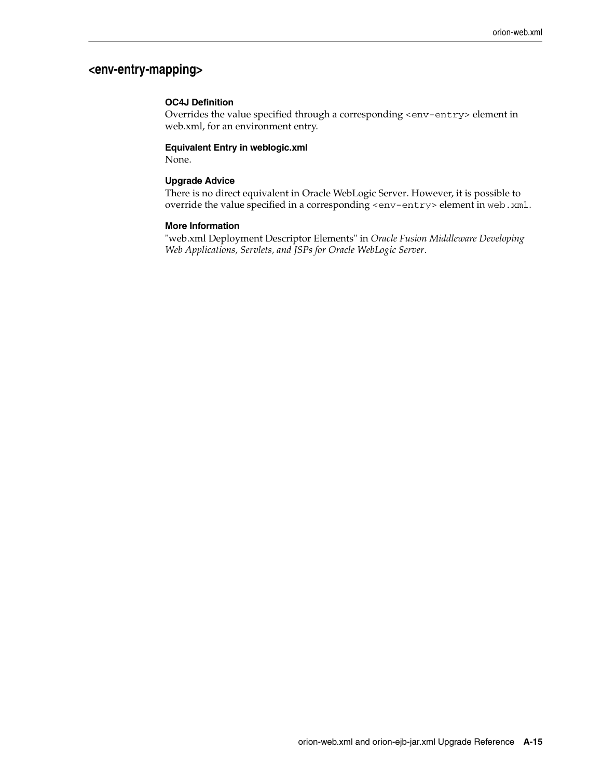# **<env-entry-mapping>**

# **OC4J Definition**

Overrides the value specified through a corresponding <env-entry> element in web.xml, for an environment entry.

# **Equivalent Entry in weblogic.xml**

None.

# **Upgrade Advice**

There is no direct equivalent in Oracle WebLogic Server. However, it is possible to override the value specified in a corresponding <env-entry> element in web.xml.

# **More Information**

"web.xml Deployment Descriptor Elements" in *Oracle Fusion Middleware Developing Web Applications, Servlets, and JSPs for Oracle WebLogic Server*.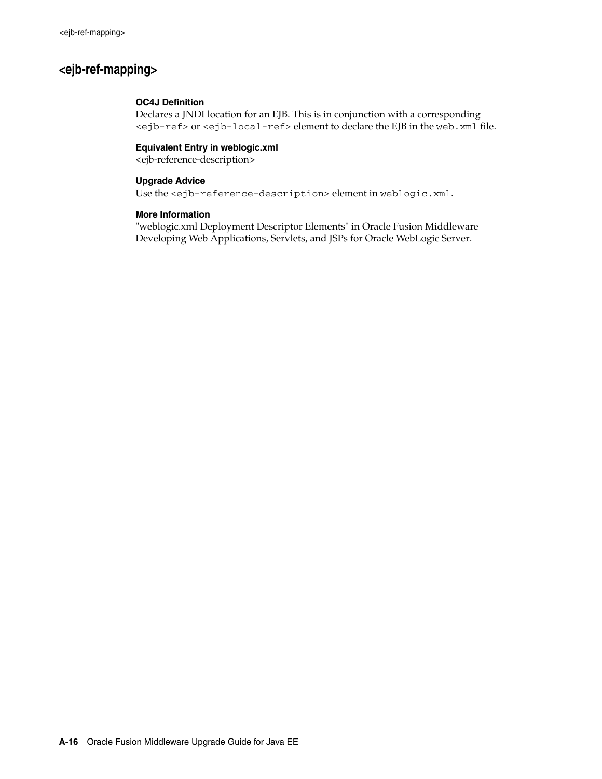# **<ejb-ref-mapping>**

# **OC4J Definition**

Declares a JNDI location for an EJB. This is in conjunction with a corresponding <ejb-ref> or <ejb-local-ref> element to declare the EJB in the web.xml file.

# **Equivalent Entry in weblogic.xml**

<ejb-reference-description>

# **Upgrade Advice**

Use the <ejb-reference-description> element in weblogic.xml.

# **More Information**

"weblogic.xml Deployment Descriptor Elements" in Oracle Fusion Middleware Developing Web Applications, Servlets, and JSPs for Oracle WebLogic Server.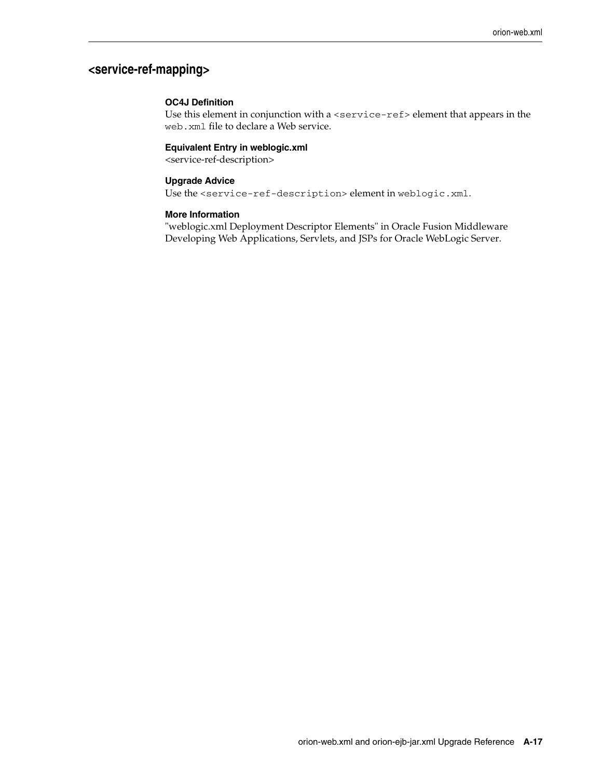# **<service-ref-mapping>**

# **OC4J Definition**

Use this element in conjunction with a <service-ref> element that appears in the web.xml file to declare a Web service.

# **Equivalent Entry in weblogic.xml**

<service-ref-description>

## **Upgrade Advice**

Use the <service-ref-description> element in weblogic.xml.

# **More Information**

"weblogic.xml Deployment Descriptor Elements" in Oracle Fusion Middleware Developing Web Applications, Servlets, and JSPs for Oracle WebLogic Server.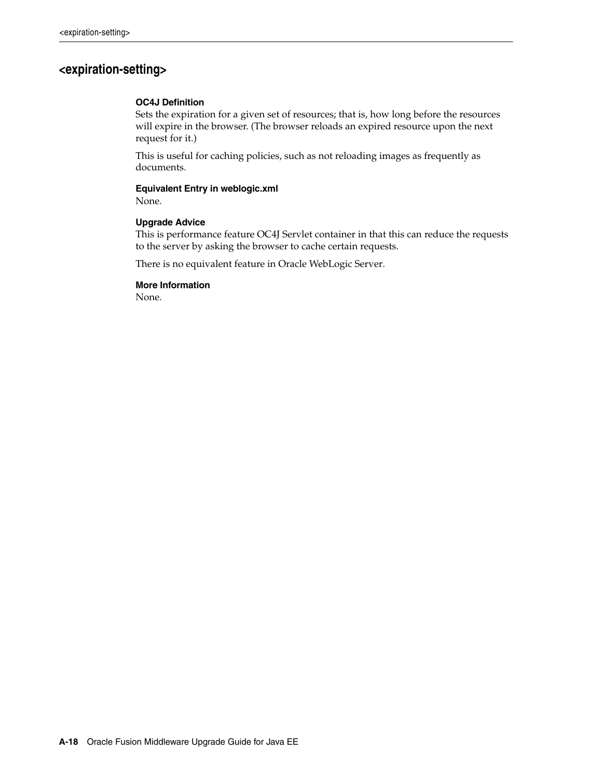# **<expiration-setting>**

# **OC4J Definition**

Sets the expiration for a given set of resources; that is, how long before the resources will expire in the browser. (The browser reloads an expired resource upon the next request for it.)

This is useful for caching policies, such as not reloading images as frequently as documents.

# **Equivalent Entry in weblogic.xml**

None.

# **Upgrade Advice**

This is performance feature OC4J Servlet container in that this can reduce the requests to the server by asking the browser to cache certain requests.

There is no equivalent feature in Oracle WebLogic Server.

# **More Information**

None.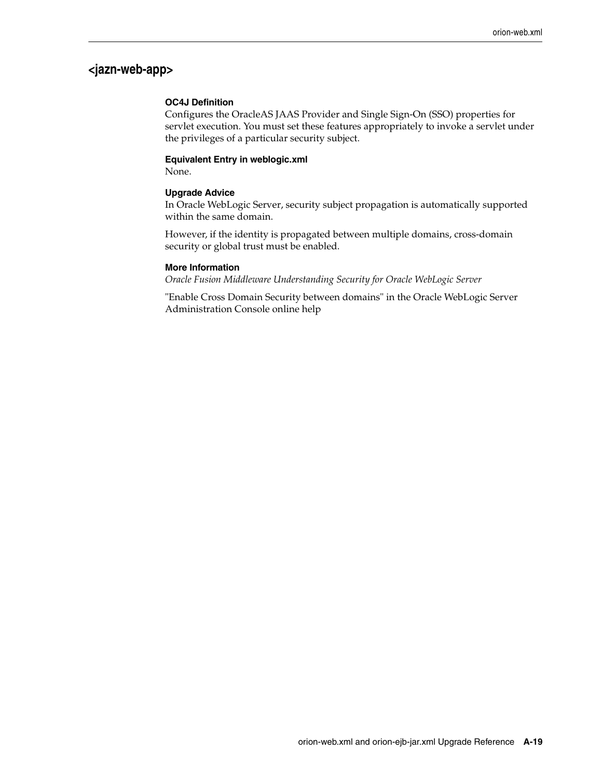# **<jazn-web-app>**

# **OC4J Definition**

Configures the OracleAS JAAS Provider and Single Sign-On (SSO) properties for servlet execution. You must set these features appropriately to invoke a servlet under the privileges of a particular security subject.

# **Equivalent Entry in weblogic.xml**

None.

## **Upgrade Advice**

In Oracle WebLogic Server, security subject propagation is automatically supported within the same domain.

However, if the identity is propagated between multiple domains, cross-domain security or global trust must be enabled.

## **More Information**

*Oracle Fusion Middleware Understanding Security for Oracle WebLogic Server*

"Enable Cross Domain Security between domains" in the Oracle WebLogic Server Administration Console online help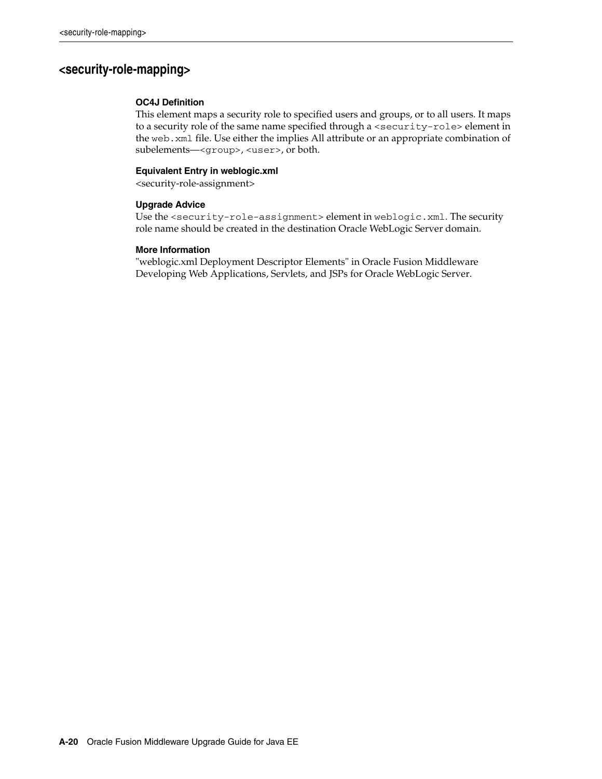# **<security-role-mapping>**

# **OC4J Definition**

This element maps a security role to specified users and groups, or to all users. It maps to a security role of the same name specified through a <security-role> element in the web.xml file. Use either the implies All attribute or an appropriate combination of subelements—<group>, <user>, or both.

# **Equivalent Entry in weblogic.xml**

<security-role-assignment>

# **Upgrade Advice**

Use the <security-role-assignment> element in weblogic.xml. The security role name should be created in the destination Oracle WebLogic Server domain.

# **More Information**

"weblogic.xml Deployment Descriptor Elements" in Oracle Fusion Middleware Developing Web Applications, Servlets, and JSPs for Oracle WebLogic Server.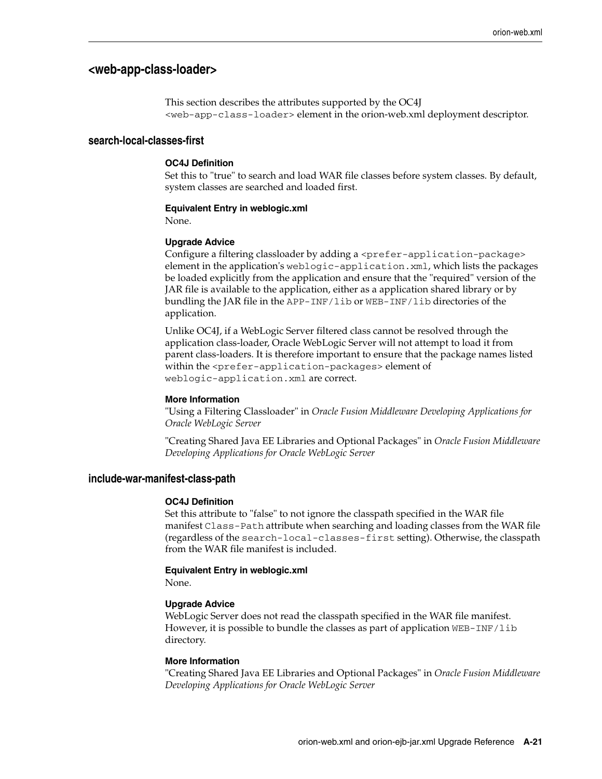# **<web-app-class-loader>**

This section describes the attributes supported by the OC4J <web-app-class-loader> element in the orion-web.xml deployment descriptor.

# **search-local-classes-first**

#### **OC4J Definition**

Set this to "true" to search and load WAR file classes before system classes. By default, system classes are searched and loaded first.

### **Equivalent Entry in weblogic.xml**

None.

## **Upgrade Advice**

Configure a filtering classloader by adding a <prefer-application-package> element in the application's weblogic-application.xml, which lists the packages be loaded explicitly from the application and ensure that the "required" version of the JAR file is available to the application, either as a application shared library or by bundling the JAR file in the APP-INF/lib or WEB-INF/lib directories of the application.

Unlike OC4J, if a WebLogic Server filtered class cannot be resolved through the application class-loader, Oracle WebLogic Server will not attempt to load it from parent class-loaders. It is therefore important to ensure that the package names listed within the <prefer-application-packages> element of weblogic-application.xml are correct.

## **More Information**

"Using a Filtering Classloader" in *Oracle Fusion Middleware Developing Applications for Oracle WebLogic Server*

"Creating Shared Java EE Libraries and Optional Packages" in *Oracle Fusion Middleware Developing Applications for Oracle WebLogic Server*

## **include-war-manifest-class-path**

## **OC4J Definition**

Set this attribute to "false" to not ignore the classpath specified in the WAR file manifest Class-Path attribute when searching and loading classes from the WAR file (regardless of the search-local-classes-first setting). Otherwise, the classpath from the WAR file manifest is included.

#### **Equivalent Entry in weblogic.xml**

None.

#### **Upgrade Advice**

WebLogic Server does not read the classpath specified in the WAR file manifest. However, it is possible to bundle the classes as part of application WEB-INF/lib directory.

### **More Information**

"Creating Shared Java EE Libraries and Optional Packages" in *Oracle Fusion Middleware Developing Applications for Oracle WebLogic Server*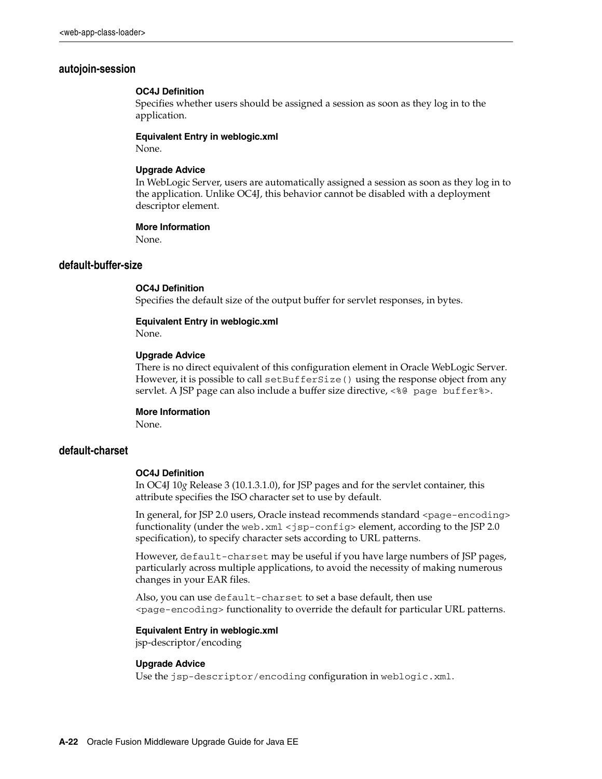# **autojoin-session**

# **OC4J Definition**

Specifies whether users should be assigned a session as soon as they log in to the application.

**Equivalent Entry in weblogic.xml**

None.

### **Upgrade Advice**

In WebLogic Server, users are automatically assigned a session as soon as they log in to the application. Unlike OC4J, this behavior cannot be disabled with a deployment descriptor element.

# **More Information**

None.

# **default-buffer-size**

# **OC4J Definition**

Specifies the default size of the output buffer for servlet responses, in bytes.

### **Equivalent Entry in weblogic.xml**

None.

## **Upgrade Advice**

There is no direct equivalent of this configuration element in Oracle WebLogic Server. However, it is possible to call setBufferSize() using the response object from any servlet. A JSP page can also include a buffer size directive, <%@ page buffer%>.

**More Information**

None.

# **default-charset**

#### **OC4J Definition**

In OC4J 10*g* Release 3 (10.1.3.1.0), for JSP pages and for the servlet container, this attribute specifies the ISO character set to use by default.

In general, for JSP 2.0 users, Oracle instead recommends standard <page-encoding> functionality (under the web.  $xml < jsp-config>$  element, according to the JSP 2.0 specification), to specify character sets according to URL patterns.

However, default-charset may be useful if you have large numbers of JSP pages, particularly across multiple applications, to avoid the necessity of making numerous changes in your EAR files.

Also, you can use default-charset to set a base default, then use <page-encoding> functionality to override the default for particular URL patterns.

#### **Equivalent Entry in weblogic.xml**

jsp-descriptor/encoding

## **Upgrade Advice**

Use the jsp-descriptor/encoding configuration in weblogic.xml.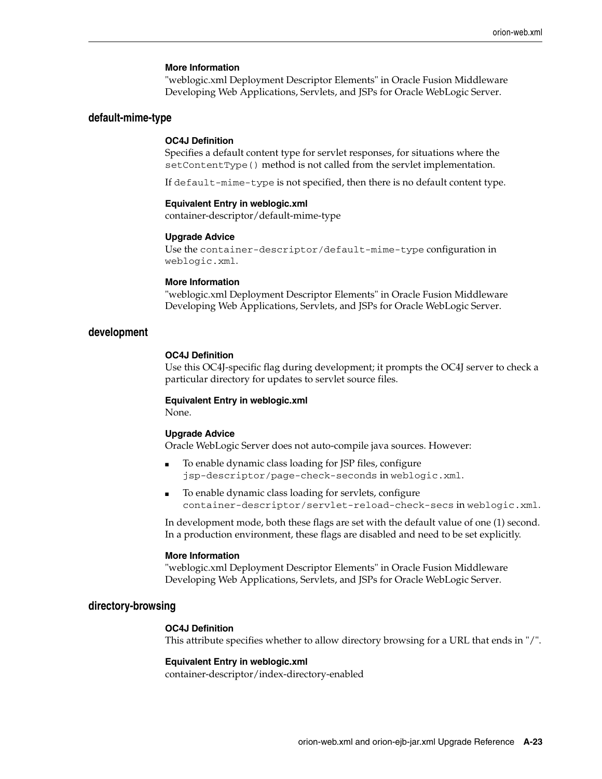#### **More Information**

"weblogic.xml Deployment Descriptor Elements" in Oracle Fusion Middleware Developing Web Applications, Servlets, and JSPs for Oracle WebLogic Server.

## **default-mime-type**

### **OC4J Definition**

Specifies a default content type for servlet responses, for situations where the setContentType() method is not called from the servlet implementation.

If default-mime-type is not specified, then there is no default content type.

#### **Equivalent Entry in weblogic.xml**

container-descriptor/default-mime-type

## **Upgrade Advice**

Use the container-descriptor/default-mime-type configuration in weblogic.xml.

## **More Information**

"weblogic.xml Deployment Descriptor Elements" in Oracle Fusion Middleware Developing Web Applications, Servlets, and JSPs for Oracle WebLogic Server.

# **development**

## **OC4J Definition**

Use this OC4J-specific flag during development; it prompts the OC4J server to check a particular directory for updates to servlet source files.

#### **Equivalent Entry in weblogic.xml**

None.

#### **Upgrade Advice**

Oracle WebLogic Server does not auto-compile java sources. However:

- To enable dynamic class loading for JSP files, configure jsp-descriptor/page-check-seconds in weblogic.xml.
- To enable dynamic class loading for servlets, configure container-descriptor/servlet-reload-check-secs in weblogic.xml.

In development mode, both these flags are set with the default value of one (1) second. In a production environment, these flags are disabled and need to be set explicitly.

#### **More Information**

"weblogic.xml Deployment Descriptor Elements" in Oracle Fusion Middleware Developing Web Applications, Servlets, and JSPs for Oracle WebLogic Server.

# **directory-browsing**

## **OC4J Definition**

This attribute specifies whether to allow directory browsing for a URL that ends in "/".

#### **Equivalent Entry in weblogic.xml**

container-descriptor/index-directory-enabled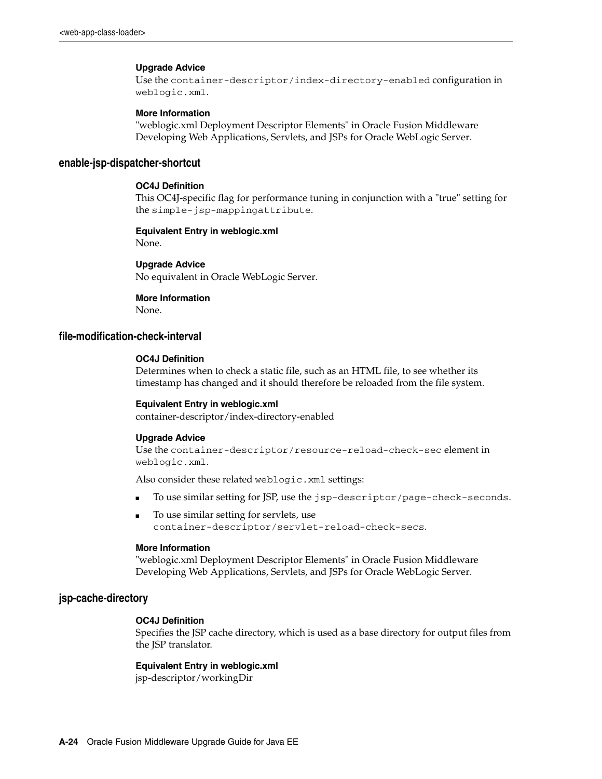Use the container-descriptor/index-directory-enabled configuration in weblogic.xml.

# **More Information**

"weblogic.xml Deployment Descriptor Elements" in Oracle Fusion Middleware Developing Web Applications, Servlets, and JSPs for Oracle WebLogic Server.

# **enable-jsp-dispatcher-shortcut**

# **OC4J Definition**

This OC4J-specific flag for performance tuning in conjunction with a "true" setting for the simple-jsp-mappingattribute.

**Equivalent Entry in weblogic.xml** None.

**Upgrade Advice** No equivalent in Oracle WebLogic Server.

### **More Information**

None.

# **file-modification-check-interval**

# **OC4J Definition**

Determines when to check a static file, such as an HTML file, to see whether its timestamp has changed and it should therefore be reloaded from the file system.

#### **Equivalent Entry in weblogic.xml**

container-descriptor/index-directory-enabled

#### **Upgrade Advice**

Use the container-descriptor/resource-reload-check-sec element in weblogic.xml.

Also consider these related weblogic.xml settings:

- To use similar setting for JSP, use the jsp-descriptor/page-check-seconds.
- To use similar setting for servlets, use container-descriptor/servlet-reload-check-secs.

#### **More Information**

"weblogic.xml Deployment Descriptor Elements" in Oracle Fusion Middleware Developing Web Applications, Servlets, and JSPs for Oracle WebLogic Server.

# **jsp-cache-directory**

#### **OC4J Definition**

Specifies the JSP cache directory, which is used as a base directory for output files from the JSP translator.

## **Equivalent Entry in weblogic.xml**

jsp-descriptor/workingDir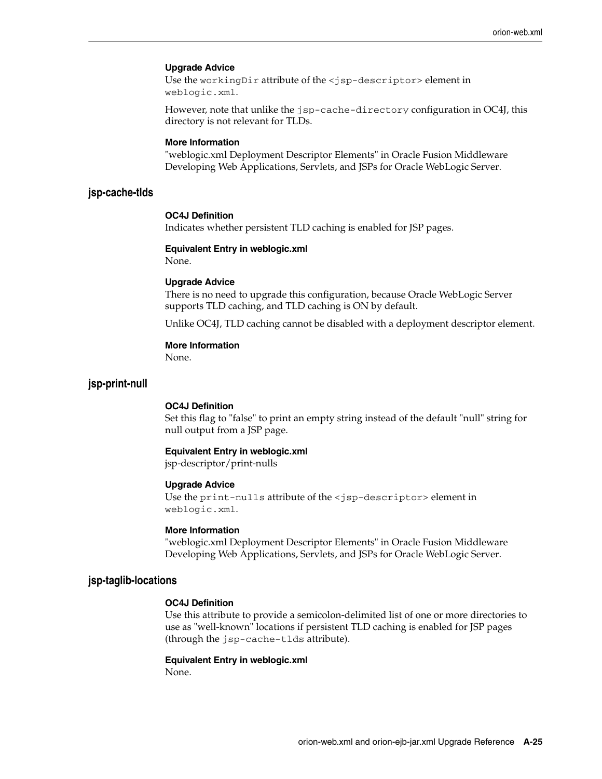Use the workingDir attribute of the <jsp-descriptor> element in weblogic.xml.

However, note that unlike the jsp-cache-directory configuration in OC4J, this directory is not relevant for TLDs.

#### **More Information**

"weblogic.xml Deployment Descriptor Elements" in Oracle Fusion Middleware Developing Web Applications, Servlets, and JSPs for Oracle WebLogic Server.

## **jsp-cache-tlds**

## **OC4J Definition**

Indicates whether persistent TLD caching is enabled for JSP pages.

## **Equivalent Entry in weblogic.xml**

None.

## **Upgrade Advice**

There is no need to upgrade this configuration, because Oracle WebLogic Server supports TLD caching, and TLD caching is ON by default.

Unlike OC4J, TLD caching cannot be disabled with a deployment descriptor element.

### **More Information**

None.

# **jsp-print-null**

# **OC4J Definition**

Set this flag to "false" to print an empty string instead of the default "null" string for null output from a JSP page.

#### **Equivalent Entry in weblogic.xml**

jsp-descriptor/print-nulls

#### **Upgrade Advice**

Use the print-nulls attribute of the <jsp-descriptor> element in weblogic.xml.

## **More Information**

"weblogic.xml Deployment Descriptor Elements" in Oracle Fusion Middleware Developing Web Applications, Servlets, and JSPs for Oracle WebLogic Server.

## **jsp-taglib-locations**

## **OC4J Definition**

Use this attribute to provide a semicolon-delimited list of one or more directories to use as "well-known" locations if persistent TLD caching is enabled for JSP pages (through the jsp-cache-tlds attribute).

### **Equivalent Entry in weblogic.xml**

None.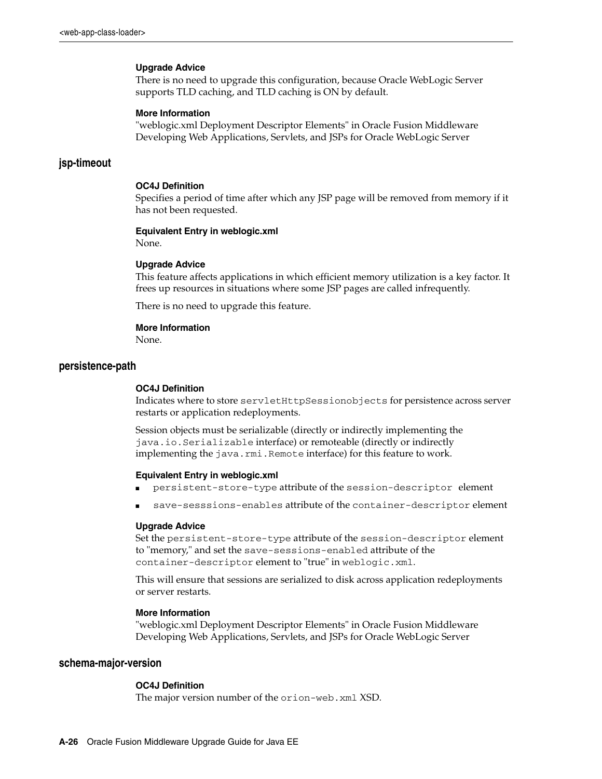There is no need to upgrade this configuration, because Oracle WebLogic Server supports TLD caching, and TLD caching is ON by default.

### **More Information**

"weblogic.xml Deployment Descriptor Elements" in Oracle Fusion Middleware Developing Web Applications, Servlets, and JSPs for Oracle WebLogic Server

# **jsp-timeout**

## **OC4J Definition**

Specifies a period of time after which any JSP page will be removed from memory if it has not been requested.

# **Equivalent Entry in weblogic.xml**

None.

# **Upgrade Advice**

This feature affects applications in which efficient memory utilization is a key factor. It frees up resources in situations where some JSP pages are called infrequently.

There is no need to upgrade this feature.

## **More Information**

None.

#### **persistence-path**

## **OC4J Definition**

Indicates where to store servletHttpSessionobjects for persistence across server restarts or application redeployments.

Session objects must be serializable (directly or indirectly implementing the java.io.Serializable interface) or remoteable (directly or indirectly implementing the java.rmi.Remote interface) for this feature to work.

#### **Equivalent Entry in weblogic.xml**

- persistent-store-type attribute of the session-descriptor element
- save-sesssions-enables attribute of the container-descriptor element

#### **Upgrade Advice**

Set the persistent-store-type attribute of the session-descriptor element to "memory," and set the save-sessions-enabled attribute of the container-descriptor element to "true" in weblogic.xml.

This will ensure that sessions are serialized to disk across application redeployments or server restarts.

#### **More Information**

"weblogic.xml Deployment Descriptor Elements" in Oracle Fusion Middleware Developing Web Applications, Servlets, and JSPs for Oracle WebLogic Server

## **schema-major-version**

## **OC4J Definition**

The major version number of the orion-web.xml XSD.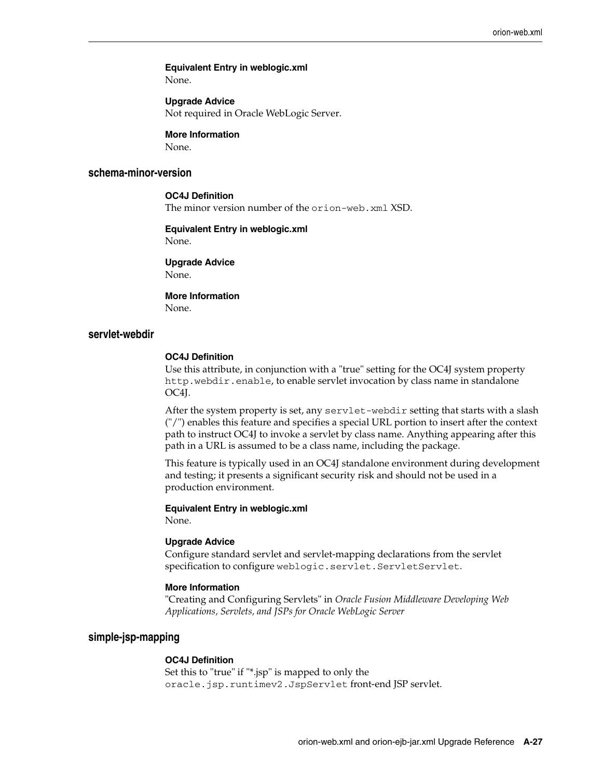### **Equivalent Entry in weblogic.xml**

None.

**Upgrade Advice** Not required in Oracle WebLogic Server.

**More Information** None.

# **schema-minor-version**

## **OC4J Definition**

The minor version number of the orion-web.xml XSD.

#### **Equivalent Entry in weblogic.xml**

None.

# **Upgrade Advice** None.

## **More Information** None.

# **servlet-webdir**

# **OC4J Definition**

Use this attribute, in conjunction with a "true" setting for the OC4J system property http.webdir.enable, to enable servlet invocation by class name in standalone OC4J.

After the system property is set, any servlet-webdir setting that starts with a slash ("/") enables this feature and specifies a special URL portion to insert after the context path to instruct OC4J to invoke a servlet by class name. Anything appearing after this path in a URL is assumed to be a class name, including the package.

This feature is typically used in an OC4J standalone environment during development and testing; it presents a significant security risk and should not be used in a production environment.

#### **Equivalent Entry in weblogic.xml**

None.

# **Upgrade Advice**

Configure standard servlet and servlet-mapping declarations from the servlet specification to configure weblogic.servlet.ServletServlet.

## **More Information**

"Creating and Configuring Servlets" in *Oracle Fusion Middleware Developing Web Applications, Servlets, and JSPs for Oracle WebLogic Server*

# **simple-jsp-mapping**

# **OC4J Definition**

Set this to "true" if "\*.jsp" is mapped to only the oracle.jsp.runtimev2.JspServlet front-end JSP servlet.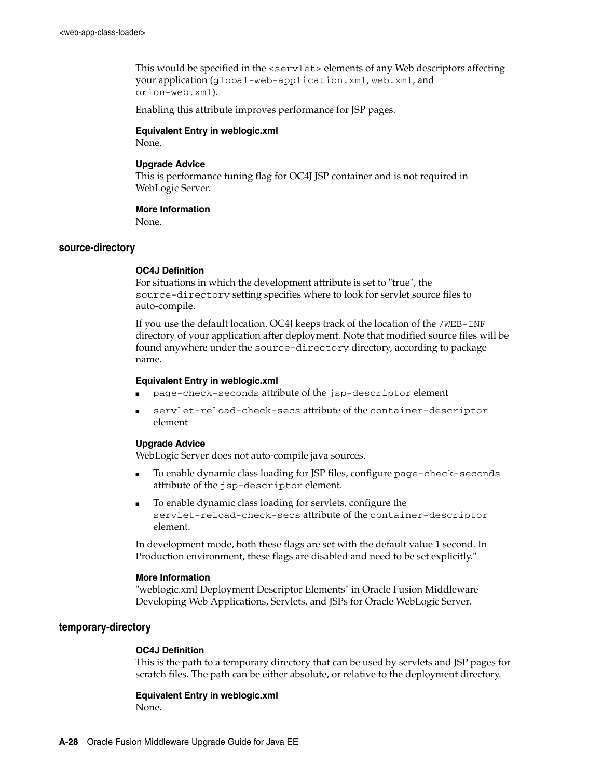This would be specified in the  $\le$ servlet> elements of any Web descriptors affecting your application (global-web-application.xml, web.xml, and orion-web.xml).

Enabling this attribute improves performance for JSP pages.

#### **Equivalent Entry in weblogic.xml**

None.

## **Upgrade Advice**

This is performance tuning flag for OC4J JSP container and is not required in WebLogic Server.

#### **More Information**

None.

# **source-directory**

## **OC4J Definition**

For situations in which the development attribute is set to "true", the source-directory setting specifies where to look for servlet source files to auto-compile.

If you use the default location, OC4J keeps track of the location of the /WEB-INF directory of your application after deployment. Note that modified source files will be found anywhere under the source-directory directory, according to package name.

#### **Equivalent Entry in weblogic.xml**

- page-check-seconds attribute of the jsp-descriptor element
- servlet-reload-check-secs attribute of the container-descriptor element

## **Upgrade Advice**

WebLogic Server does not auto-compile java sources.

- To enable dynamic class loading for JSP files, configure page-check-seconds attribute of the jsp-descriptor element.
- To enable dynamic class loading for servlets, configure the servlet-reload-check-secs attribute of the container-descriptor element.

In development mode, both these flags are set with the default value 1 second. In Production environment, these flags are disabled and need to be set explicitly."

## **More Information**

"weblogic.xml Deployment Descriptor Elements" in Oracle Fusion Middleware Developing Web Applications, Servlets, and JSPs for Oracle WebLogic Server.

## **temporary-directory**

# **OC4J Definition**

This is the path to a temporary directory that can be used by servlets and JSP pages for scratch files. The path can be either absolute, or relative to the deployment directory.

#### **Equivalent Entry in weblogic.xml** None.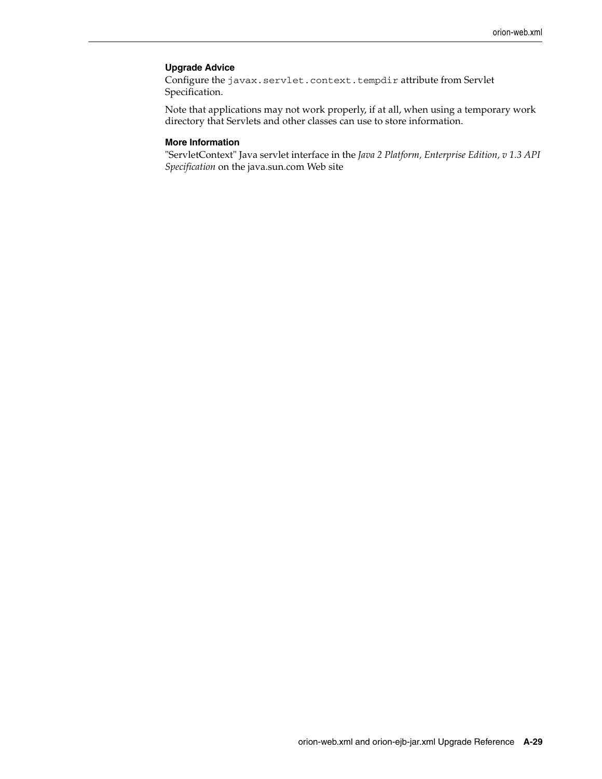Configure the javax.servlet.context.tempdir attribute from Servlet Specification.

Note that applications may not work properly, if at all, when using a temporary work directory that Servlets and other classes can use to store information.

# **More Information**

"ServletContext" Java servlet interface in the *Java 2 Platform, Enterprise Edition, v 1.3 API Specification* on the java.sun.com Web site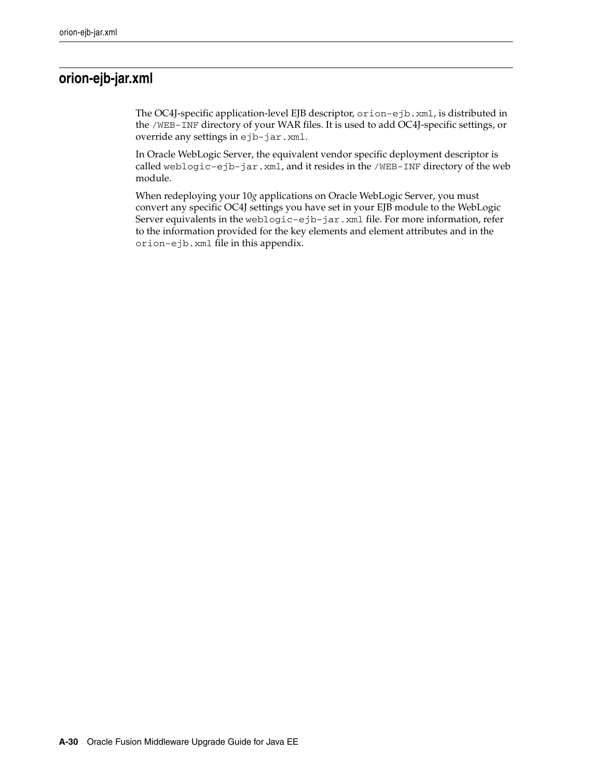# **orion-ejb-jar.xml**

The OC4J-specific application-level EJB descriptor, orion-ejb.xml, is distributed in the /WEB-INF directory of your WAR files. It is used to add OC4J-specific settings, or override any settings in ejb-jar.xml.

In Oracle WebLogic Server, the equivalent vendor specific deployment descriptor is called weblogic-ejb-jar.xml, and it resides in the /WEB-INF directory of the web module.

When redeploying your 10*g* applications on Oracle WebLogic Server, you must convert any specific OC4J settings you have set in your EJB module to the WebLogic Server equivalents in the weblogic-ejb-jar.xml file. For more information, refer to the information provided for the key elements and element attributes and in the orion-ejb.xml file in this appendix.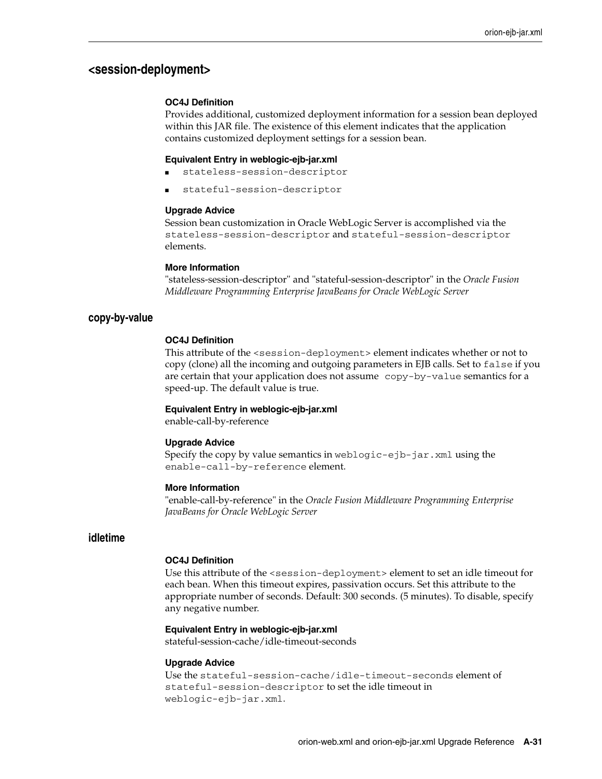# **<session-deployment>**

## **OC4J Definition**

Provides additional, customized deployment information for a session bean deployed within this JAR file. The existence of this element indicates that the application contains customized deployment settings for a session bean.

#### **Equivalent Entry in weblogic-ejb-jar.xml**

- stateless-session-descriptor
- stateful-session-descriptor

### **Upgrade Advice**

Session bean customization in Oracle WebLogic Server is accomplished via the stateless-session-descriptor and stateful-session-descriptor elements.

#### **More Information**

"stateless-session-descriptor" and "stateful-session-descriptor" in the *Oracle Fusion Middleware Programming Enterprise JavaBeans for Oracle WebLogic Server*

# **copy-by-value**

# **OC4J Definition**

This attribute of the <session-deployment> element indicates whether or not to copy (clone) all the incoming and outgoing parameters in EJB calls. Set to false if you are certain that your application does not assume copy-by-value semantics for a speed-up. The default value is true.

## **Equivalent Entry in weblogic-ejb-jar.xml**

enable-call-by-reference

#### **Upgrade Advice**

Specify the copy by value semantics in weblogic-ejb-jar.xml using the enable-call-by-reference element.

#### **More Information**

"enable-call-by-reference" in the *Oracle Fusion Middleware Programming Enterprise JavaBeans for Oracle WebLogic Server*

# **idletime**

# **OC4J Definition**

Use this attribute of the <session-deployment> element to set an idle timeout for each bean. When this timeout expires, passivation occurs. Set this attribute to the appropriate number of seconds. Default: 300 seconds. (5 minutes). To disable, specify any negative number.

#### **Equivalent Entry in weblogic-ejb-jar.xml**

stateful-session-cache/idle-timeout-seconds

#### **Upgrade Advice**

```
Use the stateful-session-cache/idle-timeout-seconds element of 
stateful-session-descriptor to set the idle timeout in 
weblogic-ejb-jar.xml.
```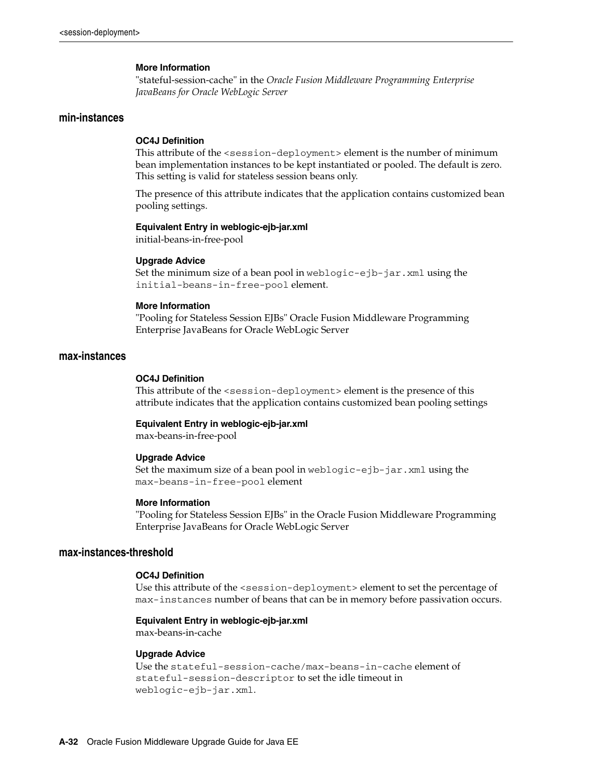## **More Information**

"stateful-session-cache" in the *Oracle Fusion Middleware Programming Enterprise JavaBeans for Oracle WebLogic Server*

## **min-instances**

# **OC4J Definition**

This attribute of the <session-deployment> element is the number of minimum bean implementation instances to be kept instantiated or pooled. The default is zero. This setting is valid for stateless session beans only.

The presence of this attribute indicates that the application contains customized bean pooling settings.

#### **Equivalent Entry in weblogic-ejb-jar.xml**

initial-beans-in-free-pool

## **Upgrade Advice**

Set the minimum size of a bean pool in weblogic-ejb-jar.xml using the initial-beans-in-free-pool element.

#### **More Information**

"Pooling for Stateless Session EJBs" Oracle Fusion Middleware Programming Enterprise JavaBeans for Oracle WebLogic Server

# **max-instances**

## **OC4J Definition**

This attribute of the <session-deployment> element is the presence of this attribute indicates that the application contains customized bean pooling settings

## **Equivalent Entry in weblogic-ejb-jar.xml**

max-beans-in-free-pool

#### **Upgrade Advice**

Set the maximum size of a bean pool in weblogic-ejb-jar.xml using the max-beans-in-free-pool element

#### **More Information**

"Pooling for Stateless Session EJBs" in the Oracle Fusion Middleware Programming Enterprise JavaBeans for Oracle WebLogic Server

## **max-instances-threshold**

# **OC4J Definition**

Use this attribute of the <session-deployment> element to set the percentage of max-instances number of beans that can be in memory before passivation occurs.

#### **Equivalent Entry in weblogic-ejb-jar.xml**

max-beans-in-cache

#### **Upgrade Advice**

```
Use the stateful-session-cache/max-beans-in-cache element of 
stateful-session-descriptor to set the idle timeout in 
weblogic-ejb-jar.xml.
```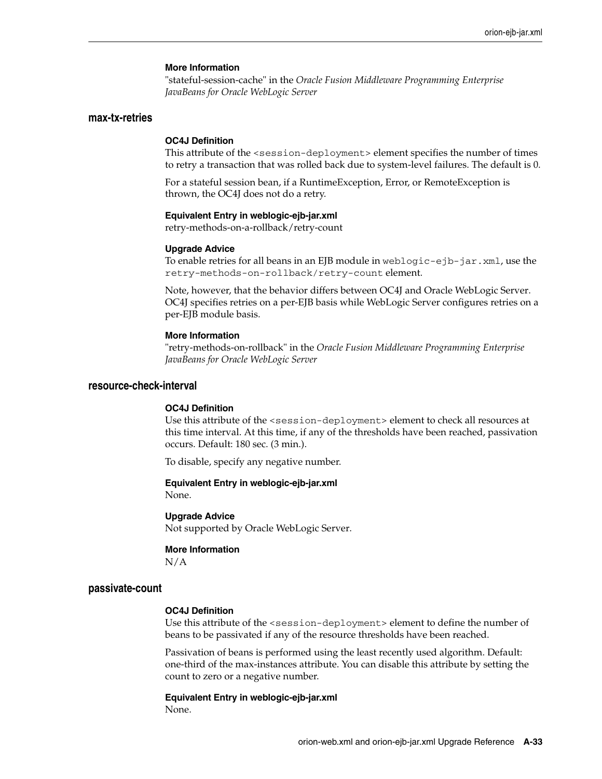#### **More Information**

"stateful-session-cache" in the *Oracle Fusion Middleware Programming Enterprise JavaBeans for Oracle WebLogic Server*

## **max-tx-retries**

# **OC4J Definition**

This attribute of the <session-deployment> element specifies the number of times to retry a transaction that was rolled back due to system-level failures. The default is 0.

For a stateful session bean, if a RuntimeException, Error, or RemoteException is thrown, the OC4J does not do a retry.

#### **Equivalent Entry in weblogic-ejb-jar.xml**

retry-methods-on-a-rollback/retry-count

## **Upgrade Advice**

To enable retries for all beans in an EJB module in weblogic-ejb-jar.xml, use the retry-methods-on-rollback/retry-count element.

Note, however, that the behavior differs between OC4J and Oracle WebLogic Server. OC4J specifies retries on a per-EJB basis while WebLogic Server configures retries on a per-EJB module basis.

### **More Information**

"retry-methods-on-rollback" in the *Oracle Fusion Middleware Programming Enterprise JavaBeans for Oracle WebLogic Server*

# **resource-check-interval**

#### **OC4J Definition**

Use this attribute of the <session-deployment> element to check all resources at this time interval. At this time, if any of the thresholds have been reached, passivation occurs. Default: 180 sec. (3 min.).

To disable, specify any negative number.

#### **Equivalent Entry in weblogic-ejb-jar.xml**

None.

#### **Upgrade Advice**

Not supported by Oracle WebLogic Server.

#### **More Information**

N/A

## **passivate-count**

# **OC4J Definition**

Use this attribute of the <session-deployment> element to define the number of beans to be passivated if any of the resource thresholds have been reached.

Passivation of beans is performed using the least recently used algorithm. Default: one-third of the max-instances attribute. You can disable this attribute by setting the count to zero or a negative number.

**Equivalent Entry in weblogic-ejb-jar.xml** None.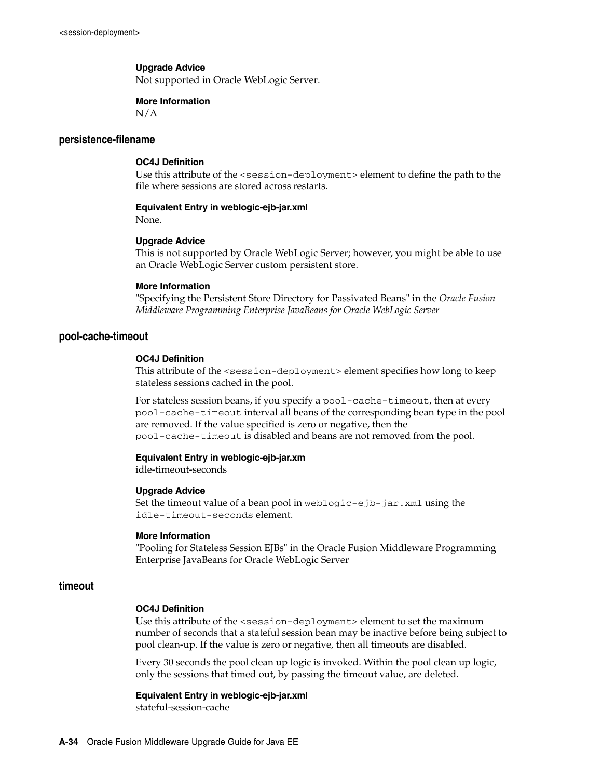Not supported in Oracle WebLogic Server.

#### **More Information**

N/A

## **persistence-filename**

#### **OC4J Definition**

Use this attribute of the <session-deployment> element to define the path to the file where sessions are stored across restarts.

**Equivalent Entry in weblogic-ejb-jar.xml** None.

#### **Upgrade Advice**

This is not supported by Oracle WebLogic Server; however, you might be able to use an Oracle WebLogic Server custom persistent store.

## **More Information**

"Specifying the Persistent Store Directory for Passivated Beans" in the *Oracle Fusion Middleware Programming Enterprise JavaBeans for Oracle WebLogic Server*

# **pool-cache-timeout**

## **OC4J Definition**

This attribute of the <session-deployment> element specifies how long to keep stateless sessions cached in the pool.

For stateless session beans, if you specify a pool-cache-timeout, then at every pool-cache-timeout interval all beans of the corresponding bean type in the pool are removed. If the value specified is zero or negative, then the pool-cache-timeout is disabled and beans are not removed from the pool.

# **Equivalent Entry in weblogic-ejb-jar.xm**

idle-timeout-seconds

## **Upgrade Advice**

Set the timeout value of a bean pool in weblogic-ejb-jar.xml using the idle-timeout-seconds element.

### **More Information**

"Pooling for Stateless Session EJBs" in the Oracle Fusion Middleware Programming Enterprise JavaBeans for Oracle WebLogic Server

# **timeout**

### **OC4J Definition**

Use this attribute of the <session-deployment> element to set the maximum number of seconds that a stateful session bean may be inactive before being subject to pool clean-up. If the value is zero or negative, then all timeouts are disabled.

Every 30 seconds the pool clean up logic is invoked. Within the pool clean up logic, only the sessions that timed out, by passing the timeout value, are deleted.

#### **Equivalent Entry in weblogic-ejb-jar.xml**

stateful-session-cache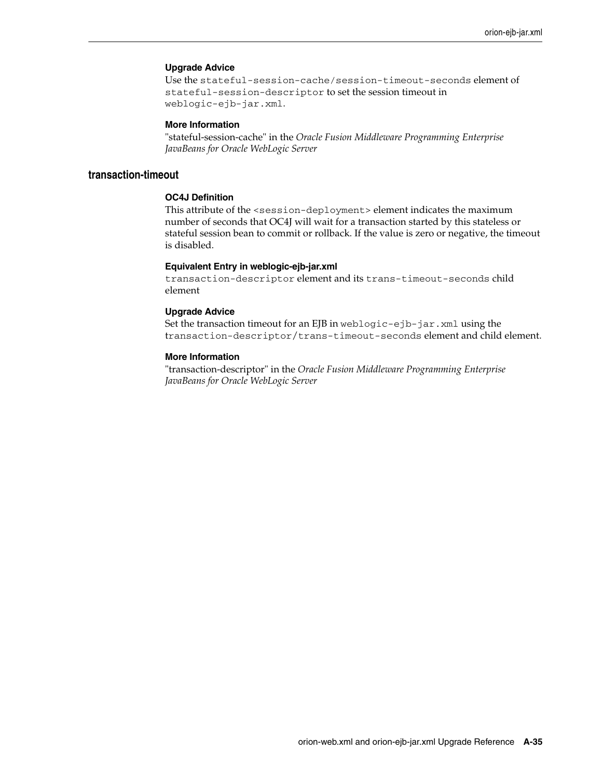Use the stateful-session-cache/session-timeout-seconds element of stateful-session-descriptor to set the session timeout in weblogic-ejb-jar.xml.

# **More Information**

"stateful-session-cache" in the *Oracle Fusion Middleware Programming Enterprise JavaBeans for Oracle WebLogic Server*

# **transaction-timeout**

# **OC4J Definition**

This attribute of the <session-deployment> element indicates the maximum number of seconds that OC4J will wait for a transaction started by this stateless or stateful session bean to commit or rollback. If the value is zero or negative, the timeout is disabled.

#### **Equivalent Entry in weblogic-ejb-jar.xml**

transaction-descriptor element and its trans-timeout-seconds child element

## **Upgrade Advice**

Set the transaction timeout for an EJB in weblogic-ejb-jar.xml using the transaction-descriptor/trans-timeout-seconds element and child element.

# **More Information**

"transaction-descriptor" in the *Oracle Fusion Middleware Programming Enterprise JavaBeans for Oracle WebLogic Server*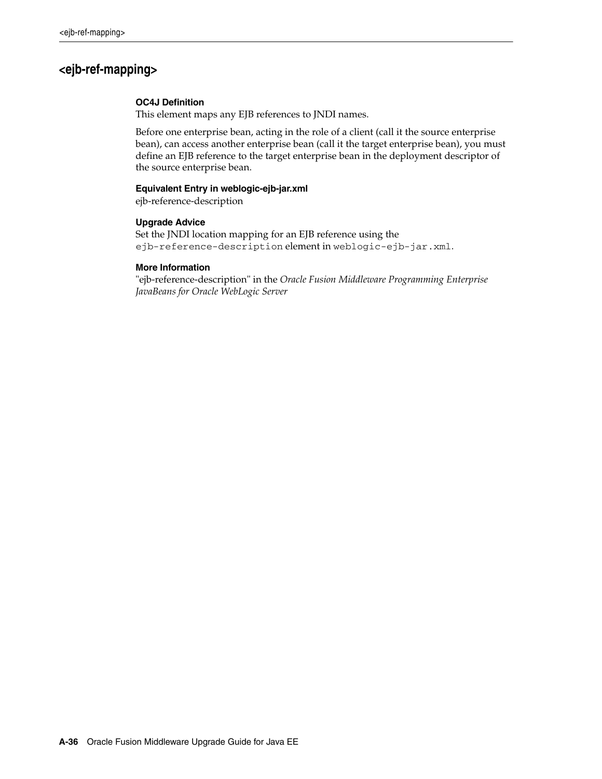# **<ejb-ref-mapping>**

# **OC4J Definition**

This element maps any EJB references to JNDI names.

Before one enterprise bean, acting in the role of a client (call it the source enterprise bean), can access another enterprise bean (call it the target enterprise bean), you must define an EJB reference to the target enterprise bean in the deployment descriptor of the source enterprise bean.

## **Equivalent Entry in weblogic-ejb-jar.xml**

ejb-reference-description

## **Upgrade Advice**

Set the JNDI location mapping for an EJB reference using the ejb-reference-description element in weblogic-ejb-jar.xml.

## **More Information**

"ejb-reference-description" in the *Oracle Fusion Middleware Programming Enterprise JavaBeans for Oracle WebLogic Server*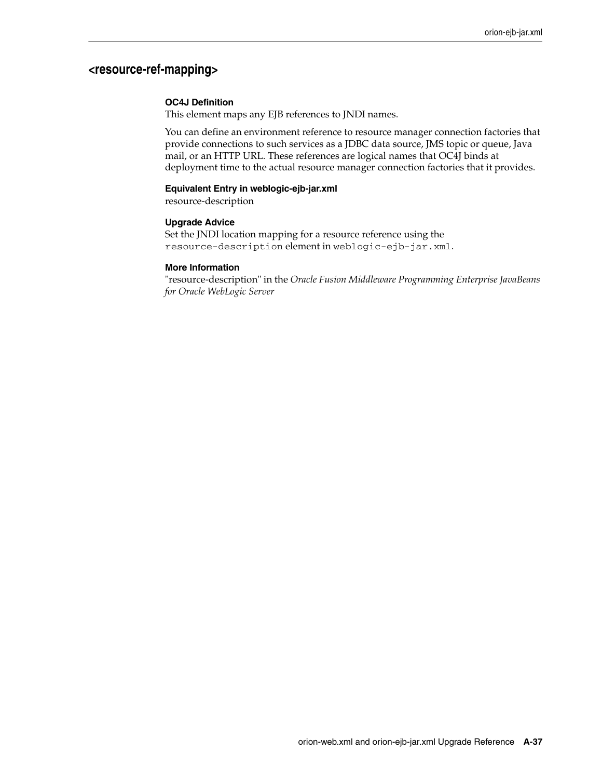# **<resource-ref-mapping>**

## **OC4J Definition**

This element maps any EJB references to JNDI names.

You can define an environment reference to resource manager connection factories that provide connections to such services as a JDBC data source, JMS topic or queue, Java mail, or an HTTP URL. These references are logical names that OC4J binds at deployment time to the actual resource manager connection factories that it provides.

# **Equivalent Entry in weblogic-ejb-jar.xml**

resource-description

#### **Upgrade Advice**

Set the JNDI location mapping for a resource reference using the resource-description element in weblogic-ejb-jar.xml.

# **More Information**

"resource-description" in the *Oracle Fusion Middleware Programming Enterprise JavaBeans for Oracle WebLogic Server*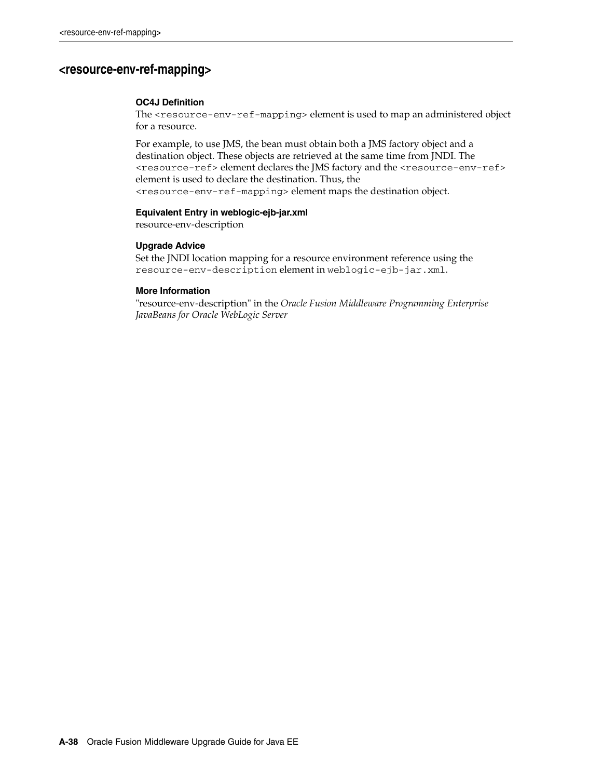# **<resource-env-ref-mapping>**

## **OC4J Definition**

The <resource-env-ref-mapping> element is used to map an administered object for a resource.

For example, to use JMS, the bean must obtain both a JMS factory object and a destination object. These objects are retrieved at the same time from JNDI. The <resource-ref> element declares the JMS factory and the <resource-env-ref> element is used to declare the destination. Thus, the <resource-env-ref-mapping> element maps the destination object.

#### **Equivalent Entry in weblogic-ejb-jar.xml**

resource-env-description

#### **Upgrade Advice**

Set the JNDI location mapping for a resource environment reference using the resource-env-description element in weblogic-ejb-jar.xml.

# **More Information**

"resource-env-description" in the *Oracle Fusion Middleware Programming Enterprise JavaBeans for Oracle WebLogic Server*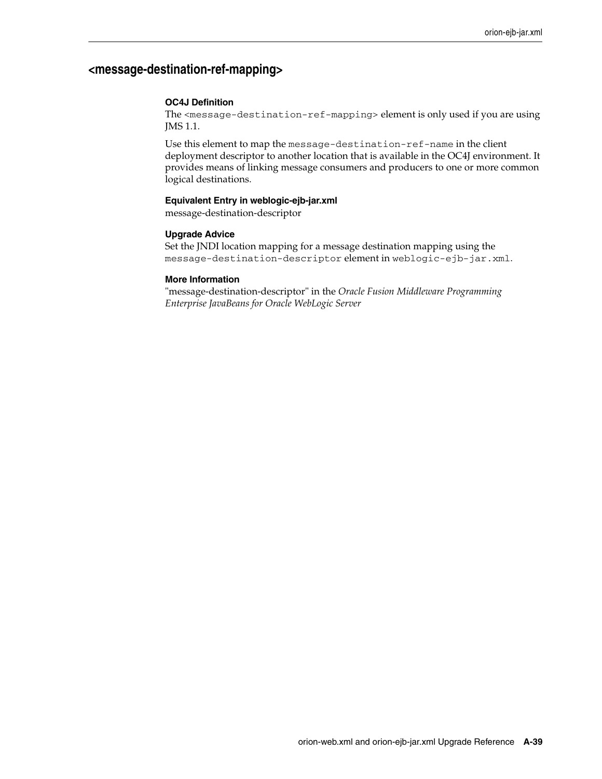# <span id="page-108-0"></span>**<message-destination-ref-mapping>**

#### **OC4J Definition**

The <message-destination-ref-mapping> element is only used if you are using JMS 1.1.

Use this element to map the message-destination-ref-name in the client deployment descriptor to another location that is available in the OC4J environment. It provides means of linking message consumers and producers to one or more common logical destinations.

### **Equivalent Entry in weblogic-ejb-jar.xml**

message-destination-descriptor

### **Upgrade Advice**

Set the JNDI location mapping for a message destination mapping using the message-destination-descriptor element in weblogic-ejb-jar.xml.

# **More Information**

"message-destination-descriptor" in the *Oracle Fusion Middleware Programming Enterprise JavaBeans for Oracle WebLogic Server*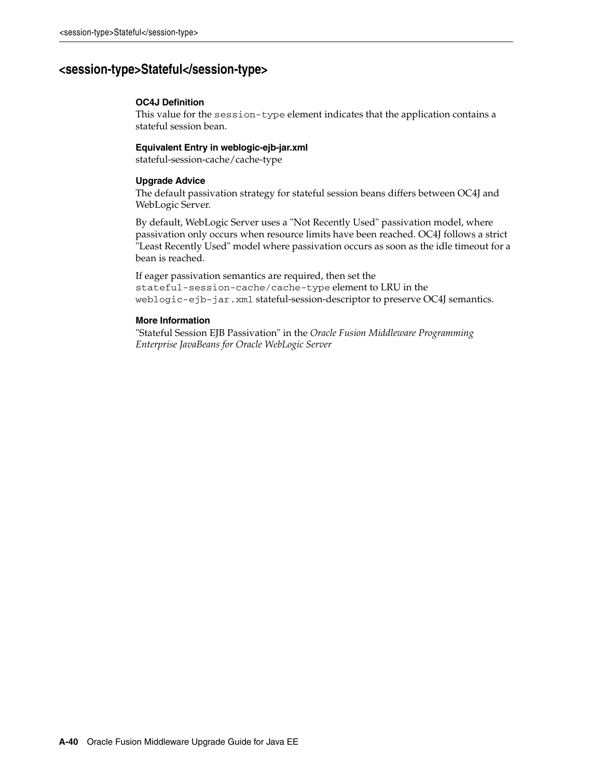# <span id="page-109-0"></span>**<session-type>Stateful</session-type>**

### **OC4J Definition**

This value for the session-type element indicates that the application contains a stateful session bean.

### **Equivalent Entry in weblogic-ejb-jar.xml**

stateful-session-cache/cache-type

### **Upgrade Advice**

The default passivation strategy for stateful session beans differs between OC4J and WebLogic Server.

By default, WebLogic Server uses a "Not Recently Used" passivation model, where passivation only occurs when resource limits have been reached. OC4J follows a strict "Least Recently Used" model where passivation occurs as soon as the idle timeout for a bean is reached.

If eager passivation semantics are required, then set the stateful-session-cache/cache-type element to LRU in the weblogic-ejb-jar.xml stateful-session-descriptor to preserve OC4J semantics.

### **More Information**

"Stateful Session EJB Passivation" in the *Oracle Fusion Middleware Programming Enterprise JavaBeans for Oracle WebLogic Server*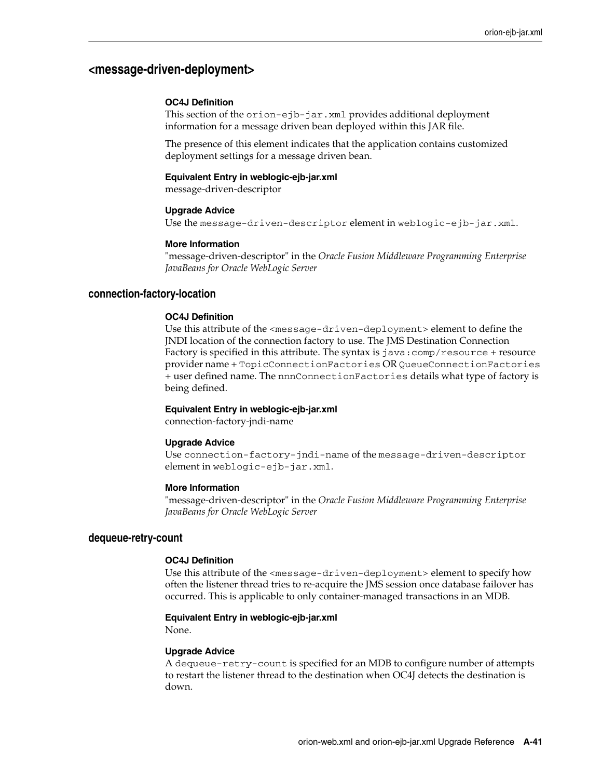# <span id="page-110-2"></span>**<message-driven-deployment>**

### **OC4J Definition**

This section of the orion-ejb-jar.xml provides additional deployment information for a message driven bean deployed within this JAR file.

The presence of this element indicates that the application contains customized deployment settings for a message driven bean.

### **Equivalent Entry in weblogic-ejb-jar.xml**

message-driven-descriptor

#### **Upgrade Advice**

Use the message-driven-descriptor element in weblogic-ejb-jar.xml.

#### **More Information**

"message-driven-descriptor" in the *Oracle Fusion Middleware Programming Enterprise JavaBeans for Oracle WebLogic Server*

### <span id="page-110-0"></span>**connection-factory-location**

#### **OC4J Definition**

Use this attribute of the <message-driven-deployment> element to define the JNDI location of the connection factory to use. The JMS Destination Connection Factory is specified in this attribute. The syntax is  $java:comp/resource + resource$ provider name + TopicConnectionFactories OR QueueConnectionFactories + user defined name. The nnnConnectionFactories details what type of factory is being defined.

#### **Equivalent Entry in weblogic-ejb-jar.xml**

connection-factory-jndi-name

#### **Upgrade Advice**

Use connection-factory-jndi-name of the message-driven-descriptor element in weblogic-ejb-jar.xml.

#### **More Information**

"message-driven-descriptor" in the *Oracle Fusion Middleware Programming Enterprise JavaBeans for Oracle WebLogic Server*

### <span id="page-110-1"></span>**dequeue-retry-count**

#### **OC4J Definition**

Use this attribute of the <message-driven-deployment> element to specify how often the listener thread tries to re-acquire the JMS session once database failover has occurred. This is applicable to only container-managed transactions in an MDB.

#### **Equivalent Entry in weblogic-ejb-jar.xml**

None.

#### **Upgrade Advice**

A dequeue-retry-count is specified for an MDB to configure number of attempts to restart the listener thread to the destination when OC4J detects the destination is down.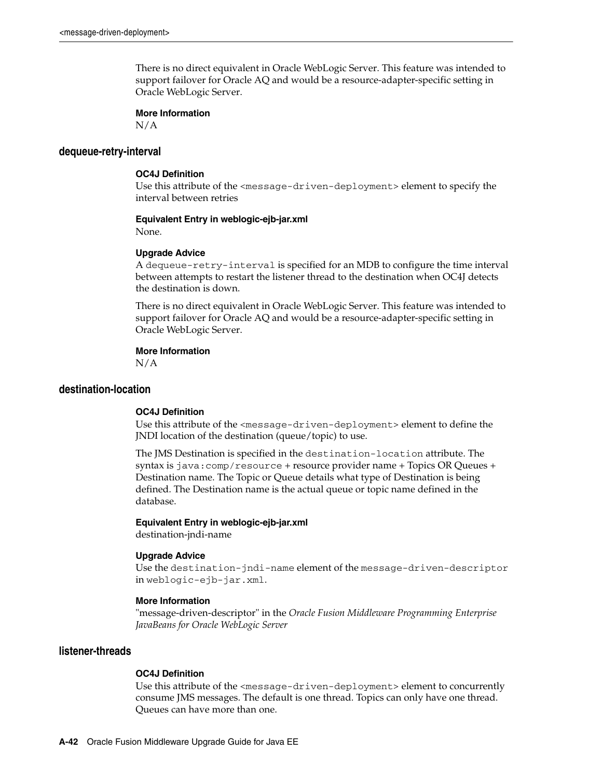There is no direct equivalent in Oracle WebLogic Server. This feature was intended to support failover for Oracle AQ and would be a resource-adapter-specific setting in Oracle WebLogic Server.

#### **More Information**

N/A

# <span id="page-111-0"></span>**dequeue-retry-interval**

#### **OC4J Definition**

Use this attribute of the <message-driven-deployment> element to specify the interval between retries

**Equivalent Entry in weblogic-ejb-jar.xml** None.

#### **Upgrade Advice**

A dequeue-retry-interval is specified for an MDB to configure the time interval between attempts to restart the listener thread to the destination when OC4J detects the destination is down.

There is no direct equivalent in Oracle WebLogic Server. This feature was intended to support failover for Oracle AQ and would be a resource-adapter-specific setting in Oracle WebLogic Server.

### **More Information**

N/A

# <span id="page-111-1"></span>**destination-location**

#### **OC4J Definition**

Use this attribute of the <message-driven-deployment> element to define the JNDI location of the destination (queue/topic) to use.

The JMS Destination is specified in the destination-location attribute. The syntax is java:comp/resource + resource provider name + Topics OR Queues + Destination name. The Topic or Queue details what type of Destination is being defined. The Destination name is the actual queue or topic name defined in the database.

#### **Equivalent Entry in weblogic-ejb-jar.xml**

destination-jndi-name

#### **Upgrade Advice**

Use the destination-jndi-name element of the message-driven-descriptor in weblogic-ejb-jar.xml.

#### **More Information**

"message-driven-descriptor" in the *Oracle Fusion Middleware Programming Enterprise JavaBeans for Oracle WebLogic Server*

# <span id="page-111-2"></span>**listener-threads**

#### **OC4J Definition**

Use this attribute of the <message-driven-deployment> element to concurrently consume JMS messages. The default is one thread. Topics can only have one thread. Queues can have more than one.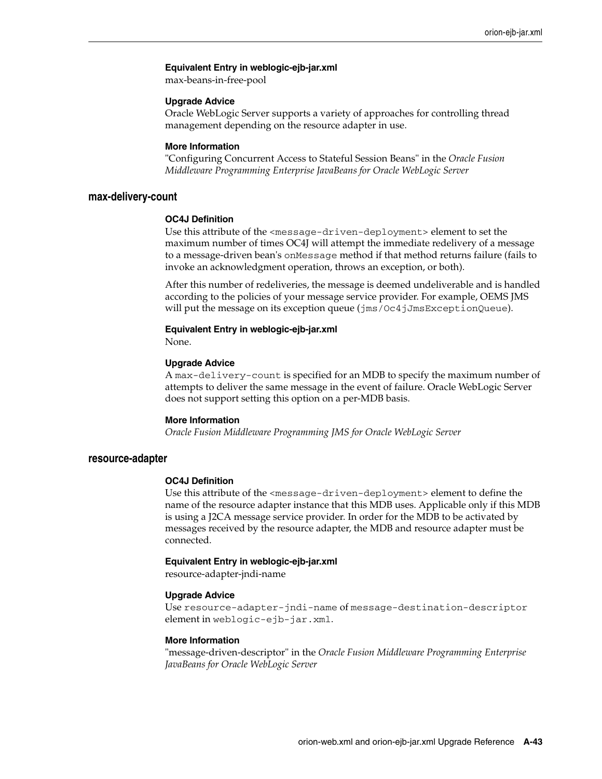### **Equivalent Entry in weblogic-ejb-jar.xml**

max-beans-in-free-pool

#### **Upgrade Advice**

Oracle WebLogic Server supports a variety of approaches for controlling thread management depending on the resource adapter in use.

#### **More Information**

"Configuring Concurrent Access to Stateful Session Beans" in the *Oracle Fusion Middleware Programming Enterprise JavaBeans for Oracle WebLogic Server*

### <span id="page-112-0"></span>**max-delivery-count**

#### **OC4J Definition**

Use this attribute of the <message-driven-deployment> element to set the maximum number of times OC4J will attempt the immediate redelivery of a message to a message-driven bean's onMessage method if that method returns failure (fails to invoke an acknowledgment operation, throws an exception, or both).

After this number of redeliveries, the message is deemed undeliverable and is handled according to the policies of your message service provider. For example, OEMS JMS will put the message on its exception queue (jms/Oc4jJmsExceptionQueue).

#### **Equivalent Entry in weblogic-ejb-jar.xml**

None.

#### **Upgrade Advice**

A max-delivery-count is specified for an MDB to specify the maximum number of attempts to deliver the same message in the event of failure. Oracle WebLogic Server does not support setting this option on a per-MDB basis.

#### **More Information**

*Oracle Fusion Middleware Programming JMS for Oracle WebLogic Server*

#### <span id="page-112-1"></span>**resource-adapter**

### **OC4J Definition**

Use this attribute of the <message-driven-deployment> element to define the name of the resource adapter instance that this MDB uses. Applicable only if this MDB is using a J2CA message service provider. In order for the MDB to be activated by messages received by the resource adapter, the MDB and resource adapter must be connected.

#### **Equivalent Entry in weblogic-ejb-jar.xml**

resource-adapter-jndi-name

#### **Upgrade Advice**

Use resource-adapter-jndi-name of message-destination-descriptor element in weblogic-ejb-jar.xml.

#### **More Information**

"message-driven-descriptor" in the *Oracle Fusion Middleware Programming Enterprise JavaBeans for Oracle WebLogic Server*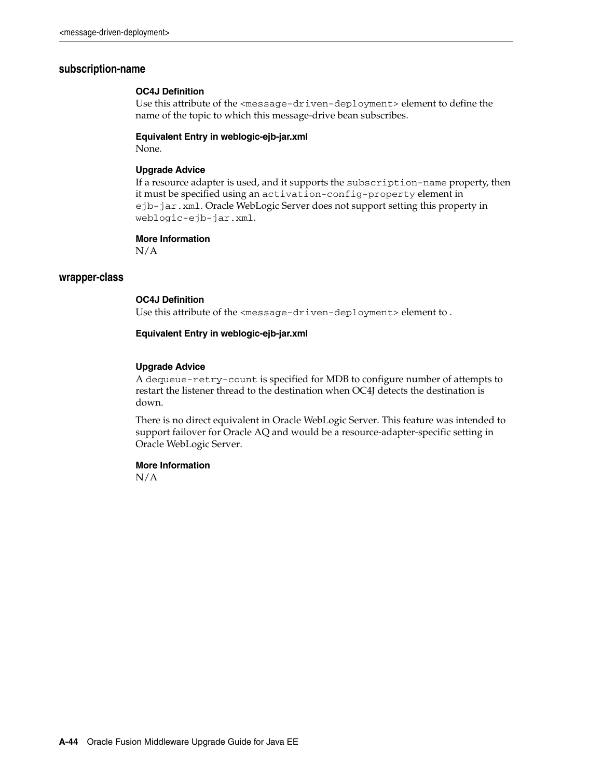### <span id="page-113-0"></span>**subscription-name**

### **OC4J Definition**

Use this attribute of the <message-driven-deployment> element to define the name of the topic to which this message-drive bean subscribes.

**Equivalent Entry in weblogic-ejb-jar.xml**

None.

### **Upgrade Advice**

If a resource adapter is used, and it supports the subscription-name property, then it must be specified using an activation-config-property element in ejb-jar.xml. Oracle WebLogic Server does not support setting this property in weblogic-ejb-jar.xml.

### **More Information**

 $N/A$ 

### <span id="page-113-1"></span>**wrapper-class**

# **OC4J Definition**

Use this attribute of the <message-driven-deployment> element to .

**Equivalent Entry in weblogic-ejb-jar.xml**

### **Upgrade Advice**

A dequeue-retry-count is specified for MDB to configure number of attempts to restart the listener thread to the destination when OC4J detects the destination is down.

There is no direct equivalent in Oracle WebLogic Server. This feature was intended to support failover for Oracle AQ and would be a resource-adapter-specific setting in Oracle WebLogic Server.

### **More Information**

 $N/A$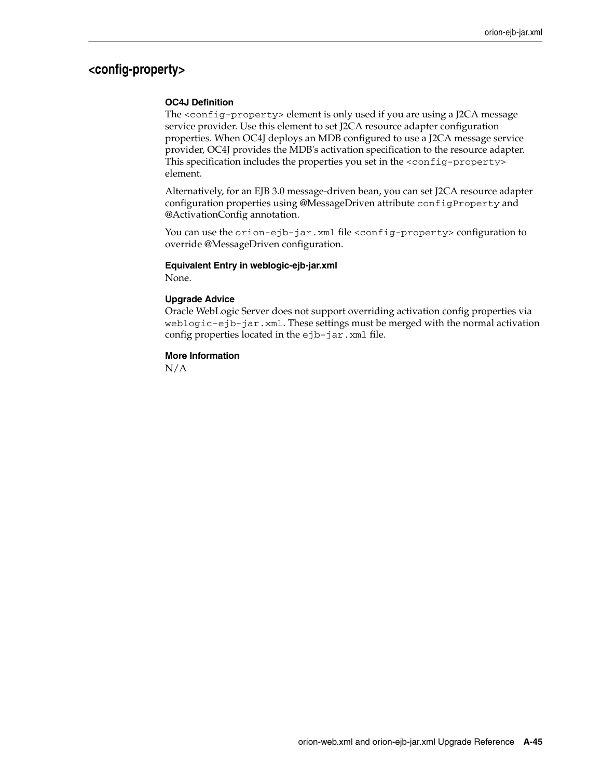# <span id="page-114-0"></span>**<config-property>**

### **OC4J Definition**

The <config-property> element is only used if you are using a J2CA message service provider. Use this element to set J2CA resource adapter configuration properties. When OC4J deploys an MDB configured to use a J2CA message service provider, OC4J provides the MDB's activation specification to the resource adapter. This specification includes the properties you set in the <config-property> element.

Alternatively, for an EJB 3.0 message-driven bean, you can set J2CA resource adapter configuration properties using @MessageDriven attribute configProperty and @ActivationConfig annotation.

You can use the orion-ejb-jar.xml file <config-property> configuration to override @MessageDriven configuration.

#### **Equivalent Entry in weblogic-ejb-jar.xml**

None.

### **Upgrade Advice**

Oracle WebLogic Server does not support overriding activation config properties via weblogic-ejb-jar.xml. These settings must be merged with the normal activation config properties located in the ejb-jar.xml file.

### **More Information**

 $N/A$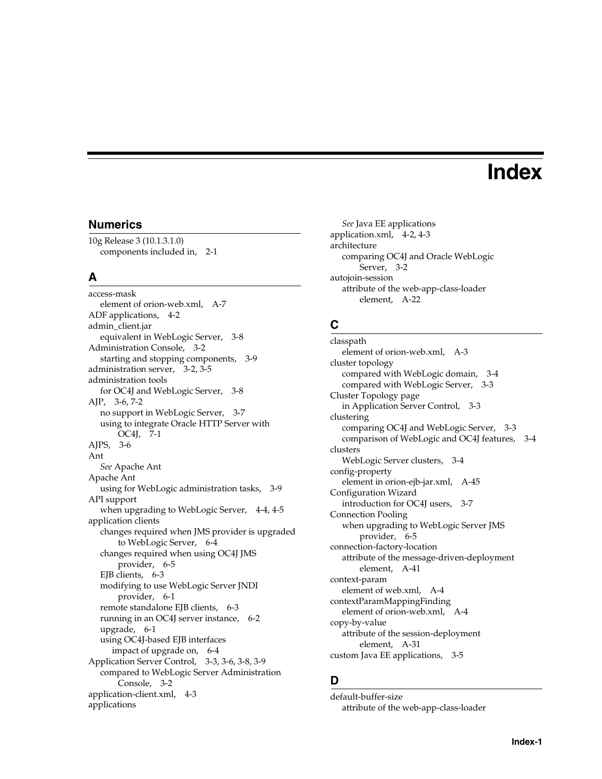# **Index**

### **Numerics**

10g Release 3 (10.1.3.1.0) [components included in, 2-1](#page-16-0)

# **A**

access-mask [element of orion-web.xml, A-7](#page-76-0) [ADF applications, 4-2](#page-33-0) admin\_client.jar [equivalent in WebLogic Server, 3-8](#page-25-0) [Administration Console, 3-2](#page-19-0) [starting and stopping components, 3-9](#page-26-0) [administration server, 3-2,](#page-19-1) [3-5](#page-22-0) administration tools [for OC4J and WebLogic Server, 3-8](#page-25-1) [AJP, 3-6,](#page-23-0) [7-2](#page-59-0) [no support in WebLogic Server, 3-7](#page-24-0) [using to integrate Oracle HTTP Server with](#page-58-0)  OC4J, 7-1 [AJPS, 3-6](#page-23-1) Ant *[See](#page-26-1)* Apache Ant Apache Ant [using for WebLogic administration tasks, 3-9](#page-26-1) API support [when upgrading to WebLogic Server, 4-4,](#page-35-0) [4-5](#page-36-0) application clients [changes required when JMS provider is upgraded](#page-55-0)  to WebLogic Server, 6-4 [changes required when using OC4J JMS](#page-56-0)  provider, 6-5 [EJB clients, 6-3](#page-54-0) [modifying to use WebLogic Server JNDI](#page-52-0)  provider, 6-1 [remote standalone EJB clients, 6-3](#page-54-1) [running in an OC4J server instance, 6-2](#page-53-0) [upgrade, 6-1](#page-52-1) using OC4J-based EJB interfaces [impact of upgrade on, 6-4](#page-55-1) [Application Server Control, 3-3,](#page-20-0) [3-6,](#page-23-2) [3-8,](#page-25-2) [3-9](#page-26-2) [compared to WebLogic Server Administration](#page-19-2)  Console, 3-2 [application-client.xml, 4-3](#page-34-0) applications

*[See](#page-32-0)* Java EE applications [application.xml, 4-2,](#page-33-1) [4-3](#page-34-1) architecture [comparing OC4J and Oracle WebLogic](#page-19-3)  Server, 3-2 autojoin-session [attribute of the web-app-class-loader](#page-91-0)  element, A-22

# **C**

classpath [element of orion-web.xml, A-3](#page-72-0) cluster topology [compared with WebLogic domain, 3-4](#page-21-0) [compared with WebLogic Server, 3-3](#page-20-1) Cluster Topology page [in Application Server Control, 3-3](#page-20-2) clustering [comparing OC4J and WebLogic Server, 3-3](#page-20-3) [comparison of WebLogic and OC4J features, 3-4](#page-21-1) clusters [WebLogic Server clusters, 3-4](#page-21-2) config-property [element in orion-ejb-jar.xml, A-45](#page-114-0) Configuration Wizard [introduction for OC4J users, 3-7](#page-24-1) Connection Pooling [when upgrading to WebLogic Server JMS](#page-56-1)  provider, 6-5 connection-factory-location [attribute of the message-driven-deployment](#page-110-0)  element, A-41 context-param [element of web.xml, A-4](#page-73-0) contextParamMappingFinding [element of orion-web.xml, A-4](#page-73-1) copy-by-value [attribute of the session-deployment](#page-100-0)  element, A-31 [custom Java EE applications, 3-5](#page-22-1)

# **D**

default-buffer-size [attribute of the web-app-class-loader](#page-91-1)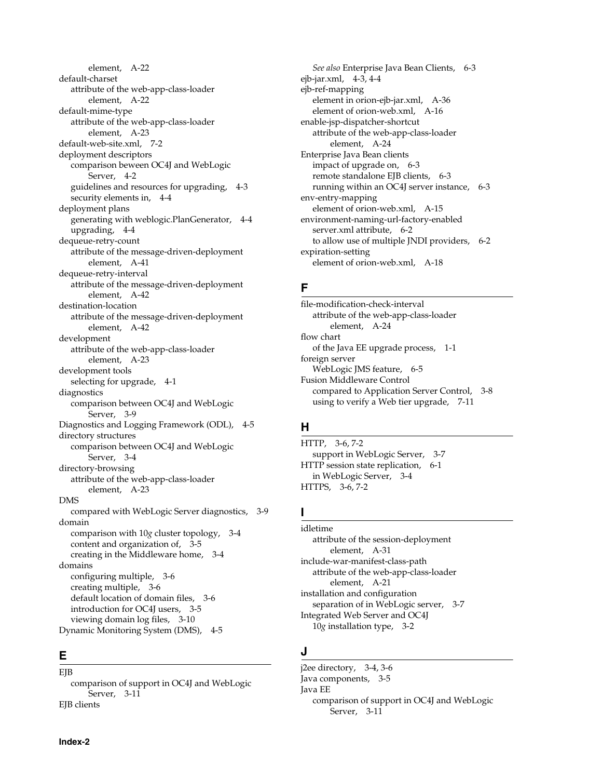[element, A-22](#page-91-1) default-charset [attribute of the web-app-class-loader](#page-91-2)  element, A-22 default-mime-type [attribute of the web-app-class-loader](#page-92-0)  element, A-23 [default-web-site.xml, 7-2](#page-59-1) deployment descriptors [comparison beween OC4J and WebLogic](#page-33-2)  Server, 4-2 [guidelines and resources for upgrading, 4-3](#page-34-2) [security elements in, 4-4](#page-35-1) deployment plans [generating with weblogic.PlanGenerator, 4-4](#page-35-2) [upgrading, 4-4](#page-35-3) dequeue-retry-count [attribute of the message-driven-deployment](#page-110-1)  element, A-41 dequeue-retry-interval [attribute of the message-driven-deployment](#page-111-0)  element, A-42 destination-location [attribute of the message-driven-deployment](#page-111-1)  element, A-42 development [attribute of the web-app-class-loader](#page-92-1)  element, A-23 development tools [selecting for upgrade, 4-1](#page-32-1) diagnostics [comparison between OC4J and WebLogic](#page-26-3)  Server, 3-9 [Diagnostics and Logging Framework \(ODL\), 4-5](#page-36-1) directory structures [comparison between OC4J and WebLogic](#page-21-3)  Server, 3-4 directory-browsing [attribute of the web-app-class-loader](#page-92-2)  element, A-23 DMS [compared with WebLogic Server diagnostics, 3-9](#page-26-4) domain comparison with 10*g* [cluster topology, 3-4](#page-21-0) [content and organization of, 3-5](#page-22-2) [creating in the Middleware home, 3-4](#page-21-4) domains [configuring multiple, 3-6](#page-23-3) [creating multiple, 3-6](#page-23-4) [default location of domain files, 3-6](#page-23-5) [introduction for OC4J users, 3-5](#page-22-3) [viewing domain log files, 3-10](#page-27-0) [Dynamic Monitoring System \(DMS\), 4-5](#page-36-2)

# **E**

EJB [comparison of support in OC4J and WebLogic](#page-28-0)  Server, 3-11 EJB clients

*See also* [Enterprise Java Bean Clients, 6-3](#page-54-0) [ejb-jar.xml, 4-3,](#page-34-3) [4-4](#page-35-4) ejb-ref-mapping [element in orion-ejb-jar.xml, A-36](#page-105-0) [element of orion-web.xml, A-16](#page-85-0) enable-jsp-dispatcher-shortcut [attribute of the web-app-class-loader](#page-93-0)  element, A-24 Enterprise Java Bean clients [impact of upgrade on, 6-3](#page-54-0) [remote standalone EJB clients, 6-3](#page-54-1) [running within an OC4J server instance, 6-3](#page-54-2) env-entry-mapping [element of orion-web.xml, A-15](#page-84-0) environment-naming-url-factory-enabled [server.xml attribute, 6-2](#page-53-1) [to allow use of multiple JNDI providers, 6-2](#page-53-1) expiration-setting [element of orion-web.xml, A-18](#page-87-0)

# **F**

file-modification-check-interval [attribute of the web-app-class-loader](#page-93-1)  element, A-24 flow chart [of the Java EE upgrade process, 1-1](#page-10-0) foreign server [WebLogic JMS feature, 6-5](#page-56-0) Fusion Middleware Control [compared to Application Server Control, 3-8](#page-25-3) [using to verify a Web tier upgrade, 7-11](#page-68-0)

# **H**

[HTTP, 3-6,](#page-23-6) [7-2](#page-59-2) [support in WebLogic Server, 3-7](#page-24-2) [HTTP session state replication, 6-1](#page-52-2) [in WebLogic Server, 3-4](#page-21-5) [HTTPS, 3-6,](#page-23-7) [7-2](#page-59-3)

# **I**

idletime [attribute of the session-deployment](#page-100-1)  element, A-31 include-war-manifest-class-path [attribute of the web-app-class-loader](#page-90-0)  element, A-21 installation and configuration [separation of in WebLogic server, 3-7](#page-24-3) Integrated Web Server and OC4J 10*g* [installation type, 3-2](#page-19-4)

# **J**

[j2ee directory, 3-4,](#page-21-6) [3-6](#page-23-8) [Java components, 3-5](#page-22-4) Java EE [comparison of support in OC4J and WebLogic](#page-28-1)  [Server, 3-11](#page-28-1)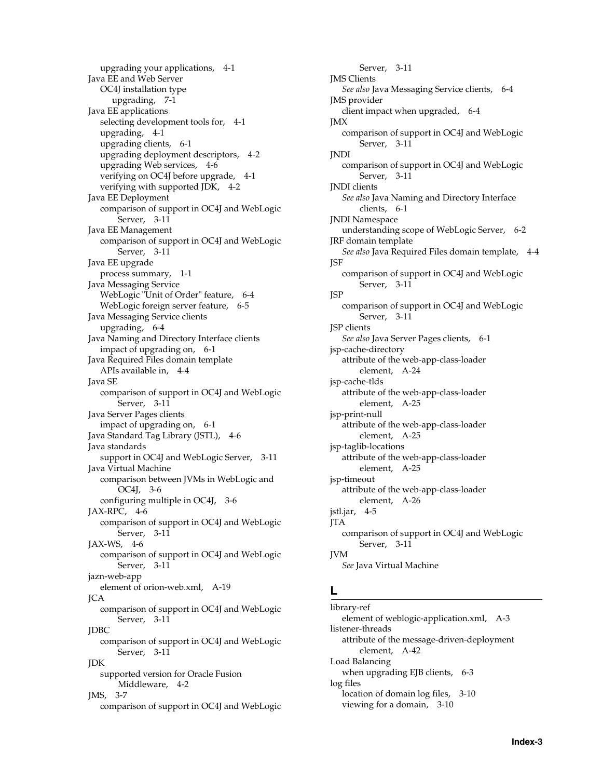[upgrading your applications, 4-1](#page-32-2) Java EE and Web Server OC4J installation type [upgrading, 7-1](#page-58-1) Java EE applications [selecting development tools for, 4-1](#page-32-1) [upgrading, 4-1](#page-32-2) [upgrading clients, 6-1](#page-52-1) [upgrading deployment descriptors, 4-2](#page-33-3) [upgrading Web services, 4-6](#page-37-0) [verifying on OC4J before upgrade, 4-1](#page-32-0) [verifying with supported JDK, 4-2](#page-33-4) Java EE Deployment [comparison of support in OC4J and WebLogic](#page-28-2)  Server, 3-11 Java EE Management [comparison of support in OC4J and WebLogic](#page-28-3)  Server, 3-11 Java EE upgrade [process summary, 1-1](#page-10-1) Java Messaging Service [WebLogic "Unit of Order" feature, 6-4](#page-55-2) [WebLogic foreign server feature, 6-5](#page-56-0) Java Messaging Service clients [upgrading, 6-4](#page-55-0) Java Naming and Directory Interface clients [impact of upgrading on, 6-1](#page-52-0) Java Required Files domain template [APIs available in, 4-4](#page-35-5) Java SE [comparison of support in OC4J and WebLogic](#page-28-4)  Server, 3-11 Java Server Pages clients [impact of upgrading on, 6-1](#page-52-3) [Java Standard Tag Library \(JSTL\), 4-6](#page-37-1) Java standards [support in OC4J and WebLogic Server, 3-11](#page-28-5) Java Virtual Machine [comparison between JVMs in WebLogic and](#page-23-9)  OC4J, 3-6 [configuring multiple in OC4J, 3-6](#page-23-9) [JAX-RPC, 4-6](#page-37-2) [comparison of support in OC4J and WebLogic](#page-28-6)  Server, 3-11 [JAX-WS, 4-6](#page-37-3) [comparison of support in OC4J and WebLogic](#page-28-7)  Server, 3-11 jazn-web-app [element of orion-web.xml, A-19](#page-88-0) JCA [comparison of support in OC4J and WebLogic](#page-28-8)  Server, 3-11 JDBC [comparison of support in OC4J and WebLogic](#page-28-9)  Server, 3-11 JDK [supported version for Oracle Fusion](#page-33-4)  Middleware, 4-2 [JMS, 3-7](#page-24-4) [comparison of support in OC4J and WebLogic](#page-28-10) 

[Server, 3-11](#page-28-10) JMS Clients *See also* [Java Messaging Service clients, 6-4](#page-55-0) JMS provider [client impact when upgraded, 6-4](#page-55-0) JMX [comparison of support in OC4J and WebLogic](#page-28-11)  Server, 3-11 JNDI [comparison of support in OC4J and WebLogic](#page-28-12)  Server, 3-11 JNDI clients *See also* [Java Naming and Directory Interface](#page-52-0)  [clients, 6-1](#page-52-0) JNDI Namespace [understanding scope of WebLogic Server, 6-2](#page-53-2) JRF domain template *See also* [Java Required Files domain template, 4-4](#page-35-6) JSF [comparison of support in OC4J and WebLogic](#page-28-13)  Server, 3-11 JSP [comparison of support in OC4J and WebLogic](#page-28-14)  Server, 3-11 JSP clients *See also* [Java Server Pages clients, 6-1](#page-52-3) jsp-cache-directory [attribute of the web-app-class-loader](#page-93-2)  element, A-24 jsp-cache-tlds [attribute of the web-app-class-loader](#page-94-0)  element, A-25 jsp-print-null [attribute of the web-app-class-loader](#page-94-1)  element, A-25 jsp-taglib-locations [attribute of the web-app-class-loader](#page-94-2)  element, A-25 jsp-timeout [attribute of the web-app-class-loader](#page-95-0)  element, A-26 [jstl.jar, 4-5](#page-36-3) JTA [comparison of support in OC4J and WebLogic](#page-28-15)  Server, 3-11 JVM *[See](#page-22-5)* Java Virtual Machine

# **L**

library-ref [element of weblogic-application.xml, A-3](#page-72-1) listener-threads [attribute of the message-driven-deployment](#page-111-2)  element, A-42 Load Balancing [when upgrading EJB clients, 6-3](#page-54-3) log files [location of domain log files, 3-10](#page-27-1) [viewing for a domain, 3-10](#page-27-0)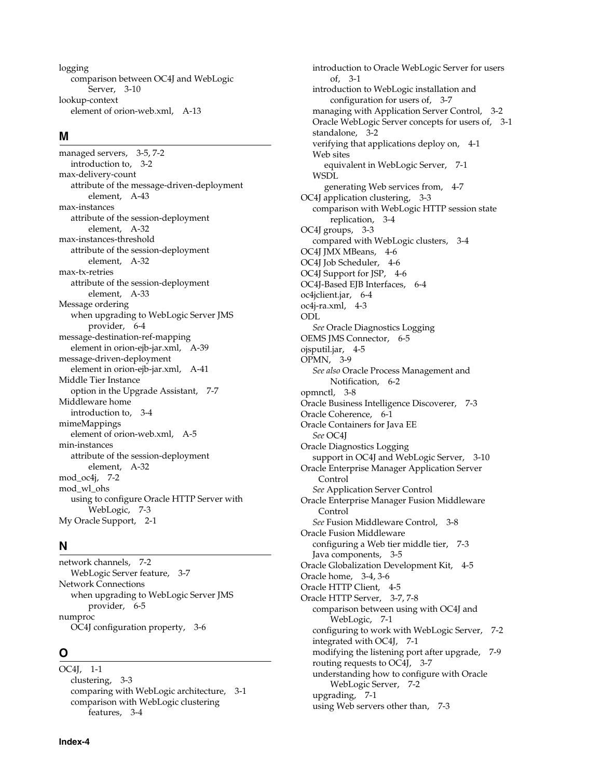logging [comparison between OC4J and WebLogic](#page-27-0)  Server, 3-10 lookup-context [element of orion-web.xml, A-13](#page-82-0)

# **M**

[managed servers, 3-5,](#page-22-6) [7-2](#page-59-4) [introduction to, 3-2](#page-19-5) max-delivery-count [attribute of the message-driven-deployment](#page-112-0)  element, A-43 max-instances [attribute of the session-deployment](#page-101-0)  element, A-32 max-instances-threshold [attribute of the session-deployment](#page-101-1)  element, A-32 max-tx-retries [attribute of the session-deployment](#page-102-0)  element, A-33 Message ordering [when upgrading to WebLogic Server JMS](#page-55-2)  provider, 6-4 message-destination-ref-mapping [element in orion-ejb-jar.xml, A-39](#page-108-0) message-driven-deployment [element in orion-ejb-jar.xml, A-41](#page-110-2) Middle Tier Instance [option in the Upgrade Assistant, 7-7](#page-64-0) Middleware home [introduction to, 3-4](#page-21-7) mimeMappings [element of orion-web.xml, A-5](#page-74-0) min-instances [attribute of the session-deployment](#page-101-2)  element, A-32 [mod\\_oc4j, 7-2](#page-59-5) mod\_wl\_ohs [using to configure Oracle HTTP Server with](#page-60-0)  WebLogic, 7-3 [My Oracle Support, 2-1](#page-16-1)

# **N**

[network channels, 7-2](#page-59-6) [WebLogic Server feature, 3-7](#page-24-5) Network Connections [when upgrading to WebLogic Server JMS](#page-56-2)  provider, 6-5 numproc [OC4J configuration property, 3-6](#page-23-10)

# **O**

[OC4J, 1-1](#page-10-2) [clustering, 3-3](#page-20-4) [comparing with WebLogic architecture, 3-1](#page-18-0) [comparison with WebLogic clustering](#page-21-1)  features, 3-4

[introduction to Oracle WebLogic Server for users](#page-18-1)  of, 3-1 [introduction to WebLogic installation and](#page-24-6)  configuration for users of, 3-7 [managing with Application Server Control, 3-2](#page-19-6) [Oracle WebLogic Server concepts for users of, 3-1](#page-18-2) [standalone, 3-2](#page-19-7) [verifying that applications deploy on, 4-1](#page-32-3) Web sites [equivalent in WebLogic Server, 7-1](#page-58-2) WSDL [generating Web services from, 4-7](#page-38-0) [OC4J application clustering, 3-3](#page-20-5) [comparison with WebLogic HTTP session state](#page-21-5)  replication, 3-4 [OC4J groups, 3-3](#page-20-6) [compared with WebLogic clusters, 3-4](#page-21-8) [OC4J JMX MBeans, 4-6](#page-37-4) [OC4J Job Scheduler, 4-6](#page-37-5) [OC4J Support for JSP, 4-6](#page-37-6) [OC4J-Based EJB Interfaces, 6-4](#page-55-1) [oc4jclient.jar, 6-4](#page-55-3) [oc4j-ra.xml, 4-3](#page-34-4) ODL *[See](#page-27-2)* Oracle Diagnostics Logging [OEMS JMS Connector, 6-5](#page-56-3) [ojsputil.jar, 4-5](#page-36-4) [OPMN, 3-9](#page-26-5) *See also* [Oracle Process Management and](#page-53-3)  [Notification, 6-2](#page-53-3) [opmnctl, 3-8](#page-25-4) [Oracle Business Intelligence Discoverer, 7-3](#page-60-1) [Oracle Coherence, 6-1](#page-52-4) Oracle Containers for Java EE *[See](#page-10-3)* OC4J Oracle Diagnostics Logging [support in OC4J and WebLogic Server, 3-10](#page-27-1) Oracle Enterprise Manager Application Server Control *[See](#page-25-2)* Application Server Control Oracle Enterprise Manager Fusion Middleware Control *See* [Fusion Middleware Control, 3-8](#page-25-3) Oracle Fusion Middleware [configuring a Web tier middle tier, 7-3](#page-60-2) [Java components, 3-5](#page-22-4) [Oracle Globalization Development Kit, 4-5](#page-36-5) [Oracle home, 3-4,](#page-21-9) [3-6](#page-23-11) [Oracle HTTP Client, 4-5](#page-36-6) [Oracle HTTP Server, 3-7,](#page-24-7) [7-8](#page-65-0) [comparison between using with OC4J and](#page-58-3)  WebLogic, 7-1 [configuring to work with WebLogic Server, 7-2](#page-59-7) [integrated with OC4J, 7-1](#page-58-4) [modifying the listening port after upgrade, 7-9](#page-66-0) [routing requests to OC4J, 3-7](#page-24-8) [understanding how to configure with Oracle](#page-59-8)  WebLogic Server, 7-2 [upgrading, 7-1](#page-58-5) [using Web servers other than, 7-3](#page-60-3)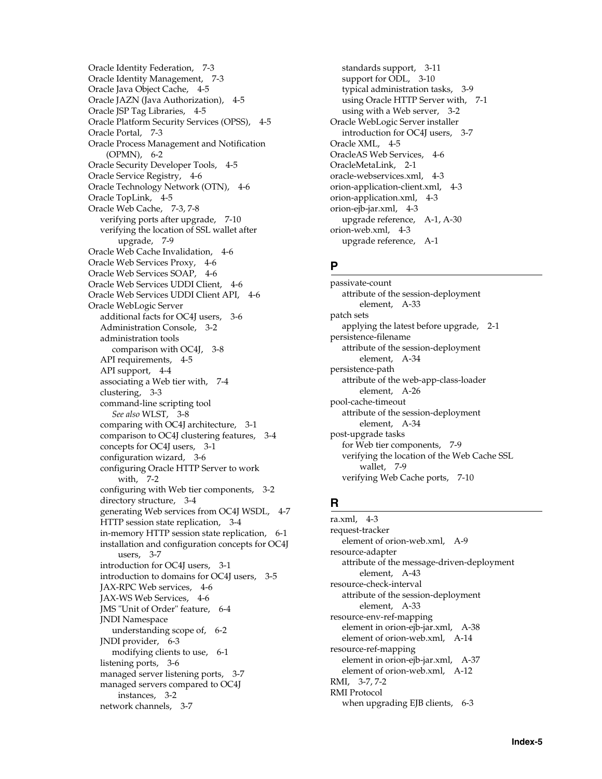[Oracle Identity Federation, 7-3](#page-60-4) [Oracle Identity Management, 7-3](#page-60-5) [Oracle Java Object Cache, 4-5](#page-36-7) [Oracle JAZN \(Java Authorization\), 4-5](#page-36-8) [Oracle JSP Tag Libraries, 4-5](#page-36-9) [Oracle Platform Security Services \(OPSS\), 4-5](#page-36-10) [Oracle Portal, 7-3](#page-60-6) [Oracle Process Management and Notification](#page-53-3)  (OPMN), 6-2 [Oracle Security Developer Tools, 4-5](#page-36-11) [Oracle Service Registry, 4-6](#page-37-7) [Oracle Technology Network \(OTN\), 4-6](#page-37-8) [Oracle TopLink, 4-5](#page-36-12) [Oracle Web Cache, 7-3,](#page-60-7) [7-8](#page-65-1) [verifying ports after upgrade, 7-10](#page-67-0) [verifying the location of SSL wallet after](#page-66-1)  upgrade, 7-9 [Oracle Web Cache Invalidation, 4-6](#page-37-9) [Oracle Web Services Proxy, 4-6](#page-37-10) [Oracle Web Services SOAP, 4-6](#page-37-11) [Oracle Web Services UDDI Client, 4-6](#page-37-12) [Oracle Web Services UDDI Client API, 4-6](#page-37-13) Oracle WebLogic Server [additional facts for OC4J users, 3-6](#page-23-12) [Administration Console, 3-2](#page-19-8) administration tools [comparison with OC4J, 3-8](#page-25-1) [API requirements, 4-5](#page-36-0) [API support, 4-4](#page-35-0) [associating a Web tier with, 7-4](#page-61-0) [clustering, 3-3](#page-20-7) command-line scripting tool *See also* [WLST, 3-8](#page-25-5) [comparing with OC4J architecture, 3-1](#page-18-0) [comparison to OC4J clustering features, 3-4](#page-21-1) [concepts for OC4J users, 3-1](#page-18-3) [configuration wizard, 3-6](#page-23-13) [configuring Oracle HTTP Server to work](#page-59-7)  with, 7-2 [configuring with Web tier components, 3-2](#page-19-9) [directory structure, 3-4](#page-21-3) [generating Web services from OC4J WSDL, 4-7](#page-38-0) [HTTP session state replication, 3-4](#page-21-5) [in-memory HTTP session state replication, 6-1](#page-52-2) [installation and configuration concepts for OC4J](#page-24-6)  users, 3-7 [introduction for OC4J users, 3-1](#page-18-4) [introduction to domains for OC4J users, 3-5](#page-22-3) [JAX-RPC Web services, 4-6](#page-37-14) [JAX-WS Web Services, 4-6](#page-37-14) [JMS "Unit of Order" feature, 6-4](#page-55-2) JNDI Namespace [understanding scope of, 6-2](#page-53-2) [JNDI provider, 6-3](#page-54-4) [modifying clients to use, 6-1](#page-52-0) [listening ports, 3-6](#page-23-14) [managed server listening ports, 3-7](#page-24-9) [managed servers compared to OC4J](#page-19-5)  instances, 3-2 [network channels, 3-7](#page-24-5)

[standards support, 3-11](#page-28-16) [support for ODL, 3-10](#page-27-1) [typical administration tasks, 3-9](#page-26-6) [using Oracle HTTP Server with, 7-1](#page-58-6) [using with a Web server, 3-2](#page-19-10) Oracle WebLogic Server installer [introduction for OC4J users, 3-7](#page-24-10) [Oracle XML, 4-5](#page-36-13) [OracleAS Web Services, 4-6](#page-37-15) [OracleMetaLink, 2-1](#page-16-2) [oracle-webservices.xml, 4-3](#page-34-5) [orion-application-client.xml, 4-3](#page-34-6) [orion-application.xml, 4-3](#page-34-7) [orion-ejb-jar.xml, 4-3](#page-34-8) [upgrade reference, A-1,](#page-70-0) [A-30](#page-99-0) [orion-web.xml, 4-3](#page-34-9) [upgrade reference, A-1](#page-70-0)

# **P**

passivate-count [attribute of the session-deployment](#page-102-1)  element, A-33 patch sets [applying the latest before upgrade, 2-1](#page-16-3) persistence-filename [attribute of the session-deployment](#page-103-0)  element, A-34 persistence-path [attribute of the web-app-class-loader](#page-95-1)  element, A-26 pool-cache-timeout [attribute of the session-deployment](#page-103-1)  element, A-34 post-upgrade tasks [for Web tier components, 7-9](#page-66-2) [verifying the location of the Web Cache SSL](#page-66-1)  wallet, 7-9 [verifying Web Cache ports, 7-10](#page-67-0)

# **R**

[ra.xml, 4-3](#page-34-10) request-tracker [element of orion-web.xml, A-9](#page-78-0) resource-adapter [attribute of the message-driven-deployment](#page-112-1)  element, A-43 resource-check-interval [attribute of the session-deployment](#page-102-2)  element, A-33 resource-env-ref-mapping [element in orion-ejb-jar.xml, A-38](#page-107-0) [element of orion-web.xml, A-14](#page-83-0) resource-ref-mapping [element in orion-ejb-jar.xml, A-37](#page-106-0) [element of orion-web.xml, A-12](#page-81-0) [RMI, 3-7,](#page-24-11) [7-2](#page-59-9) RMI Protocol [when upgrading EJB clients, 6-3](#page-54-5)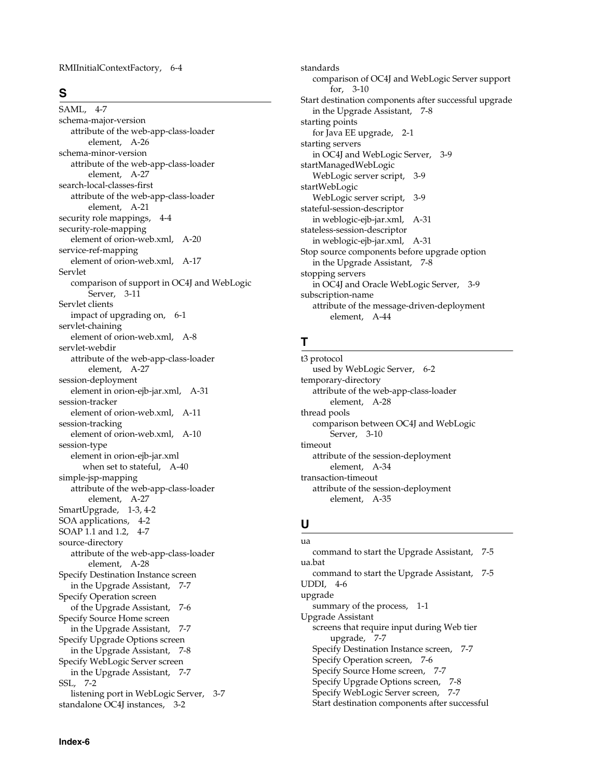[RMIInitialContextFactory, 6-4](#page-55-4)

# **S**

[SAML, 4-7](#page-38-1) schema-major-version [attribute of the web-app-class-loader](#page-95-2)  element, A-26 schema-minor-version [attribute of the web-app-class-loader](#page-96-0)  element, A-27 search-local-classes-first [attribute of the web-app-class-loader](#page-90-1)  element, A-21 [security role mappings, 4-4](#page-35-7) security-role-mapping [element of orion-web.xml, A-20](#page-89-0) service-ref-mapping [element of orion-web.xml, A-17](#page-86-0) Servlet [comparison of support in OC4J and WebLogic](#page-28-17)  Server, 3-11 Servlet clients [impact of upgrading on, 6-1](#page-52-3) servlet-chaining [element of orion-web.xml, A-8](#page-77-0) servlet-webdir [attribute of the web-app-class-loader](#page-96-1)  element, A-27 session-deployment [element in orion-ejb-jar.xml, A-31](#page-100-2) session-tracker [element of orion-web.xml, A-11](#page-80-0) session-tracking [element of orion-web.xml, A-10](#page-79-0) session-type element in orion-ejb-jar.xml [when set to stateful, A-40](#page-109-0) simple-jsp-mapping [attribute of the web-app-class-loader](#page-96-2)  element, A-27 [SmartUpgrade, 1-3,](#page-12-0) [4-2](#page-33-5) [SOA applications, 4-2](#page-33-6) [SOAP 1.1 and 1.2, 4-7](#page-38-2) source-directory [attribute of the web-app-class-loader](#page-97-0)  element, A-28 Specify Destination Instance screen [in the Upgrade Assistant, 7-7](#page-64-1) Specify Operation screen [of the Upgrade Assistant, 7-6](#page-63-0) Specify Source Home screen [in the Upgrade Assistant, 7-7](#page-64-2) Specify Upgrade Options screen [in the Upgrade Assistant, 7-8](#page-65-2) Specify WebLogic Server screen [in the Upgrade Assistant, 7-7](#page-64-3) [SSL, 7-2](#page-59-10) [listening port in WebLogic Server, 3-7](#page-24-12) [standalone OC4J instances, 3-2](#page-19-7)

standards [comparison of OC4J and WebLogic Server support](#page-27-3)  for, 3-10 Start destination components after successful upgrade [in the Upgrade Assistant, 7-8](#page-65-3) starting points [for Java EE upgrade, 2-1](#page-16-4) starting servers [in OC4J and WebLogic Server, 3-9](#page-26-7) startManagedWebLogic [WebLogic server script, 3-9](#page-26-8) startWebLogic [WebLogic server script, 3-9](#page-26-9) stateful-session-descriptor [in weblogic-ejb-jar.xml, A-31](#page-100-3) stateless-session-descriptor [in weblogic-ejb-jar.xml, A-31](#page-100-4) Stop source components before upgrade option [in the Upgrade Assistant, 7-8](#page-65-4) stopping servers [in OC4J and Oracle WebLogic Server, 3-9](#page-26-7) subscription-name [attribute of the message-driven-deployment](#page-113-0)  element, A-44

# **T**

t3 protocol [used by WebLogic Server, 6-2](#page-53-4) temporary-directory [attribute of the web-app-class-loader](#page-97-1)  element, A-28 thread pools [comparison between OC4J and WebLogic](#page-27-3)  Server, 3-10 timeout [attribute of the session-deployment](#page-103-2)  element, A-34 transaction-timeout [attribute of the session-deployment](#page-104-0)  element, A-35

# **U**

ua [command to start the Upgrade Assistant, 7-5](#page-62-0) ua.bat [command to start the Upgrade Assistant, 7-5](#page-62-1) [UDDI, 4-6](#page-37-16) upgrade [summary of the process, 1-1](#page-10-1) Upgrade Assistant [screens that require input during Web tier](#page-64-4)  upgrade, 7-7 [Specify Destination Instance screen, 7-7](#page-64-1) [Specify Operation screen, 7-6](#page-63-0) [Specify Source Home screen, 7-7](#page-64-2) [Specify Upgrade Options screen, 7-8](#page-65-2) [Specify WebLogic Server screen, 7-7](#page-64-3) [Start destination components after successful](#page-65-3)